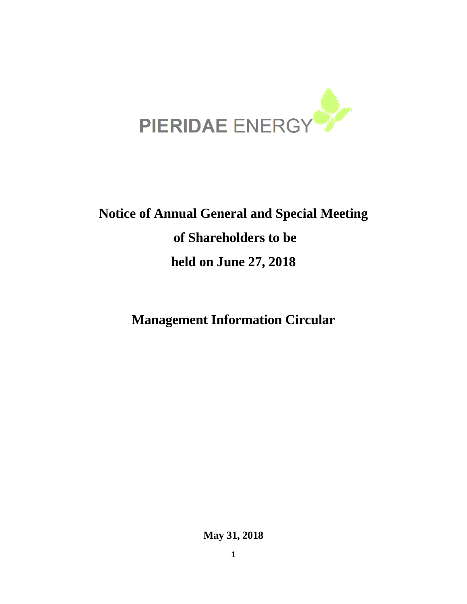

# **Notice of Annual General and Special Meeting of Shareholders to be held on June 27, 2018**

**Management Information Circular**

**May 31, 2018**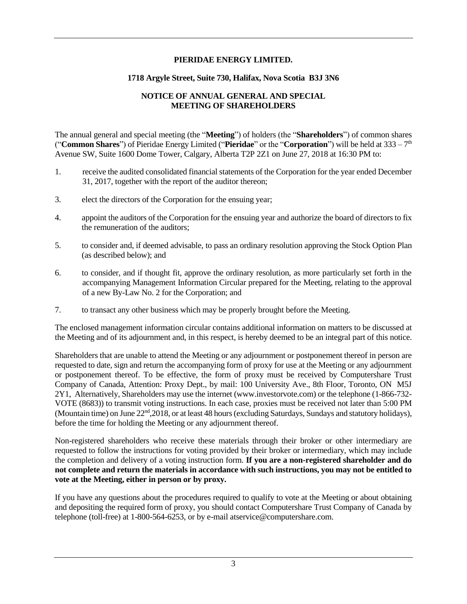#### **PIERIDAE ENERGY LIMITED.**

#### **1718 Argyle Street, Suite 730, Halifax, Nova Scotia B3J 3N6**

## **NOTICE OF ANNUAL GENERAL AND SPECIAL MEETING OF SHAREHOLDERS**

The annual general and special meeting (the "**Meeting**") of holders (the "**Shareholders**") of common shares ("**Common Shares**") of Pieridae Energy Limited ("**Pieridae**" or the "**Corporation**") will be held at 333 – 7 th Avenue SW, Suite 1600 Dome Tower, Calgary, Alberta T2P 2Z1 on June 27, 2018 at 16:30 PM to:

- 1. receive the audited consolidated financial statements of the Corporation for the year ended December 31, 2017, together with the report of the auditor thereon;
- 3. elect the directors of the Corporation for the ensuing year;
- 4. appoint the auditors of the Corporation for the ensuing year and authorize the board of directors to fix the remuneration of the auditors;
- 5. to consider and, if deemed advisable, to pass an ordinary resolution approving the Stock Option Plan (as described below); and
- 6. to consider, and if thought fit, approve the ordinary resolution, as more particularly set forth in the accompanying Management Information Circular prepared for the Meeting, relating to the approval of a new By-Law No. 2 for the Corporation; and
- 7. to transact any other business which may be properly brought before the Meeting.

The enclosed management information circular contains additional information on matters to be discussed at the Meeting and of its adjournment and, in this respect, is hereby deemed to be an integral part of this notice.

Shareholders that are unable to attend the Meeting or any adjournment or postponement thereof in person are requested to date, sign and return the accompanying form of proxy for use at the Meeting or any adjournment or postponement thereof. To be effective, the form of proxy must be received by Computershare Trust Company of Canada, Attention: Proxy Dept., by mail: 100 University Ave., 8th Floor, Toronto, ON M5J 2Y1, Alternatively, Shareholders may use the internet (www.investorvote.com) or the telephone (1-866-732- VOTE (8683)) to transmit voting instructions. In each case, proxies must be received not later than 5:00 PM (Mountain time) on June 22<sup>nd</sup>,2018, or at least 48 hours (excluding Saturdays, Sundays and statutory holidays), before the time for holding the Meeting or any adjournment thereof.

Non-registered shareholders who receive these materials through their broker or other intermediary are requested to follow the instructions for voting provided by their broker or intermediary, which may include the completion and delivery of a voting instruction form. **If you are a non-registered shareholder and do not complete and return the materials in accordance with such instructions, you may not be entitled to vote at the Meeting, either in person or by proxy.**

If you have any questions about the procedures required to qualify to vote at the Meeting or about obtaining and depositing the required form of proxy, you should contact Computershare Trust Company of Canada by telephone (toll-free) at 1-800-564-6253, or by e-mail atservice@computershare.com.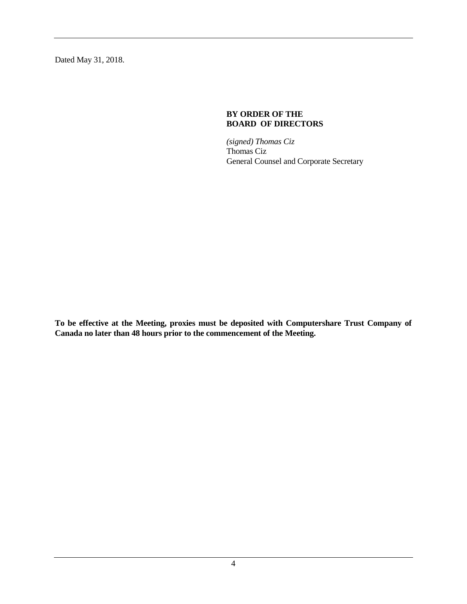Dated May 31, 2018.

#### **BY ORDER OF THE BOARD OF DIRECTORS**

*(signed) Thomas Ciz* Thomas Ciz General Counsel and Corporate Secretary

**To be effective at the Meeting, proxies must be deposited with Computershare Trust Company of Canada no later than 48 hours prior to the commencement of the Meeting.**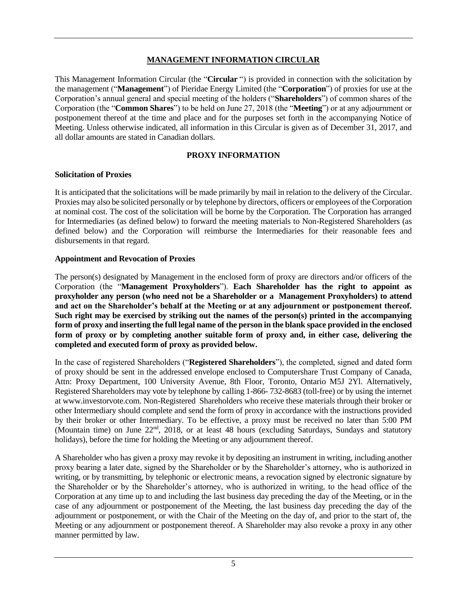#### **MANAGEMENT INFORMATION CIRCULAR**

This Management Information Circular (the "**Circular** ") is provided in connection with the solicitation by the management ("**Management**") of Pieridae Energy Limited (the "**Corporation**") of proxies for use at the Corporation's annual general and special meeting of the holders ("**Shareholders**") of common shares of the Corporation (the "**Common Shares**") to be held on June 27, 2018 (the "**Meeting**") or at any adjournment or postponement thereof at the time and place and for the purposes set forth in the accompanying Notice of Meeting. Unless otherwise indicated, all information in this Circular is given as of December 31, 2017, and all dollar amounts are stated in Canadian dollars.

## **PROXY INFORMATION**

#### **Solicitation of Proxies**

It is anticipated that the solicitations will be made primarily by mail in relation to the delivery of the Circular. Proxies may also be solicited personally or by telephone by directors, officers or employees of the Corporation at nominal cost. The cost of the solicitation will be borne by the Corporation. The Corporation has arranged for Intermediaries (as defined below) to forward the meeting materials to Non-Registered Shareholders (as defined below) and the Corporation will reimburse the Intermediaries for their reasonable fees and disbursements in that regard.

## **Appointment and Revocation of Proxies**

The person(s) designated by Management in the enclosed form of proxy are directors and/or officers of the Corporation (the "**Management Proxyholders**"). **Each Shareholder has the right to appoint as proxyholder any person (who need not be a Shareholder or a Management Proxyholders) to attend and act on the Shareholder's behalf at the Meeting or at any adjournment or postponement thereof. Such right may be exercised by striking out the names of the person(s) printed in the accompanying form of proxy and inserting the full legal name of the person in the blank space provided in the enclosed form of proxy or by completing another suitable form of proxy and, in either case, delivering the completed and executed form of proxy as provided below.**

In the case of registered Shareholders ("**Registered Shareholders**"), the completed, signed and dated form of proxy should be sent in the addressed envelope enclosed to Computershare Trust Company of Canada, Attn: Proxy Department, 100 University Avenue, 8th Floor, Toronto, Ontario M5J 2Yl. Alternatively, Registered Shareholders may vote by telephone by calling 1-866- 732-8683 (toll-free) or by using the internet at www.investorvote.com. Non-Registered Shareholders who receive these materials through their broker or other Intermediary should complete and send the form of proxy in accordance with the instructions provided by their broker or other Intermediary. To be effective, a proxy must be received no later than 5:00 PM (Mountain time) on June 22<sup>nd</sup>, 2018, or at least 48 hours (excluding Saturdays, Sundays and statutory holidays), before the time for holding the Meeting or any adjournment thereof.

A Shareholder who has given a proxy may revoke it by depositing an instrument in writing, including another proxy bearing a later date, signed by the Shareholder or by the Shareholder's attorney, who is authorized in writing, or by transmitting, by telephonic or electronic means, a revocation signed by electronic signature by the Shareholder or by the Shareholder's attorney, who is authorized in writing, to the head office of the Corporation at any time up to and including the last business day preceding the day of the Meeting, or in the case of any adjournment or postponement of the Meeting, the last business day preceding the day of the adjournment or postponement, or with the Chair of the Meeting on the day of, and prior to the start of, the Meeting or any adjournment or postponement thereof. A Shareholder may also revoke a proxy in any other manner permitted by law.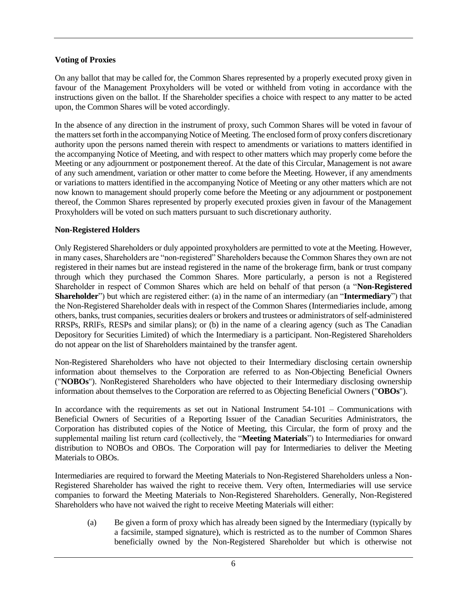## **Voting of Proxies**

On any ballot that may be called for, the Common Shares represented by a properly executed proxy given in favour of the Management Proxyholders will be voted or withheld from voting in accordance with the instructions given on the ballot. If the Shareholder specifies a choice with respect to any matter to be acted upon, the Common Shares will be voted accordingly.

In the absence of any direction in the instrument of proxy, such Common Shares will be voted in favour of the matters set forth in the accompanying Notice of Meeting. The enclosed form of proxy confers discretionary authority upon the persons named therein with respect to amendments or variations to matters identified in the accompanying Notice of Meeting, and with respect to other matters which may properly come before the Meeting or any adjournment or postponement thereof. At the date of this Circular, Management is not aware of any such amendment, variation or other matter to come before the Meeting. However, if any amendments or variations to matters identified in the accompanying Notice of Meeting or any other matters which are not now known to management should properly come before the Meeting or any adjournment or postponement thereof, the Common Shares represented by properly executed proxies given in favour of the Management Proxyholders will be voted on such matters pursuant to such discretionary authority.

## **Non-Registered Holders**

Only Registered Shareholders or duly appointed proxyholders are permitted to vote at the Meeting. However, in many cases, Shareholders are "non-registered" Shareholders because the Common Shares they own are not registered in their names but are instead registered in the name of the brokerage firm, bank or trust company through which they purchased the Common Shares. More particularly, a person is not a Registered Shareholder in respect of Common Shares which are held on behalf of that person (a "**Non-Registered Shareholder**") but which are registered either: (a) in the name of an intermediary (an "**Intermediary**") that the Non-Registered Shareholder deals with in respect of the Common Shares (Intermediaries include, among others, banks, trust companies, securities dealers or brokers and trustees or administrators of self-administered RRSPs, RRlFs, RESPs and similar plans); or (b) in the name of a clearing agency (such as The Canadian Depository for Securities Limited) of which the Intermediary is a participant. Non-Registered Shareholders do not appear on the list of Shareholders maintained by the transfer agent.

Non-Registered Shareholders who have not objected to their Intermediary disclosing certain ownership information about themselves to the Corporation are referred to as Non-Objecting Beneficial Owners ("**NOBOs**"). NonRegistered Shareholders who have objected to their Intermediary disclosing ownership information about themselves to the Corporation are referred to as Objecting Beneficial Owners ("**OBOs**").

In accordance with the requirements as set out in National Instrument 54-101 – Communications with Beneficial Owners of Securities of a Reporting Issuer of the Canadian Securities Administrators, the Corporation has distributed copies of the Notice of Meeting, this Circular, the form of proxy and the supplemental mailing list return card (collectively, the "**Meeting Materials**") to Intermediaries for onward distribution to NOBOs and OBOs. The Corporation will pay for Intermediaries to deliver the Meeting Materials to OBOs.

Intermediaries are required to forward the Meeting Materials to Non-Registered Shareholders unless a Non-Registered Shareholder has waived the right to receive them. Very often, Intermediaries will use service companies to forward the Meeting Materials to Non-Registered Shareholders. Generally, Non-Registered Shareholders who have not waived the right to receive Meeting Materials will either:

(a) Be given a form of proxy which has already been signed by the Intermediary (typically by a facsimile, stamped signature), which is restricted as to the number of Common Shares beneficially owned by the Non-Registered Shareholder but which is otherwise not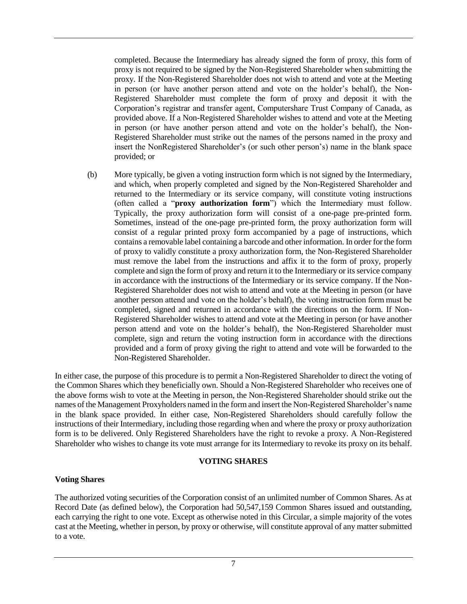completed. Because the Intermediary has already signed the form of proxy, this form of proxy is not required to be signed by the Non-Registered Shareholder when submitting the proxy. If the Non-Registered Shareholder does not wish to attend and vote at the Meeting in person (or have another person attend and vote on the holder's behalf), the Non-Registered Shareholder must complete the form of proxy and deposit it with the Corporation's registrar and transfer agent, Computershare Trust Company of Canada, as provided above. If a Non-Registered Shareholder wishes to attend and vote at the Meeting in person (or have another person attend and vote on the holder's behalf), the Non-Registered Shareholder must strike out the names of the persons named in the proxy and insert the NonRegistered Shareholder's (or such other person's) name in the blank space provided; or

(b) More typically, be given a voting instruction form which is not signed by the Intermediary, and which, when properly completed and signed by the Non-Registered Shareholder and returned to the Intermediary or its service company, will constitute voting instructions (often called a "**proxy authorization form**") which the Intermediary must follow. Typically, the proxy authorization form will consist of a one-page pre-printed form. Sometimes, instead of the one-page pre-printed form, the proxy authorization form will consist of a regular printed proxy form accompanied by a page of instructions, which contains a removable label containing a barcode and other information. In order for the form of proxy to validly constitute a proxy authorization form, the Non-Registered Shareholder must remove the label from the instructions and affix it to the form of proxy, properly complete and sign the form of proxy and return it to the Intermediary or its service company in accordance with the instructions of the Intermediary or its service company. If the Non-Registered Shareholder does not wish to attend and vote at the Meeting in person (or have another person attend and vote on the holder's behalf), the voting instruction form must be completed, signed and returned in accordance with the directions on the form. If Non-Registered Shareholder wishes to attend and vote at the Meeting in person (or have another person attend and vote on the holder's behalf), the Non-Registered Shareholder must complete, sign and return the voting instruction form in accordance with the directions provided and a form of proxy giving the right to attend and vote will be forwarded to the Non-Registered Shareholder.

In either case, the purpose of this procedure is to permit a Non-Registered Shareholder to direct the voting of the Common Shares which they beneficially own. Should a Non-Registered Shareholder who receives one of the above forms wish to vote at the Meeting in person, the Non-Registered Shareholder should strike out the names of the Management Proxyholders named in the form and insert the Non-Registered Shareholder's name in the blank space provided. In either case, Non-Registered Shareholders should carefully follow the instructions of their Intermediary, including those regarding when and where the proxy or proxy authorization form is to be delivered. Only Registered Shareholders have the right to revoke a proxy. A Non-Registered Shareholder who wishes to change its vote must arrange for its Intermediary to revoke its proxy on its behalf.

#### **VOTING SHARES**

#### **Voting Shares**

The authorized voting securities of the Corporation consist of an unlimited number of Common Shares. As at Record Date (as defined below), the Corporation had 50,547,159 Common Shares issued and outstanding, each carrying the right to one vote. Except as otherwise noted in this Circular, a simple majority of the votes cast at the Meeting, whether in person, by proxy or otherwise, will constitute approval of any matter submitted to a vote.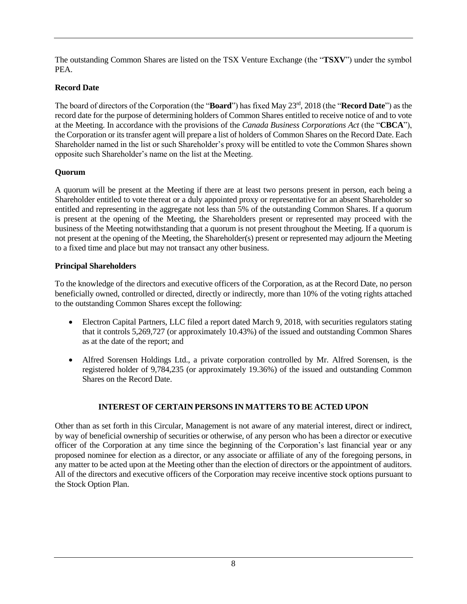The outstanding Common Shares are listed on the TSX Venture Exchange (the "**TSXV**") under the symbol PEA.

# **Record Date**

The board of directors of the Corporation (the "**Board**") has fixed May 23rd , 2018 (the "**Record Date**") as the record date for the purpose of determining holders of Common Shares entitled to receive notice of and to vote at the Meeting. In accordance with the provisions of the *Canada Business Corporations Act* (the "**CBCA**"), the Corporation or its transfer agent will prepare a list of holders of Common Shares on the Record Date. Each Shareholder named in the list or such Shareholder's proxy will be entitled to vote the Common Shares shown opposite such Shareholder's name on the list at the Meeting.

# **Quorum**

A quorum will be present at the Meeting if there are at least two persons present in person, each being a Shareholder entitled to vote thereat or a duly appointed proxy or representative for an absent Shareholder so entitled and representing in the aggregate not less than 5% of the outstanding Common Shares. If a quorum is present at the opening of the Meeting, the Shareholders present or represented may proceed with the business of the Meeting notwithstanding that a quorum is not present throughout the Meeting. If a quorum is not present at the opening of the Meeting, the Shareholder(s) present or represented may adjourn the Meeting to a fixed time and place but may not transact any other business.

# **Principal Shareholders**

To the knowledge of the directors and executive officers of the Corporation, as at the Record Date, no person beneficially owned, controlled or directed, directly or indirectly, more than 10% of the voting rights attached to the outstanding Common Shares except the following:

- Electron Capital Partners, LLC filed a report dated March 9, 2018, with securities regulators stating that it controls 5,269,727 (or approximately 10.43%) of the issued and outstanding Common Shares as at the date of the report; and
- Alfred Sorensen Holdings Ltd., a private corporation controlled by Mr. Alfred Sorensen, is the registered holder of 9,784,235 (or approximately 19.36%) of the issued and outstanding Common Shares on the Record Date.

# **INTEREST OF CERTAIN PERSONS IN MATTERS TO BE ACTED UPON**

Other than as set forth in this Circular, Management is not aware of any material interest, direct or indirect, by way of beneficial ownership of securities or otherwise, of any person who has been a director or executive officer of the Corporation at any time since the beginning of the Corporation's last financial year or any proposed nominee for election as a director, or any associate or affiliate of any of the foregoing persons, in any matter to be acted upon at the Meeting other than the election of directors or the appointment of auditors. All of the directors and executive officers of the Corporation may receive incentive stock options pursuant to the Stock Option Plan.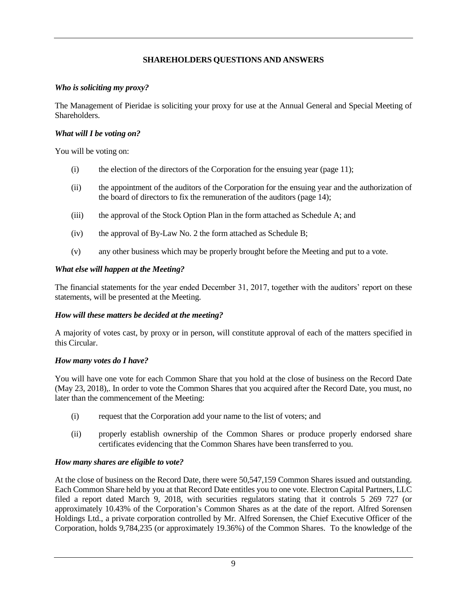## **SHAREHOLDERS QUESTIONS AND ANSWERS**

#### *Who is soliciting my proxy?*

The Management of Pieridae is soliciting your proxy for use at the Annual General and Special Meeting of Shareholders.

## *What will I be voting on?*

You will be voting on:

- $(i)$  the election of the directors of the Corporation for the ensuing year (page 11);
- (ii) the appointment of the auditors of the Corporation for the ensuing year and the authorization of the board of directors to fix the remuneration of the auditors (page 14);
- (iii) the approval of the Stock Option Plan in the form attached as Schedule A; and
- (iv) the approval of By-Law No. 2 the form attached as Schedule B;
- (v) any other business which may be properly brought before the Meeting and put to a vote.

## *What else will happen at the Meeting?*

The financial statements for the year ended December 31, 2017, together with the auditors' report on these statements, will be presented at the Meeting.

## *How will these matters be decided at the meeting?*

A majority of votes cast, by proxy or in person, will constitute approval of each of the matters specified in this Circular.

#### *How many votes do I have?*

You will have one vote for each Common Share that you hold at the close of business on the Record Date (May 23, 2018),. In order to vote the Common Shares that you acquired after the Record Date, you must, no later than the commencement of the Meeting:

- (i) request that the Corporation add your name to the list of voters; and
- (ii) properly establish ownership of the Common Shares or produce properly endorsed share certificates evidencing that the Common Shares have been transferred to you.

## *How many shares are eligible to vote?*

At the close of business on the Record Date, there were 50,547,159 Common Shares issued and outstanding. Each Common Share held by you at that Record Date entitles you to one vote. Electron Capital Partners, LLC filed a report dated March 9, 2018, with securities regulators stating that it controls 5 269 727 (or approximately 10.43% of the Corporation's Common Shares as at the date of the report. Alfred Sorensen Holdings Ltd., a private corporation controlled by Mr. Alfred Sorensen, the Chief Executive Officer of the Corporation, holds 9,784,235 (or approximately 19.36%) of the Common Shares. To the knowledge of the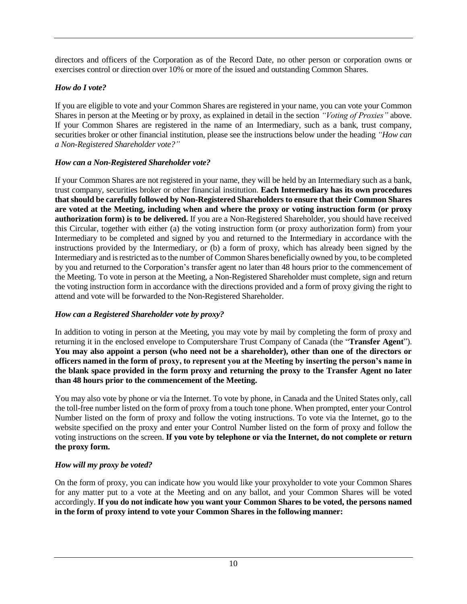directors and officers of the Corporation as of the Record Date, no other person or corporation owns or exercises control or direction over 10% or more of the issued and outstanding Common Shares.

# *How do I vote?*

If you are eligible to vote and your Common Shares are registered in your name, you can vote your Common Shares in person at the Meeting or by proxy, as explained in detail in the section *"Voting of Proxies"* above. If your Common Shares are registered in the name of an Intermediary, such as a bank, trust company, securities broker or other financial institution, please see the instructions below under the heading *"How can a Non-Registered Shareholder vote?"*

# *How can a Non-Registered Shareholder vote?*

If your Common Shares are not registered in your name, they will be held by an Intermediary such as a bank, trust company, securities broker or other financial institution. **Each Intermediary has its own procedures that should be carefully followed by Non-Registered Shareholders to ensure that their Common Shares are voted at the Meeting, including when and where the proxy or voting instruction form (or proxy authorization form) is to be delivered.** If you are a Non-Registered Shareholder, you should have received this Circular, together with either (a) the voting instruction form (or proxy authorization form) from your Intermediary to be completed and signed by you and returned to the Intermediary in accordance with the instructions provided by the Intermediary, or (b) a form of proxy, which has already been signed by the Intermediary and is restricted as to the number of Common Shares beneficially owned by you, to be completed by you and returned to the Corporation's transfer agent no later than 48 hours prior to the commencement of the Meeting. To vote in person at the Meeting, a Non-Registered Shareholder must complete, sign and return the voting instruction form in accordance with the directions provided and a form of proxy giving the right to attend and vote will be forwarded to the Non-Registered Shareholder.

# *How can a Registered Shareholder vote by proxy?*

In addition to voting in person at the Meeting, you may vote by mail by completing the form of proxy and returning it in the enclosed envelope to Computershare Trust Company of Canada (the "**Transfer Agent**"). **You may also appoint a person (who need not be a shareholder), other than one of the directors or officers named in the form of proxy, to represent you at the Meeting by inserting the person's name in the blank space provided in the form proxy and returning the proxy to the Transfer Agent no later than 48 hours prior to the commencement of the Meeting.**

You may also vote by phone or via the Internet. To vote by phone, in Canada and the United States only, call the toll-free number listed on the form of proxy from a touch tone phone. When prompted, enter your Control Number listed on the form of proxy and follow the voting instructions. To vote via the Internet, go to the website specified on the proxy and enter your Control Number listed on the form of proxy and follow the voting instructions on the screen. **If you vote by telephone or via the Internet, do not complete or return the proxy form.**

# *How will my proxy be voted?*

On the form of proxy, you can indicate how you would like your proxyholder to vote your Common Shares for any matter put to a vote at the Meeting and on any ballot, and your Common Shares will be voted accordingly. **If you do not indicate how you want your Common Shares to be voted, the persons named in the form of proxy intend to vote your Common Shares in the following manner:**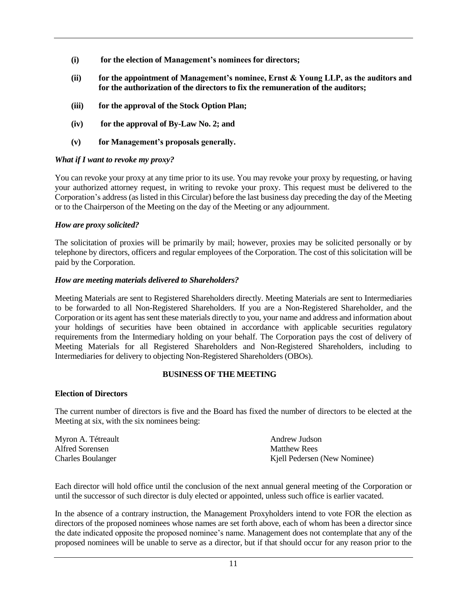- **(i) for the election of Management's nominees for directors;**
- **(ii) for the appointment of Management's nominee, Ernst & Young LLP, as the auditors and for the authorization of the directors to fix the remuneration of the auditors;**
- **(iii) for the approval of the Stock Option Plan;**
- **(iv) for the approval of By-Law No. 2; and**
- **(v) for Management's proposals generally.**

#### *What if I want to revoke my proxy?*

You can revoke your proxy at any time prior to its use. You may revoke your proxy by requesting, or having your authorized attorney request, in writing to revoke your proxy. This request must be delivered to the Corporation's address (as listed in this Circular) before the last business day preceding the day of the Meeting or to the Chairperson of the Meeting on the day of the Meeting or any adjournment.

#### *How are proxy solicited?*

The solicitation of proxies will be primarily by mail; however, proxies may be solicited personally or by telephone by directors, officers and regular employees of the Corporation. The cost of this solicitation will be paid by the Corporation.

#### *How are meeting materials delivered to Shareholders?*

Meeting Materials are sent to Registered Shareholders directly. Meeting Materials are sent to Intermediaries to be forwarded to all Non-Registered Shareholders. If you are a Non-Registered Shareholder, and the Corporation or its agent has sent these materials directly to you, your name and address and information about your holdings of securities have been obtained in accordance with applicable securities regulatory requirements from the Intermediary holding on your behalf. The Corporation pays the cost of delivery of Meeting Materials for all Registered Shareholders and Non-Registered Shareholders, including to Intermediaries for delivery to objecting Non-Registered Shareholders (OBOs).

#### **BUSINESS OF THE MEETING**

#### **Election of Directors**

The current number of directors is five and the Board has fixed the number of directors to be elected at the Meeting at six, with the six nominees being:

| Myron A. Tétreault       | Andrew Judson                |
|--------------------------|------------------------------|
| Alfred Sorensen          | <b>Matthew Rees</b>          |
| <b>Charles Boulanger</b> | Kjell Pedersen (New Nominee) |

Each director will hold office until the conclusion of the next annual general meeting of the Corporation or until the successor of such director is duly elected or appointed, unless such office is earlier vacated.

In the absence of a contrary instruction, the Management Proxyholders intend to vote FOR the election as directors of the proposed nominees whose names are set forth above, each of whom has been a director since the date indicated opposite the proposed nominee's name. Management does not contemplate that any of the proposed nominees will be unable to serve as a director, but if that should occur for any reason prior to the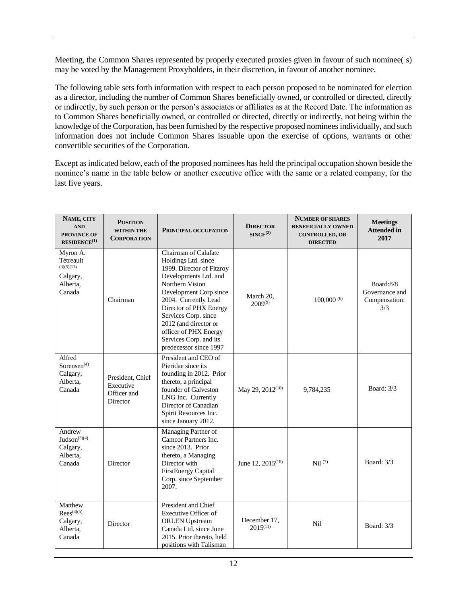Meeting, the Common Shares represented by properly executed proxies given in favour of such nominee( s) may be voted by the Management Proxyholders, in their discretion, in favour of another nominee.

The following table sets forth information with respect to each person proposed to be nominated for election as a director, including the number of Common Shares beneficially owned, or controlled or directed, directly or indirectly, by such person or the person's associates or affiliates as at the Record Date. The information as to Common Shares beneficially owned, or controlled or directed, directly or indirectly, not being within the knowledge of the Corporation, has been furnished by the respective proposed nominees individually, and such information does not include Common Shares issuable upon the exercise of options, warrants or other convertible securities of the Corporation.

Except as indicated below, each of the proposed nominees has held the principal occupation shown beside the nominee's name in the table below or another executive office with the same or a related company, for the last five years.

| NAME, CITY<br><b>AND</b><br><b>PROVINCE OF</b><br>$RESIDENCE^{(1)}$   | <b>POSITION</b><br><b>WITHIN THE</b><br><b>CORPORATION</b> | PRINCIPAL OCCUPATION                                                                                                                                                                                                                                                                                                           | <b>DIRECTOR</b><br>SINCE <sup>(2)</sup> | <b>NUMBER OF SHARES</b><br><b>BENEFICIALLY OWNED</b><br><b>CONTROLLED, OR</b><br><b>DIRECTED</b> | <b>Meetings</b><br><b>Attended in</b><br>2017       |
|-----------------------------------------------------------------------|------------------------------------------------------------|--------------------------------------------------------------------------------------------------------------------------------------------------------------------------------------------------------------------------------------------------------------------------------------------------------------------------------|-----------------------------------------|--------------------------------------------------------------------------------------------------|-----------------------------------------------------|
| Myron A.<br>Tétreault<br>(3)(5)(11)<br>Calgary,<br>Alberta,<br>Canada | Chairman                                                   | Chairman of Calafate<br>Holdings Ltd. since<br>1999. Director of Fitzroy<br>Developments Ltd. and<br>Northern Vision<br>Development Corp since<br>2004. Currently Lead<br>Director of PHX Energy<br>Services Corp. since<br>2012 (and director or<br>officer of PHX Energy<br>Services Corp. and its<br>predecessor since 1997 | March 20,<br>$2009^{(9)}$               | $100,000^{(6)}$                                                                                  | Board:8/8<br>Governance and<br>Compensation:<br>3/3 |
| Alfred<br>Sorensen $(4)$<br>Calgary,<br>Alberta.<br>Canada            | President, Chief<br>Executive<br>Officer and<br>Director   | President and CEO of<br>Pieridae since its<br>founding in 2012. Prior<br>thereto, a principal<br>founder of Galveston<br>LNG Inc. Currently<br>Director of Canadian<br>Spirit Resources Inc.<br>since January 2012.                                                                                                            | May 29, 2012 <sup>(10)</sup>            | 9,784,235                                                                                        | Board: 3/3                                          |
| Andrew<br>$Judson^{(3)(4)}$<br>Calgary,<br>Alberta,<br>Canada         | Director                                                   | Managing Partner of<br>Camcor Partners Inc.<br>since 2013. Prior<br>thereto, a Managing<br>Director with<br>FirstEnergy Capital<br>Corp. since September<br>2007.                                                                                                                                                              | June 12, $2015^{(10)}$                  | Nil <sup>(7)</sup>                                                                               | <b>Board:</b> 3/3                                   |
| Matthew<br>$Rees^{(4)(5)}$<br>Calgary,<br>Alberta,<br>Canada          | Director                                                   | President and Chief<br>Executive Officer of<br><b>ORLEN</b> Upstream<br>Canada Ltd. since June<br>2015. Prior thereto, held<br>positions with Talisman                                                                                                                                                                         | December 17,<br>$2015^{(11)}$           | Nil                                                                                              | <b>Board:</b> 3/3                                   |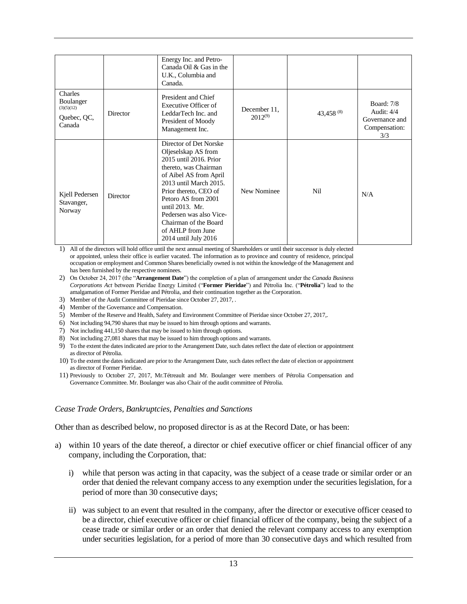|                                                             |          | Energy Inc. and Petro-<br>Canada Oil & Gas in the<br>U.K., Columbia and<br>Canada.                                                                                                                                                                                                                                       |                              |            |                                                                             |
|-------------------------------------------------------------|----------|--------------------------------------------------------------------------------------------------------------------------------------------------------------------------------------------------------------------------------------------------------------------------------------------------------------------------|------------------------------|------------|-----------------------------------------------------------------------------|
| Charles<br>Boulanger<br>(3)(5)(12)<br>Quebec, QC,<br>Canada | Director | President and Chief<br>Executive Officer of<br>LeddarTech Inc. and<br>President of Moody<br>Management Inc.                                                                                                                                                                                                              | December 11.<br>$2012^{(9)}$ | 43,458 (8) | <b>Board:</b> 7/8<br>Audit: $4/4$<br>Governance and<br>Compensation:<br>3/3 |
| Kjell Pedersen<br>Stavanger,<br>Norway                      | Director | Director of Det Norske<br>Oljeselskap AS from<br>2015 until 2016. Prior<br>thereto, was Chairman<br>of Aibel AS from April<br>2013 until March 2015.<br>Prior thereto, CEO of<br>Petoro AS from 2001<br>until 2013. Mr.<br>Pedersen was also Vice-<br>Chairman of the Board<br>of AHLP from June<br>2014 until July 2016 | New Nominee                  | Nil        | N/A                                                                         |

1) All of the directors will hold office until the next annual meeting of Shareholders or until their successor is duly elected or appointed, unless their office is earlier vacated. The information as to province and country of residence, principal occupation or employment and Common Shares beneficially owned is not within the knowledge of the Management and has been furnished by the respective nominees.

- 2) On October 24, 2017 (the "**Arrangement Date**") the completion of a plan of arrangement under the *Canada Business Corporations Act* between Pieridae Energy Limited ("**Former Pieridae**") and Pétrolia Inc. ("**Pétrolia**") lead to the amalgamation of Former Pieridae and Pétrolia, and their continuation together as the Corporation.
- 3) Member of the Audit Committee of Pieridae since October 27, 2017, .
- 4) Member of the Governance and Compensation.
- 5) Member of the Reserve and Health, Safety and Environment Committee of Pieridae since October 27, 2017,.
- 6) Not including 94,790 shares that may be issued to him through options and warrants.
- 7) Not including 441,150 shares that may be issued to him through options.
- 8) Not including 27,081 shares that may be issued to him through options and warrants.
- 9) To the extent the dates indicated are prior to the Arrangement Date, such dates reflect the date of election or appointment as director of Pétrolia.
- 10) To the extent the dates indicated are prior to the Arrangement Date, such dates reflect the date of election or appointment as director of Former Pieridae.
- 11) Previously to October 27, 2017, Mr.Tétreault and Mr. Boulanger were members of Pétrolia Compensation and Governance Committee. Mr. Boulanger was also Chair of the audit committee of Pétrolia.

#### *Cease Trade Orders, Bankruptcies, Penalties and Sanctions*

Other than as described below, no proposed director is as at the Record Date, or has been:

- a) within 10 years of the date thereof, a director or chief executive officer or chief financial officer of any company, including the Corporation, that:
	- i) while that person was acting in that capacity, was the subject of a cease trade or similar order or an order that denied the relevant company access to any exemption under the securities legislation, for a period of more than 30 consecutive days;
	- ii) was subject to an event that resulted in the company, after the director or executive officer ceased to be a director, chief executive officer or chief financial officer of the company, being the subject of a cease trade or similar order or an order that denied the relevant company access to any exemption under securities legislation, for a period of more than 30 consecutive days and which resulted from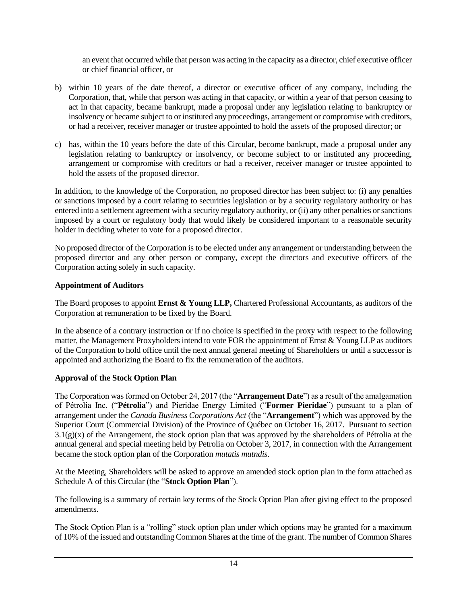an event that occurred while that person was acting in the capacity as a director, chief executive officer or chief financial officer, or

- b) within 10 years of the date thereof, a director or executive officer of any company, including the Corporation, that, while that person was acting in that capacity, or within a year of that person ceasing to act in that capacity, became bankrupt, made a proposal under any legislation relating to bankruptcy or insolvency or became subject to or instituted any proceedings, arrangement or compromise with creditors, or had a receiver, receiver manager or trustee appointed to hold the assets of the proposed director; or
- c) has, within the 10 years before the date of this Circular, become bankrupt, made a proposal under any legislation relating to bankruptcy or insolvency, or become subject to or instituted any proceeding, arrangement or compromise with creditors or had a receiver, receiver manager or trustee appointed to hold the assets of the proposed director.

In addition, to the knowledge of the Corporation, no proposed director has been subject to: (i) any penalties or sanctions imposed by a court relating to securities legislation or by a security regulatory authority or has entered into a settlement agreement with a security regulatory authority, or (ii) any other penalties or sanctions imposed by a court or regulatory body that would likely be considered important to a reasonable security holder in deciding wheter to vote for a proposed director.

No proposed director of the Corporation is to be elected under any arrangement or understanding between the proposed director and any other person or company, except the directors and executive officers of the Corporation acting solely in such capacity.

# **Appointment of Auditors**

The Board proposes to appoint **Ernst & Young LLP,** Chartered Professional Accountants, as auditors of the Corporation at remuneration to be fixed by the Board.

In the absence of a contrary instruction or if no choice is specified in the proxy with respect to the following matter, the Management Proxyholders intend to vote FOR the appointment of Ernst & Young LLP as auditors of the Corporation to hold office until the next annual general meeting of Shareholders or until a successor is appointed and authorizing the Board to fix the remuneration of the auditors.

# **Approval of the Stock Option Plan**

The Corporation was formed on October 24, 2017 (the "**Arrangement Date**") as a result of the amalgamation of Pétrolia Inc. ("**Pétrolia**") and Pieridae Energy Limited ("**Former Pieridae**") pursuant to a plan of arrangement under the *Canada Business Corporations Act* (the "**Arrangement**") which was approved by the Superior Court (Commercial Division) of the Province of Québec on October 16, 2017. Pursuant to section  $3.1(g)(x)$  of the Arrangement, the stock option plan that was approved by the shareholders of Pétrolia at the annual general and special meeting held by Petrolia on October 3, 2017, in connection with the Arrangement became the stock option plan of the Corporation *mutatis mutndis*.

At the Meeting, Shareholders will be asked to approve an amended stock option plan in the form attached as Schedule A of this Circular (the "**Stock Option Plan**").

The following is a summary of certain key terms of the Stock Option Plan after giving effect to the proposed amendments.

The Stock Option Plan is a "rolling" stock option plan under which options may be granted for a maximum of 10% of the issued and outstanding Common Shares at the time of the grant. The number of Common Shares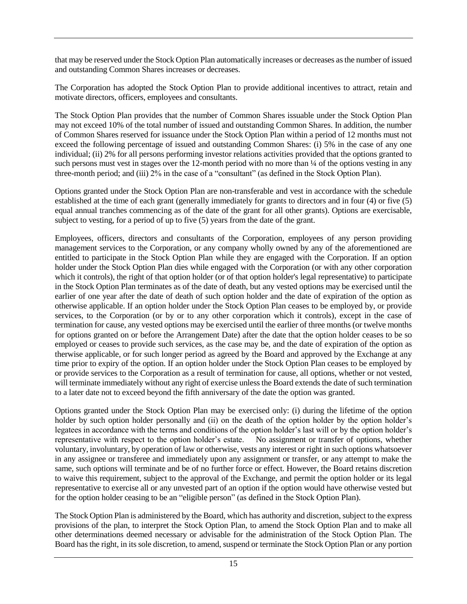that may be reserved under the Stock Option Plan automatically increases or decreases as the number of issued and outstanding Common Shares increases or decreases.

The Corporation has adopted the Stock Option Plan to provide additional incentives to attract, retain and motivate directors, officers, employees and consultants.

The Stock Option Plan provides that the number of Common Shares issuable under the Stock Option Plan may not exceed 10% of the total number of issued and outstanding Common Shares. In addition, the number of Common Shares reserved for issuance under the Stock Option Plan within a period of 12 months must not exceed the following percentage of issued and outstanding Common Shares: (i) 5% in the case of any one individual; (ii) 2% for all persons performing investor relations activities provided that the options granted to such persons must vest in stages over the 12-month period with no more than  $\frac{1}{4}$  of the options vesting in any three-month period; and (iii) 2% in the case of a "consultant" (as defined in the Stock Option Plan).

Options granted under the Stock Option Plan are non-transferable and vest in accordance with the schedule established at the time of each grant (generally immediately for grants to directors and in four (4) or five (5) equal annual tranches commencing as of the date of the grant for all other grants). Options are exercisable, subject to vesting, for a period of up to five (5) years from the date of the grant.

Employees, officers, directors and consultants of the Corporation, employees of any person providing management services to the Corporation, or any company wholly owned by any of the aforementioned are entitled to participate in the Stock Option Plan while they are engaged with the Corporation. If an option holder under the Stock Option Plan dies while engaged with the Corporation (or with any other corporation which it controls), the right of that option holder (or of that option holder's legal representative) to participate in the Stock Option Plan terminates as of the date of death, but any vested options may be exercised until the earlier of one year after the date of death of such option holder and the date of expiration of the option as otherwise applicable. If an option holder under the Stock Option Plan ceases to be employed by, or provide services, to the Corporation (or by or to any other corporation which it controls), except in the case of termination for cause, any vested options may be exercised until the earlier of three months (or twelve months for options granted on or before the Arrangement Date) after the date that the option holder ceases to be so employed or ceases to provide such services, as the case may be, and the date of expiration of the option as therwise applicable, or for such longer period as agreed by the Board and approved by the Exchange at any time prior to expiry of the option. If an option holder under the Stock Option Plan ceases to be employed by or provide services to the Corporation as a result of termination for cause, all options, whether or not vested, will terminate immediately without any right of exercise unless the Board extends the date of such termination to a later date not to exceed beyond the fifth anniversary of the date the option was granted.

Options granted under the Stock Option Plan may be exercised only: (i) during the lifetime of the option holder by such option holder personally and (ii) on the death of the option holder by the option holder's legatees in accordance with the terms and conditions of the option holder's last will or by the option holder's representative with respect to the option holder's estate. No assignment or transfer of options, whether voluntary, involuntary, by operation of law or otherwise, vests any interest or right in such options whatsoever in any assignee or transferee and immediately upon any assignment or transfer, or any attempt to make the same, such options will terminate and be of no further force or effect. However, the Board retains discretion to waive this requirement, subject to the approval of the Exchange, and permit the option holder or its legal representative to exercise all or any unvested part of an option if the option would have otherwise vested but for the option holder ceasing to be an "eligible person" (as defined in the Stock Option Plan).

The Stock Option Plan is administered by the Board, which has authority and discretion, subject to the express provisions of the plan, to interpret the Stock Option Plan, to amend the Stock Option Plan and to make all other determinations deemed necessary or advisable for the administration of the Stock Option Plan. The Board has the right, in its sole discretion, to amend, suspend or terminate the Stock Option Plan or any portion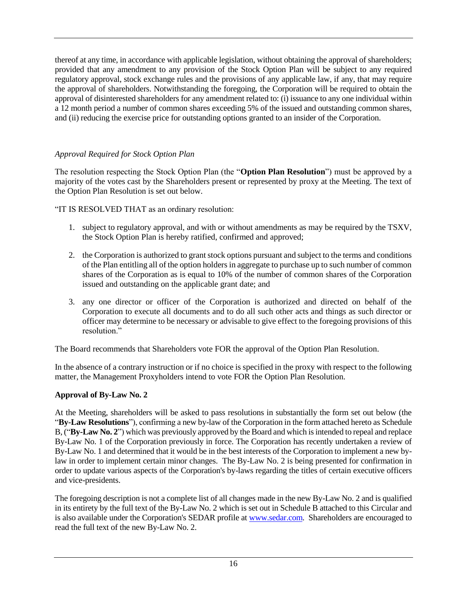thereof at any time, in accordance with applicable legislation, without obtaining the approval of shareholders; provided that any amendment to any provision of the Stock Option Plan will be subject to any required regulatory approval, stock exchange rules and the provisions of any applicable law, if any, that may require the approval of shareholders. Notwithstanding the foregoing, the Corporation will be required to obtain the approval of disinterested shareholders for any amendment related to: (i) issuance to any one individual within a 12 month period a number of common shares exceeding 5% of the issued and outstanding common shares, and (ii) reducing the exercise price for outstanding options granted to an insider of the Corporation.

# *Approval Required for Stock Option Plan*

The resolution respecting the Stock Option Plan (the "**Option Plan Resolution**") must be approved by a majority of the votes cast by the Shareholders present or represented by proxy at the Meeting. The text of the Option Plan Resolution is set out below.

"IT IS RESOLVED THAT as an ordinary resolution:

- 1. subject to regulatory approval, and with or without amendments as may be required by the TSXV, the Stock Option Plan is hereby ratified, confirmed and approved;
- 2. the Corporation is authorized to grant stock options pursuant and subject to the terms and conditions of the Plan entitling all of the option holders in aggregate to purchase up to such number of common shares of the Corporation as is equal to 10% of the number of common shares of the Corporation issued and outstanding on the applicable grant date; and
- 3. any one director or officer of the Corporation is authorized and directed on behalf of the Corporation to execute all documents and to do all such other acts and things as such director or officer may determine to be necessary or advisable to give effect to the foregoing provisions of this resolution."

The Board recommends that Shareholders vote FOR the approval of the Option Plan Resolution.

In the absence of a contrary instruction or if no choice is specified in the proxy with respect to the following matter, the Management Proxyholders intend to vote FOR the Option Plan Resolution.

# **Approval of By-Law No. 2**

At the Meeting, shareholders will be asked to pass resolutions in substantially the form set out below (the "**By-Law Resolutions**"), confirming a new by-law of the Corporation in the form attached hereto as Schedule B, ("**By-Law No. 2**") which was previously approved by the Board and which is intended to repeal and replace By-Law No. 1 of the Corporation previously in force. The Corporation has recently undertaken a review of By-Law No. 1 and determined that it would be in the best interests of the Corporation to implement a new bylaw in order to implement certain minor changes. The By-Law No. 2 is being presented for confirmation in order to update various aspects of the Corporation's by-laws regarding the titles of certain executive officers and vice-presidents.

The foregoing description is not a complete list of all changes made in the new By-Law No. 2 and is qualified in its entirety by the full text of the By-Law No. 2 which is set out in Schedule B attached to this Circular and is also available under the Corporation's SEDAR profile at www.sedar.com. Shareholders are encouraged to read the full text of the new By-Law No. 2.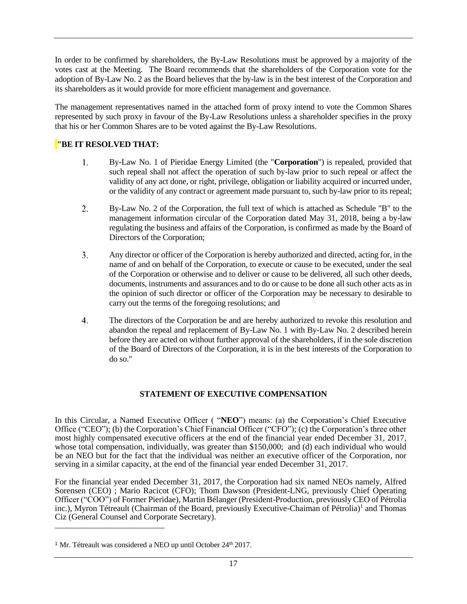In order to be confirmed by shareholders, the By-Law Resolutions must be approved by a majority of the votes cast at the Meeting. The Board recommends that the shareholders of the Corporation vote for the adoption of By-Law No. 2 as the Board believes that the by-law is in the best interest of the Corporation and its shareholders as it would provide for more efficient management and governance.

The management representatives named in the attached form of proxy intend to vote the Common Shares represented by such proxy in favour of the By-Law Resolutions unless a shareholder specifies in the proxy that his or her Common Shares are to be voted against the By-Law Resolutions.

# **"BE IT RESOLVED THAT:**

- 1. By-Law No. 1 of Pieridae Energy Limited (the "**Corporation**") is repealed, provided that such repeal shall not affect the operation of such by-law prior to such repeal or affect the validity of any act done, or right, privilege, obligation or liability acquired or incurred under, or the validity of any contract or agreement made pursuant to, such by-law prior to its repeal;
- $2.$ By-Law No. 2 of the Corporation, the full text of which is attached as Schedule "B" to the management information circular of the Corporation dated May 31, 2018, being a by-law regulating the business and affairs of the Corporation, is confirmed as made by the Board of Directors of the Corporation;
- $3.$ Any director or officer of the Corporation is hereby authorized and directed, acting for, in the name of and on behalf of the Corporation, to execute or cause to be executed, under the seal of the Corporation or otherwise and to deliver or cause to be delivered, all such other deeds, documents, instruments and assurances and to do or cause to be done all such other acts as in the opinion of such director or officer of the Corporation may be necessary to desirable to carry out the terms of the foregoing resolutions; and
- 4. The directors of the Corporation be and are hereby authorized to revoke this resolution and abandon the repeal and replacement of By-Law No. 1 with By-Law No. 2 described herein before they are acted on without further approval of the shareholders, if in the sole discretion of the Board of Directors of the Corporation, it is in the best interests of the Corporation to do so."

## **STATEMENT OF EXECUTIVE COMPENSATION**

In this Circular, a Named Executive Officer ( "**NEO**") means: (a) the Corporation's Chief Executive Office ("CEO"); (b) the Corporation's Chief Financial Officer ("CFO"); (c) the Corporation's three other most highly compensated executive officers at the end of the financial year ended December 31, 2017, whose total compensation, individually, was greater than \$150,000; and (d) each individual who would be an NEO but for the fact that the individual was neither an executive officer of the Corporation, nor serving in a similar capacity, at the end of the financial year ended December 31, 2017.

For the financial year ended December 31, 2017, the Corporation had six named NEOs namely, Alfred Sorensen (CEO); Mario Racicot (CFO); Thom Dawson (President-LNG, previously Chief Operating Officer ("COO") of Former Pieridae), Martin Bélanger (President-Production, previously CEO of Pétrolia inc.), Myron Tétreault (Chairman of the Board, previously Executive-Chaiman of Pétrolia)<sup>1</sup> and Thomas Ciz (General Counsel and Corporate Secretary).

<sup>&</sup>lt;sup>1</sup> Mr. Tétreault was considered a NEO up until October  $24<sup>th</sup> 2017$ .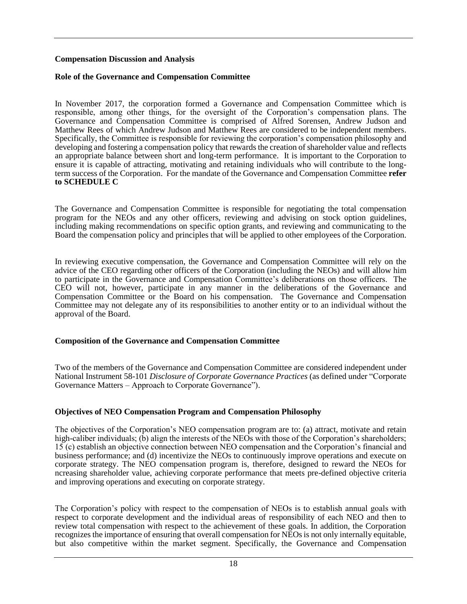#### **Compensation Discussion and Analysis**

#### **Role of the Governance and Compensation Committee**

In November 2017, the corporation formed a Governance and Compensation Committee which is responsible, among other things, for the oversight of the Corporation's compensation plans. The Governance and Compensation Committee is comprised of Alfred Sorensen, Andrew Judson and Matthew Rees of which Andrew Judson and Matthew Rees are considered to be independent members. Specifically, the Committee is responsible for reviewing the corporation's compensation philosophy and developing and fostering a compensation policy that rewards the creation of shareholder value and reflects an appropriate balance between short and long-term performance. It is important to the Corporation to ensure it is capable of attracting, motivating and retaining individuals who will contribute to the longterm success of the Corporation. For the mandate of the Governance and Compensation Committee **refer to SCHEDULE C**

The Governance and Compensation Committee is responsible for negotiating the total compensation program for the NEOs and any other officers, reviewing and advising on stock option guidelines, including making recommendations on specific option grants, and reviewing and communicating to the Board the compensation policy and principles that will be applied to other employees of the Corporation.

In reviewing executive compensation, the Governance and Compensation Committee will rely on the advice of the CEO regarding other officers of the Corporation (including the NEOs) and will allow him to participate in the Governance and Compensation Committee's deliberations on those officers. The CEO will not, however, participate in any manner in the deliberations of the Governance and Compensation Committee or the Board on his compensation. The Governance and Compensation Committee may not delegate any of its responsibilities to another entity or to an individual without the approval of the Board.

#### **Composition of the Governance and Compensation Committee**

Two of the members of the Governance and Compensation Committee are considered independent under National Instrument 58-101 *Disclosure of Corporate Governance Practices* (as defined under "Corporate Governance Matters – Approach to Corporate Governance").

#### **Objectives of NEO Compensation Program and Compensation Philosophy**

The objectives of the Corporation's NEO compensation program are to: (a) attract, motivate and retain high-caliber individuals;  $(\hat{b})$  align the interests of the NEOs with those of the Corporation's shareholders; 15 (c) establish an objective connection between NEO compensation and the Corporation's financial and business performance; and (d) incentivize the NEOs to continuously improve operations and execute on corporate strategy. The NEO compensation program is, therefore, designed to reward the NEOs for ncreasing shareholder value, achieving corporate performance that meets pre-defined objective criteria and improving operations and executing on corporate strategy.

The Corporation's policy with respect to the compensation of NEOs is to establish annual goals with respect to corporate development and the individual areas of responsibility of each NEO and then to review total compensation with respect to the achievement of these goals. In addition, the Corporation recognizes the importance of ensuring that overall compensation for NEOs is not only internally equitable, but also competitive within the market segment. Specifically, the Governance and Compensation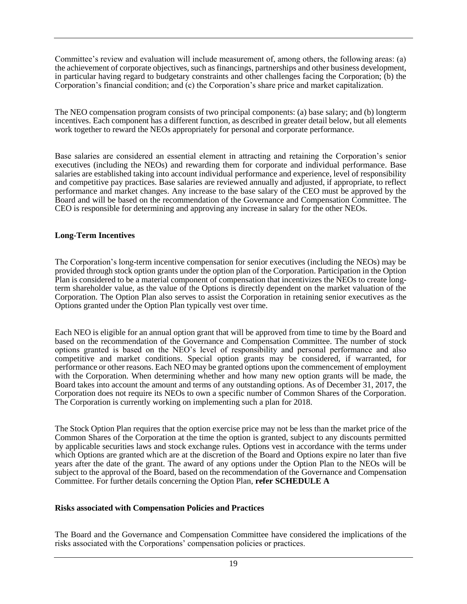Committee's review and evaluation will include measurement of, among others, the following areas: (a) the achievement of corporate objectives, such as financings, partnerships and other business development, in particular having regard to budgetary constraints and other challenges facing the Corporation; (b) the Corporation's financial condition; and (c) the Corporation's share price and market capitalization.

The NEO compensation program consists of two principal components: (a) base salary; and (b) longterm incentives. Each component has a different function, as described in greater detail below, but all elements work together to reward the NEOs appropriately for personal and corporate performance.

Base salaries are considered an essential element in attracting and retaining the Corporation's senior executives (including the NEOs) and rewarding them for corporate and individual performance. Base salaries are established taking into account individual performance and experience, level of responsibility and competitive pay practices. Base salaries are reviewed annually and adjusted, if appropriate, to reflect performance and market changes. Any increase to the base salary of the CEO must be approved by the Board and will be based on the recommendation of the Governance and Compensation Committee. The CEO is responsible for determining and approving any increase in salary for the other NEOs.

#### **Long-Term Incentives**

The Corporation's long-term incentive compensation for senior executives (including the NEOs) may be provided through stock option grants under the option plan of the Corporation. Participation in the Option Plan is considered to be a material component of compensation that incentivizes the NEOs to create longterm shareholder value, as the value of the Options is directly dependent on the market valuation of the Corporation. The Option Plan also serves to assist the Corporation in retaining senior executives as the Options granted under the Option Plan typically vest over time.

Each NEO is eligible for an annual option grant that will be approved from time to time by the Board and based on the recommendation of the Governance and Compensation Committee. The number of stock options granted is based on the NEO's level of responsibility and personal performance and also competitive and market conditions. Special option grants may be considered, if warranted, for performance or other reasons. Each NEO may be granted options upon the commencement of employment with the Corporation. When determining whether and how many new option grants will be made, the Board takes into account the amount and terms of any outstanding options. As of December 31, 2017, the Corporation does not require its NEOs to own a specific number of Common Shares of the Corporation. The Corporation is currently working on implementing such a plan for 2018.

The Stock Option Plan requires that the option exercise price may not be less than the market price of the Common Shares of the Corporation at the time the option is granted, subject to any discounts permitted by applicable securities laws and stock exchange rules. Options vest in accordance with the terms under which Options are granted which are at the discretion of the Board and Options expire no later than five years after the date of the grant. The award of any options under the Option Plan to the NEOs will be subject to the approval of the Board, based on the recommendation of the Governance and Compensation Committee. For further details concerning the Option Plan, **refer SCHEDULE A**

#### **Risks associated with Compensation Policies and Practices**

The Board and the Governance and Compensation Committee have considered the implications of the risks associated with the Corporations' compensation policies or practices.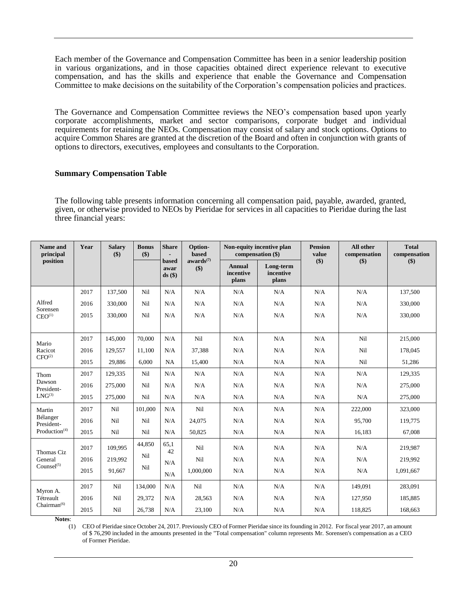Each member of the Governance and Compensation Committee has been in a senior leadership position in various organizations, and in those capacities obtained direct experience relevant to executive compensation, and has the skills and experience that enable the Governance and Compensation Committee to make decisions on the suitability of the Corporation's compensation policies and practices.

The Governance and Compensation Committee reviews the NEO's compensation based upon yearly corporate accomplishments, market and sector comparisons, corporate budget and individual requirements for retaining the NEOs. Compensation may consist of salary and stock options. Options to acquire Common Shares are granted at the discretion of the Board and often in conjunction with grants of options to directors, executives, employees and consultants to the Corporation.

#### **Summary Compensation Table**

The following table presents information concerning all compensation paid, payable, awarded, granted, given, or otherwise provided to NEOs by Pieridae for services in all capacities to Pieridae during the last three financial years:

| Name and<br>principal     | Year | <b>Salary</b><br>\$) | <b>Bonus</b><br>\$) | <b>Share</b>              | Option-<br><b>based</b>      | Non-equity incentive plan<br>compensation (\$) |                                 | <b>Pension</b><br>value | All other<br>compensation | <b>Total</b><br>compensation |
|---------------------------|------|----------------------|---------------------|---------------------------|------------------------------|------------------------------------------------|---------------------------------|-------------------------|---------------------------|------------------------------|
| position                  |      |                      |                     | based<br>awar<br>$ds($ \$ | awards <sup>(7)</sup><br>\$) | <b>Annual</b><br>incentive<br>plans            | Long-term<br>incentive<br>plans | $($)$                   | \$)                       | \$)                          |
|                           | 2017 | 137,500              | Nil                 | N/A                       | N/A                          | N/A                                            | N/A                             | N/A                     | N/A                       | 137,500                      |
| Alfred<br>Sorensen        | 2016 | 330,000              | Nil                 | N/A                       | N/A                          | N/A                                            | N/A                             | N/A                     | N/A                       | 330,000                      |
| CEO <sup>(1)</sup>        | 2015 | 330,000              | Nil                 | N/A                       | N/A                          | N/A                                            | N/A                             | N/A                     | N/A                       | 330,000                      |
|                           |      |                      |                     |                           |                              |                                                |                                 |                         |                           |                              |
| Mario                     | 2017 | 145,000              | 70,000              | N/A                       | Ni1                          | N/A                                            | N/A                             | N/A                     | Nil                       | 215,000                      |
| Racicot                   | 2016 | 129.557              | 11.100              | N/A                       | 37,388                       | N/A                                            | N/A                             | N/A                     | Nil                       | 178,045                      |
| CFO <sup>(2)</sup>        | 2015 | 29,886               | 6,000               | <b>NA</b>                 | 15,400                       | N/A                                            | N/A                             | N/A                     | Nil                       | 51,286                       |
| Thom                      | 2017 | 129,335              | Nil                 | N/A                       | N/A                          | N/A                                            | N/A                             | N/A                     | N/A                       | 129.335                      |
| Dawson<br>President-      | 2016 | 275,000              | Nil                 | N/A                       | N/A                          | N/A                                            | N/A                             | N/A                     | N/A                       | 275,000                      |
| $LNG^{(3)}$               | 2015 | 275,000              | Nil                 | N/A                       | N/A                          | N/A                                            | N/A                             | N/A                     | N/A                       | 275,000                      |
| Martin                    | 2017 | Nil                  | 101,000             | N/A                       | Nil                          | N/A                                            | N/A                             | N/A                     | 222,000                   | 323,000                      |
| Bélanger<br>President-    | 2016 | Nil                  | Nil                 | N/A                       | 24,075                       | N/A                                            | N/A                             | N/A                     | 95,700                    | 119,775                      |
| Production <sup>(4)</sup> | 2015 | Nil                  | Nil                 | N/A                       | 50,825                       | N/A                                            | N/A                             | N/A                     | 16,183                    | 67,008                       |
| Thomas Ciz                | 2017 | 109.995              | 44,850              | 65,1<br>42                | Nil                          | N/A                                            | N/A                             | N/A                     | N/A                       | 219.987                      |
| General                   | 2016 | 219,992              | Nil                 | N/A                       | Nil                          | N/A                                            | N/A                             | N/A                     | N/A                       | 219,992                      |
| $Counsel^{(5)}$           | 2015 | 91.667               | Nil                 | N/A                       | 1,000,000                    | N/A                                            | N/A                             | N/A                     | N/A                       | 1,091,667                    |
| Myron A.                  | 2017 | Nil                  | 134,000             | N/A                       | Nil                          | N/A                                            | N/A                             | N/A                     | 149,091                   | 283,091                      |
| Tétreault                 | 2016 | Nil                  | 29,372              | N/A                       | 28,563                       | N/A                                            | N/A                             | N/A                     | 127.950                   | 185,885                      |
| Chairman <sup>(6)</sup>   | 2015 | Nil                  | 26,738              | N/A                       | 23,100                       | N/A                                            | N/A                             | N/A                     | 118,825                   | 168,663                      |

**Notes**:

(1) CEO of Pieridae since October 24, 2017. Previously CEO of Former Pieridae since its founding in 2012. For fiscal year 2017, an amount of \$ 76,290 included in the amounts presented in the "Total compensation" column represents Mr. Sorensen's compensation as a CEO of Former Pieridae.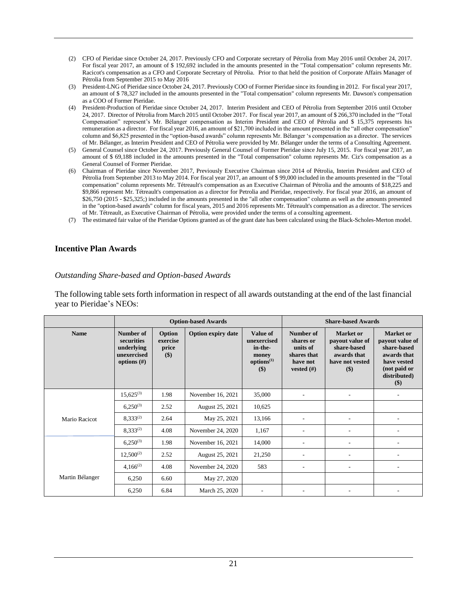- (2) CFO of Pieridae since October 24, 2017. Previously CFO and Corporate secretary of Pétrolia from May 2016 until October 24, 2017. For fiscal year 2017, an amount of \$ 192,692 included in the amounts presented in the "Total compensation" column represents Mr. Racicot's compensation as a CFO and Corporate Secretary of Pétrolia. Prior to that held the position of Corporate Affairs Manager of Pétrolia from September 2015 to May 2016
- (3) President-LNG of Pieridae since October 24, 2017. Previously COO of Former Pieridae since its founding in 2012. For fiscal year 2017, an amount of \$ 78,327 included in the amounts presented in the "Total compensation" column represents Mr. Dawson's compensation as a COO of Former Pieridae.
- (4) President-Production of Pieridae since October 24, 2017. Interim President and CEO of Pétrolia from September 2016 until October 24, 2017. Director of Pétrolia from March 2015 until October 2017. For fiscal year 2017, an amount of \$ 266,370 included in the "Total Compensation" represent's Mr. Bélanger compensation as Interim President and CEO of Pétrolia and \$ 15,375 represents his remuneration as a director. For fiscal year 2016, an amount of \$21,700 included in the amount presented in the "all other compensation" column and \$6,825 presented in the "option-based awards" column represents Mr. Bélanger 's compensation as a director. The services of Mr. Bélanger, as Interim President and CEO of Pétrolia were provided by Mr. Bélanger under the terms of a Consulting Agreement.
- (5) General Counsel since October 24, 2017. Previously General Counsel of Former Pieridae since July 15, 2015. For fiscal year 2017, an amount of \$ 69,188 included in the amounts presented in the "Total compensation" column represents Mr. Ciz's compensation as a General Counsel of Former Pieridae.
- (6) Chairman of Pieridae since November 2017, Previously Executive Chairman since 2014 of Pétrolia, Interim President and CEO of Pétrolia from September 2013 to May 2014. For fiscal year 2017, an amount of \$ 99,000 included in the amounts presented in the "Total compensation" column represents Mr. Tétreault's compensation as an Executive Chairman of Pétrolia and the amounts of \$18,225 and \$9,866 represent Mr. Tétreault's compensation as a director for Petrolia and Pieridae, respectively. For fiscal year 2016, an amount of \$26,750 (2015 - \$25,325;) included in the amounts presented in the "all other compensation" column as well as the amounts presented in the "option-based awards" column for fiscal years, 2015 and 2016 represents Mr. Tétreault's compensation as a director. The services of Mr. Tétreault, as Executive Chairman of Pétrolia, were provided under the terms of a consulting agreement.
- (7) The estimated fair value of the Pieridae Options granted as of the grant date has been calculated using the Black-Scholes-Merton model.

#### **Incentive Plan Awards**

#### *Outstanding Share-based and Option-based Awards*

The following table sets forth information in respect of all awards outstanding at the end of the last financial year to Pieridae's NEOs:

|                 |                                                                        |                                    | <b>Option-based Awards</b> | <b>Share-based Awards</b>                                                           |                                                                                |                                                                                             |                                                                                                                           |
|-----------------|------------------------------------------------------------------------|------------------------------------|----------------------------|-------------------------------------------------------------------------------------|--------------------------------------------------------------------------------|---------------------------------------------------------------------------------------------|---------------------------------------------------------------------------------------------------------------------------|
| <b>Name</b>     | Number of<br>securities<br>underlying<br>unexercised<br>options $(\#)$ | Option<br>exercise<br>price<br>\$) | <b>Option expiry date</b>  | <b>Value of</b><br>unexercised<br>in-the-<br>money<br>options <sup>(1)</sup><br>\$) | Number of<br>shares or<br>units of<br>shares that<br>have not<br>vested $(\#)$ | <b>Market</b> or<br>payout value of<br>share-based<br>awards that<br>have not vested<br>\$) | <b>Market</b> or<br>payout value of<br>share-based<br>awards that<br>have vested<br>(not paid or<br>distributed)<br>$($)$ |
|                 | $15.625^{(3)}$                                                         | 1.98                               | November 16, 2021          | 35,000                                                                              |                                                                                |                                                                                             |                                                                                                                           |
|                 | $6,250^{(3)}$                                                          | 2.52                               | August 25, 2021            | 10,625                                                                              |                                                                                |                                                                                             |                                                                                                                           |
| Mario Racicot   | $8,333^{(2)}$                                                          | 2.64                               | May 25, 2021               | 13,166                                                                              |                                                                                |                                                                                             |                                                                                                                           |
|                 | $8,333^{(2)}$                                                          | 4.08                               | November 24, 2020          | 1,167                                                                               |                                                                                |                                                                                             |                                                                                                                           |
|                 | $6,250^{(3)}$                                                          | 1.98                               | November 16, 2021          | 14,000                                                                              |                                                                                |                                                                                             |                                                                                                                           |
|                 | $12,500^{(2)}$                                                         | 2.52                               | August 25, 2021            | 21,250                                                                              |                                                                                |                                                                                             |                                                                                                                           |
|                 | $4,166^{(2)}$                                                          | 4.08                               | November 24, 2020          | 583                                                                                 |                                                                                |                                                                                             |                                                                                                                           |
| Martin Bélanger | 6,250                                                                  | 6.60                               | May 27, 2020               |                                                                                     |                                                                                |                                                                                             |                                                                                                                           |
|                 | 6,250                                                                  | 6.84                               | March 25, 2020             |                                                                                     |                                                                                |                                                                                             |                                                                                                                           |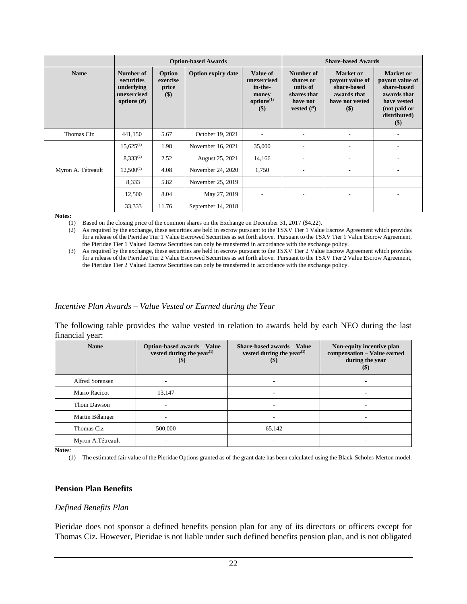|                    |                                                                        |                                      | <b>Option-based Awards</b> | <b>Share-based Awards</b>                                                             |                                                                                |                                                                                                 |                                                                                                                         |
|--------------------|------------------------------------------------------------------------|--------------------------------------|----------------------------|---------------------------------------------------------------------------------------|--------------------------------------------------------------------------------|-------------------------------------------------------------------------------------------------|-------------------------------------------------------------------------------------------------------------------------|
| <b>Name</b>        | Number of<br>securities<br>underlying<br>unexercised<br>options $(\#)$ | Option<br>exercise<br>price<br>$($)$ | <b>Option expiry date</b>  | <b>Value of</b><br>unexercised<br>in-the-<br>money<br>options <sup>(1)</sup><br>$($)$ | Number of<br>shares or<br>units of<br>shares that<br>have not<br>vested $(\#)$ | <b>Market</b> or<br>payout value of<br>share-based<br>awards that<br>have not vested<br>$($ \$) | <b>Market</b> or<br>payout value of<br>share-based<br>awards that<br>have vested<br>(not paid or<br>distributed)<br>\$) |
| Thomas Ciz         | 441,150                                                                | 5.67                                 | October 19, 2021           |                                                                                       |                                                                                |                                                                                                 |                                                                                                                         |
|                    | $15,625^{(3)}$                                                         | 1.98                                 | November 16, 2021          | 35,000                                                                                | ٠                                                                              | ۰                                                                                               |                                                                                                                         |
|                    | $8,333^{(2)}$                                                          | 2.52                                 | August 25, 2021            | 14,166                                                                                |                                                                                |                                                                                                 |                                                                                                                         |
| Myron A. Tétreault | $12,500^{(2)}$                                                         | 4.08                                 | November 24, 2020          | 1,750                                                                                 | ۰                                                                              | ۰                                                                                               |                                                                                                                         |
|                    | 8,333                                                                  | 5.82                                 | November 25, 2019          |                                                                                       |                                                                                |                                                                                                 |                                                                                                                         |
|                    | 12,500                                                                 | 8.04                                 | May 27, 2019               | ٠                                                                                     | ٠                                                                              | ٠                                                                                               |                                                                                                                         |
|                    | 33,333                                                                 | 11.76                                | September 14, 2018         |                                                                                       |                                                                                |                                                                                                 |                                                                                                                         |

**Notes:**

(1) Based on the closing price of the common shares on the Exchange on December 31, 2017 (\$4.22).

(2) As required by the exchange, these securities are held in escrow pursuant to the TSXV Tier 1 Value Escrow Agreement which provides for a release of the Pieridae Tier 1 Value Escrowed Securities as set forth above. Pursuant to the TSXV Tier 1 Value Escrow Agreement, the Pieridae Tier 1 Valued Escrow Securities can only be transferred in accordance with the exchange policy.

(3) As required by the exchange, these securities are held in escrow pursuant to the TSXV Tier 2 Value Escrow Agreement which provides for a release of the Pieridae Tier 2 Value Escrowed Securities as set forth above. Pursuant to the TSXV Tier 2 Value Escrow Agreement, the Pieridae Tier 2 Valued Escrow Securities can only be transferred in accordance with the exchange policy.

#### *Incentive Plan Awards – Value Vested or Earned during the Year*

The following table provides the value vested in relation to awards held by each NEO during the last financial year:

| <b>Name</b>            | <b>Option-based awards - Value</b><br>vested during the year $(1)$<br>(S) | Share-based awards - Value<br>vested during the year <sup><math>(1)</math></sup><br>$(\$)$ | Non-equity incentive plan<br>compensation - Value earned<br>during the year<br>$(\boldsymbol{\mathcal{S}})$ |
|------------------------|---------------------------------------------------------------------------|--------------------------------------------------------------------------------------------|-------------------------------------------------------------------------------------------------------------|
| <b>Alfred Sorensen</b> |                                                                           |                                                                                            |                                                                                                             |
| Mario Racicot          | 13,147                                                                    |                                                                                            |                                                                                                             |
| Thom Dawson            | ۰                                                                         |                                                                                            |                                                                                                             |
| Martin Bélanger        |                                                                           |                                                                                            |                                                                                                             |
| Thomas Ciz             | 500,000                                                                   | 65,142                                                                                     |                                                                                                             |
| Myron A. Tétreault     |                                                                           |                                                                                            |                                                                                                             |

**Notes**:

(1) The estimated fair value of the Pieridae Options granted as of the grant date has been calculated using the Black-Scholes-Merton model.

#### **Pension Plan Benefits**

#### *Defined Benefits Plan*

Pieridae does not sponsor a defined benefits pension plan for any of its directors or officers except for Thomas Ciz. However, Pieridae is not liable under such defined benefits pension plan, and is not obligated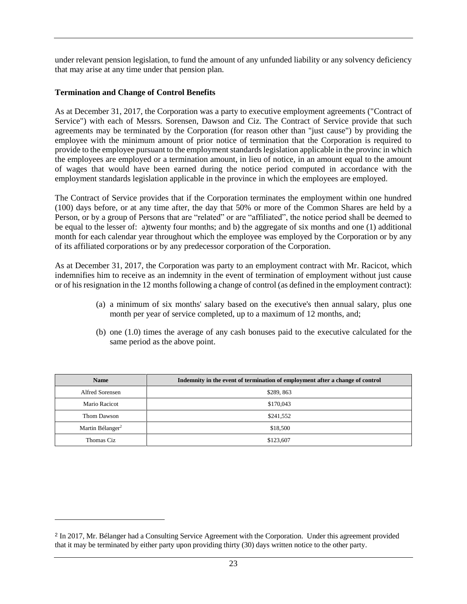under relevant pension legislation, to fund the amount of any unfunded liability or any solvency deficiency that may arise at any time under that pension plan.

## **Termination and Change of Control Benefits**

As at December 31, 2017, the Corporation was a party to executive employment agreements ("Contract of Service") with each of Messrs. Sorensen, Dawson and Ciz. The Contract of Service provide that such agreements may be terminated by the Corporation (for reason other than "just cause") by providing the employee with the minimum amount of prior notice of termination that the Corporation is required to provide to the employee pursuant to the employment standards legislation applicable in the provinc in which the employees are employed or a termination amount, in lieu of notice, in an amount equal to the amount of wages that would have been earned during the notice period computed in accordance with the employment standards legislation applicable in the province in which the employees are employed.

The Contract of Service provides that if the Corporation terminates the employment within one hundred (100) days before, or at any time after, the day that 50% or more of the Common Shares are held by a Person, or by a group of Persons that are "related" or are "affiliated", the notice period shall be deemed to be equal to the lesser of: a)twenty four months; and b) the aggregate of six months and one (1) additional month for each calendar year throughout which the employee was employed by the Corporation or by any of its affiliated corporations or by any predecessor corporation of the Corporation.

As at December 31, 2017, the Corporation was party to an employment contract with Mr. Racicot, which indemnifies him to receive as an indemnity in the event of termination of employment without just cause or of his resignation in the 12 months following a change of control (as defined in the employment contract):

- (a) a minimum of six months' salary based on the executive's then annual salary, plus one month per year of service completed, up to a maximum of 12 months, and;
- (b) one (1.0) times the average of any cash bonuses paid to the executive calculated for the same period as the above point.

| <b>Name</b>                  | Indemnity in the event of termination of employment after a change of control |
|------------------------------|-------------------------------------------------------------------------------|
| Alfred Sorensen              | \$289,863                                                                     |
| Mario Racicot                | \$170,043                                                                     |
| Thom Dawson                  | \$241,552                                                                     |
| Martin Bélanger <sup>2</sup> | \$18,500                                                                      |
| Thomas Ciz                   | \$123,607                                                                     |

<sup>&</sup>lt;sup>2</sup> In 2017, Mr. Bélanger had a Consulting Service Agreement with the Corporation. Under this agreement provided that it may be terminated by either party upon providing thirty (30) days written notice to the other party.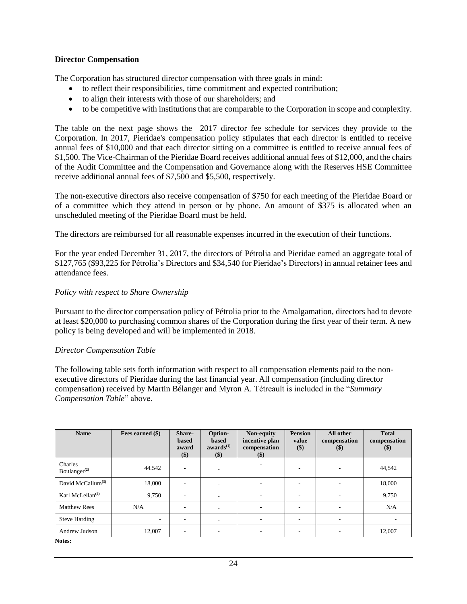#### **Director Compensation**

The Corporation has structured director compensation with three goals in mind:

- to reflect their responsibilities, time commitment and expected contribution;
- to align their interests with those of our shareholders; and
- to be competitive with institutions that are comparable to the Corporation in scope and complexity.

The table on the next page shows the 2017 director fee schedule for services they provide to the Corporation. In 2017, Pieridae's compensation policy stipulates that each director is entitled to receive annual fees of \$10,000 and that each director sitting on a committee is entitled to receive annual fees of \$1,500. The Vice-Chairman of the Pieridae Board receives additional annual fees of \$12,000, and the chairs of the Audit Committee and the Compensation and Governance along with the Reserves HSE Committee receive additional annual fees of \$7,500 and \$5,500, respectively.

The non-executive directors also receive compensation of \$750 for each meeting of the Pieridae Board or of a committee which they attend in person or by phone. An amount of \$375 is allocated when an unscheduled meeting of the Pieridae Board must be held.

The directors are reimbursed for all reasonable expenses incurred in the execution of their functions.

For the year ended December 31, 2017, the directors of Pétrolia and Pieridae earned an aggregate total of \$127,765 (\$93,225 for Pétrolia's Directors and \$34,540 for Pieridae's Directors) in annual retainer fees and attendance fees.

#### *Policy with respect to Share Ownership*

Pursuant to the director compensation policy of Pétrolia prior to the Amalgamation, directors had to devote at least \$20,000 to purchasing common shares of the Corporation during the first year of their term. A new policy is being developed and will be implemented in 2018.

#### *Director Compensation Table*

The following table sets forth information with respect to all compensation elements paid to the nonexecutive directors of Pieridae during the last financial year. All compensation (including director compensation) received by Martin Bélanger and Myron A. Tétreault is included in the "*Summary Compensation Table*" above.

| <b>Name</b>                         | Fees earned (\$)         | Share-<br>based<br>award<br>$($)$ | Option-<br>based<br>awards <sup>(1)</sup><br>\$) | Non-equity<br>incentive plan<br>compensation<br>$(\$)$ | <b>Pension</b><br>value<br>\$) | All other<br>compensation<br>$($)$ | <b>Total</b><br>compensation<br>$($)$ |
|-------------------------------------|--------------------------|-----------------------------------|--------------------------------------------------|--------------------------------------------------------|--------------------------------|------------------------------------|---------------------------------------|
| Charles<br>Boulanger <sup>(2)</sup> | 44.542                   | $\overline{\phantom{a}}$          | $\overline{\phantom{a}}$                         | ٠                                                      | $\overline{\phantom{a}}$       | $\overline{\phantom{a}}$           | 44,542                                |
| David McCallum $^{(3)}$             | 18,000                   | $\overline{\phantom{a}}$          | $\sim$                                           | ٠                                                      | $\overline{\phantom{a}}$       | $\overline{\phantom{a}}$           | 18,000                                |
| Karl McLellan $(4)$                 | 9,750                    | $\overline{\phantom{0}}$          | ٠                                                | ٠                                                      | $\overline{\phantom{a}}$       | $\overline{\phantom{a}}$           | 9,750                                 |
| <b>Matthew Rees</b>                 | N/A                      | $\overline{\phantom{a}}$          | ۰.                                               |                                                        | $\overline{\phantom{a}}$       | $\overline{\phantom{a}}$           | N/A                                   |
| <b>Steve Harding</b>                | $\overline{\phantom{a}}$ |                                   | $\sim$                                           |                                                        | ۰                              | $\overline{\phantom{a}}$           |                                       |
| Andrew Judson                       | 12,007                   | $\overline{\phantom{a}}$          | ۰.                                               |                                                        | $\overline{\phantom{a}}$       | ۰.                                 | 12,007                                |
| Notes:                              |                          |                                   |                                                  |                                                        |                                |                                    |                                       |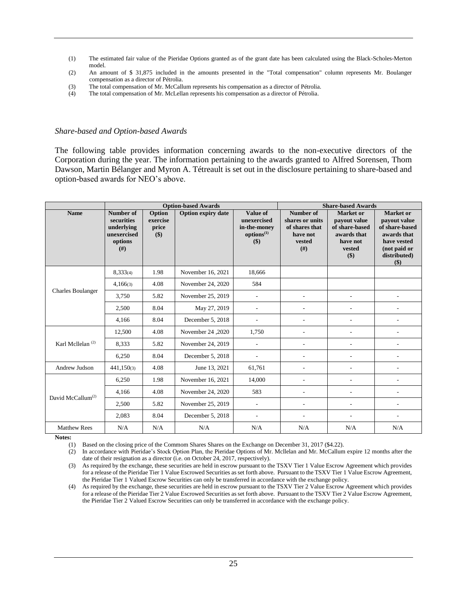- (1) The estimated fair value of the Pieridae Options granted as of the grant date has been calculated using the Black-Scholes-Merton model.
- (2) An amount of \$ 31,875 included in the amounts presented in the "Total compensation" column represents Mr. Boulanger compensation as a director of Pétrolia.
- (3) The total compensation of Mr. McCallum represents his compensation as a director of Pétrolia.
- (4) The total compensation of Mr. McLellan represents his compensation as a director of Pétrolia.

#### *Share-based and Option-based Awards*

The following table provides information concerning awards to the non-executive directors of the Corporation during the year. The information pertaining to the awards granted to Alfred Sorensen, Thom Dawson, Martin Bélanger and Myron A. Tétreault is set out in the disclosure pertaining to share-based and option-based awards for NEO's above.

|                               |                                                                       |                                      | <b>Option-based Awards</b> | <b>Share-based Awards</b>                                                       |                                                                              |                                                                                                |                                                                                                                         |
|-------------------------------|-----------------------------------------------------------------------|--------------------------------------|----------------------------|---------------------------------------------------------------------------------|------------------------------------------------------------------------------|------------------------------------------------------------------------------------------------|-------------------------------------------------------------------------------------------------------------------------|
| <b>Name</b>                   | Number of<br>securities<br>underlying<br>unexercised<br>options<br>#) | Option<br>exercise<br>price<br>$($)$ | <b>Option expiry date</b>  | <b>Value of</b><br>unexercised<br>in-the-money<br>options <sup>(1)</sup><br>\$) | Number of<br>shares or units<br>of shares that<br>have not<br>vested<br>(f#) | <b>Market</b> or<br>payout value<br>of share-based<br>awards that<br>have not<br>vested<br>\$) | <b>Market or</b><br>payout value<br>of share-based<br>awards that<br>have vested<br>(not paid or<br>distributed)<br>\$) |
|                               | 8,333(4)                                                              | 1.98                                 | November 16, 2021          | 18,666                                                                          |                                                                              |                                                                                                |                                                                                                                         |
|                               | 4,166(3)                                                              | 4.08                                 | November 24, 2020          | 584                                                                             |                                                                              |                                                                                                |                                                                                                                         |
| <b>Charles Boulanger</b>      | 3,750                                                                 | 5.82                                 | November 25, 2019          | $\overline{a}$                                                                  |                                                                              | $\overline{\phantom{a}}$                                                                       |                                                                                                                         |
|                               | 2,500                                                                 | 8.04                                 | May 27, 2019               | $\overline{a}$                                                                  |                                                                              | ٠                                                                                              |                                                                                                                         |
|                               | 4.166                                                                 | 8.04                                 | December 5, 2018           |                                                                                 | ÷,                                                                           | $\overline{\phantom{a}}$                                                                       |                                                                                                                         |
|                               | 12,500                                                                | 4.08                                 | November 24, 2020          | 1,750                                                                           | $\overline{\phantom{a}}$                                                     | $\overline{\phantom{a}}$                                                                       |                                                                                                                         |
| Karl Mcllelan <sup>(2)</sup>  | 8,333                                                                 | 5.82                                 | November 24, 2019          |                                                                                 |                                                                              | ÷                                                                                              |                                                                                                                         |
|                               | 6,250                                                                 | 8.04                                 | December 5, 2018           |                                                                                 |                                                                              | $\overline{a}$                                                                                 |                                                                                                                         |
| Andrew Judson                 | 441,150(3)                                                            | 4.08                                 | June 13, 2021              | 61,761                                                                          |                                                                              | $\overline{a}$                                                                                 |                                                                                                                         |
|                               | 6,250                                                                 | 1.98                                 | November 16, 2021          | 14,000                                                                          |                                                                              | $\overline{a}$                                                                                 |                                                                                                                         |
|                               | 4,166                                                                 | 4.08                                 | November 24, 2020          | 583                                                                             |                                                                              | $\sim$                                                                                         |                                                                                                                         |
| David McCallum <sup>(2)</sup> | 2,500                                                                 | 5.82                                 | November 25, 2019          | ٠                                                                               | ÷                                                                            | $\overline{\phantom{a}}$                                                                       |                                                                                                                         |
|                               | 2,083                                                                 | 8.04                                 | December 5, 2018           | $\overline{a}$                                                                  | $\overline{\phantom{a}}$                                                     | $\overline{\phantom{a}}$                                                                       |                                                                                                                         |
| <b>Matthew Rees</b>           | N/A                                                                   | N/A                                  | N/A                        | N/A                                                                             | N/A                                                                          | N/A                                                                                            | N/A                                                                                                                     |

**Notes:**

(1) Based on the closing price of the Commom Shares Shares on the Exchange on December 31, 2017 (\$4.22).

(2) In accordance with Pieridae's Stock Option Plan, the Pieridae Options of Mr. Mcllelan and Mr. McCallum expire 12 months after the date of their resignation as a director (i.e. on October 24, 2017, respectively).

(3) As required by the exchange, these securities are held in escrow pursuant to the TSXV Tier 1 Value Escrow Agreement which provides for a release of the Pieridae Tier 1 Value Escrowed Securities as set forth above. Pursuant to the TSXV Tier 1 Value Escrow Agreement, the Pieridae Tier 1 Valued Escrow Securities can only be transferred in accordance with the exchange policy.

(4) As required by the exchange, these securities are held in escrow pursuant to the TSXV Tier 2 Value Escrow Agreement which provides for a release of the Pieridae Tier 2 Value Escrowed Securities as set forth above. Pursuant to the TSXV Tier 2 Value Escrow Agreement, the Pieridae Tier 2 Valued Escrow Securities can only be transferred in accordance with the exchange policy.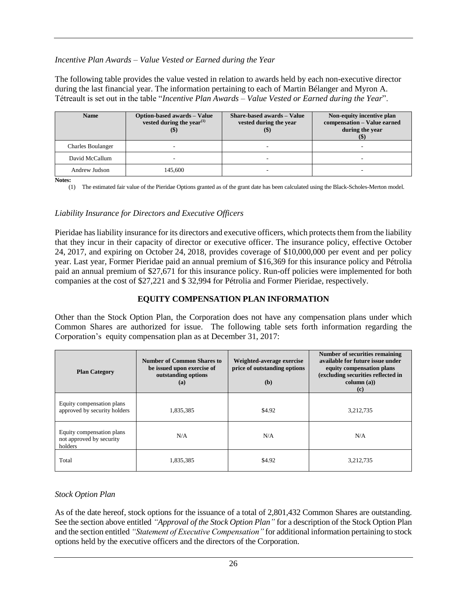## *Incentive Plan Awards – Value Vested or Earned during the Year*

The following table provides the value vested in relation to awards held by each non-executive director during the last financial year. The information pertaining to each of Martin Bélanger and Myron A. Tétreault is set out in the table "*Incentive Plan Awards – Value Vested or Earned during the Year*".

| <b>Name</b>              | Option-based awards - Value<br>vested during the year $(1)$ | <b>Share-based awards - Value</b><br>vested during the year<br>$\left( \mathbb{S}\right)$ | Non-equity incentive plan<br>compensation - Value earned<br>during the year |
|--------------------------|-------------------------------------------------------------|-------------------------------------------------------------------------------------------|-----------------------------------------------------------------------------|
| <b>Charles Boulanger</b> |                                                             |                                                                                           |                                                                             |
| David McCallum           |                                                             |                                                                                           | $\overline{\phantom{a}}$                                                    |
| Andrew Judson            | 145,600                                                     |                                                                                           |                                                                             |

**Notes:**

(1) The estimated fair value of the Pieridae Options granted as of the grant date has been calculated using the Black-Scholes-Merton model.

#### *Liability Insurance for Directors and Executive Officers*

Pieridae has liability insurance for its directors and executive officers, which protects them from the liability that they incur in their capacity of director or executive officer. The insurance policy, effective October 24, 2017, and expiring on October 24, 2018, provides coverage of \$10,000,000 per event and per policy year. Last year, Former Pieridae paid an annual premium of \$16,369 for this insurance policy and Pétrolia paid an annual premium of \$27,671 for this insurance policy. Run-off policies were implemented for both companies at the cost of \$27,221 and \$ 32,994 for Pétrolia and Former Pieridae, respectively.

## **EQUITY COMPENSATION PLAN INFORMATION**

Other than the Stock Option Plan, the Corporation does not have any compensation plans under which Common Shares are authorized for issue. The following table sets forth information regarding the Corporation's equity compensation plan as at December 31, 2017:

| <b>Plan Category</b>                                             | Number of Common Shares to<br>be issued upon exercise of<br>outstanding options<br>(a) | Weighted-average exercise<br>price of outstanding options<br>(b) | Number of securities remaining<br>available for future issue under<br>equity compensation plans<br>(excluding securities reflected in<br>column (a))<br>(c) |
|------------------------------------------------------------------|----------------------------------------------------------------------------------------|------------------------------------------------------------------|-------------------------------------------------------------------------------------------------------------------------------------------------------------|
| Equity compensation plans<br>approved by security holders        | 1,835,385                                                                              | \$4.92                                                           | 3,212,735                                                                                                                                                   |
| Equity compensation plans<br>not approved by security<br>holders | N/A                                                                                    | N/A                                                              | N/A                                                                                                                                                         |
| Total                                                            | 1,835,385                                                                              | \$4.92                                                           | 3,212,735                                                                                                                                                   |

#### *Stock Option Plan*

As of the date hereof, stock options for the issuance of a total of 2,801,432 Common Shares are outstanding. See the section above entitled *"Approval of the Stock Option Plan"* for a description of the Stock Option Plan and the section entitled *"Statement of Executive Compensation"* for additional information pertaining to stock options held by the executive officers and the directors of the Corporation.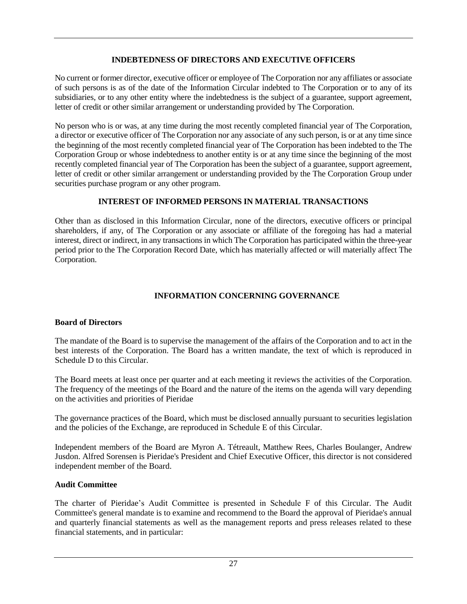## **INDEBTEDNESS OF DIRECTORS AND EXECUTIVE OFFICERS**

No current or former director, executive officer or employee of The Corporation nor any affiliates or associate of such persons is as of the date of the Information Circular indebted to The Corporation or to any of its subsidiaries, or to any other entity where the indebtedness is the subject of a guarantee, support agreement, letter of credit or other similar arrangement or understanding provided by The Corporation.

No person who is or was, at any time during the most recently completed financial year of The Corporation, a director or executive officer of The Corporation nor any associate of any such person, is or at any time since the beginning of the most recently completed financial year of The Corporation has been indebted to the The Corporation Group or whose indebtedness to another entity is or at any time since the beginning of the most recently completed financial year of The Corporation has been the subject of a guarantee, support agreement, letter of credit or other similar arrangement or understanding provided by the The Corporation Group under securities purchase program or any other program.

# **INTEREST OF INFORMED PERSONS IN MATERIAL TRANSACTIONS**

Other than as disclosed in this Information Circular, none of the directors, executive officers or principal shareholders, if any, of The Corporation or any associate or affiliate of the foregoing has had a material interest, direct or indirect, in any transactions in which The Corporation has participated within the three-year period prior to the The Corporation Record Date, which has materially affected or will materially affect The Corporation.

# **INFORMATION CONCERNING GOVERNANCE**

## **Board of Directors**

The mandate of the Board is to supervise the management of the affairs of the Corporation and to act in the best interests of the Corporation. The Board has a written mandate, the text of which is reproduced in Schedule D to this Circular.

The Board meets at least once per quarter and at each meeting it reviews the activities of the Corporation. The frequency of the meetings of the Board and the nature of the items on the agenda will vary depending on the activities and priorities of Pieridae

The governance practices of the Board, which must be disclosed annually pursuant to securities legislation and the policies of the Exchange, are reproduced in Schedule E of this Circular.

Independent members of the Board are Myron A. Tétreault, Matthew Rees, Charles Boulanger, Andrew Jusdon. Alfred Sorensen is Pieridae's President and Chief Executive Officer, this director is not considered independent member of the Board.

## **Audit Committee**

The charter of Pieridae's Audit Committee is presented in Schedule F of this Circular. The Audit Committee's general mandate is to examine and recommend to the Board the approval of Pieridae's annual and quarterly financial statements as well as the management reports and press releases related to these financial statements, and in particular: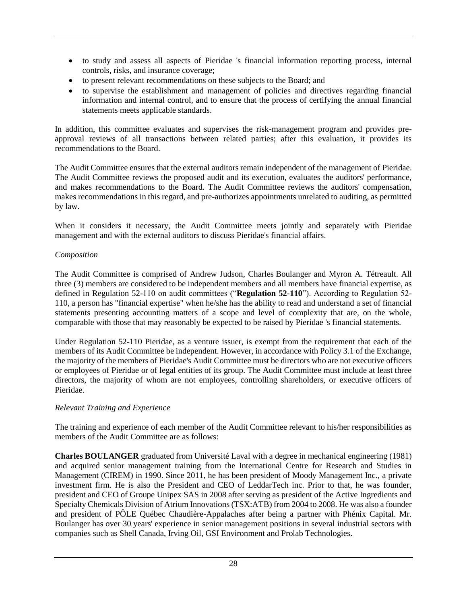- to study and assess all aspects of Pieridae 's financial information reporting process, internal controls, risks, and insurance coverage;
- to present relevant recommendations on these subjects to the Board; and
- to supervise the establishment and management of policies and directives regarding financial information and internal control, and to ensure that the process of certifying the annual financial statements meets applicable standards.

In addition, this committee evaluates and supervises the risk-management program and provides preapproval reviews of all transactions between related parties; after this evaluation, it provides its recommendations to the Board.

The Audit Committee ensures that the external auditors remain independent of the management of Pieridae. The Audit Committee reviews the proposed audit and its execution, evaluates the auditors' performance, and makes recommendations to the Board. The Audit Committee reviews the auditors' compensation, makes recommendations in this regard, and pre-authorizes appointments unrelated to auditing, as permitted by law.

When it considers it necessary, the Audit Committee meets jointly and separately with Pieridae management and with the external auditors to discuss Pieridae's financial affairs.

## *Composition*

The Audit Committee is comprised of Andrew Judson, Charles Boulanger and Myron A. Tétreault. All three (3) members are considered to be independent members and all members have financial expertise, as defined in Regulation 52-110 on audit committees ("**Regulation 52-110**"). According to Regulation 52- 110, a person has "financial expertise" when he/she has the ability to read and understand a set of financial statements presenting accounting matters of a scope and level of complexity that are, on the whole, comparable with those that may reasonably be expected to be raised by Pieridae 's financial statements.

Under Regulation 52-110 Pieridae, as a venture issuer, is exempt from the requirement that each of the members of its Audit Committee be independent. However, in accordance with Policy 3.1 of the Exchange, the majority of the members of Pieridae's Audit Committee must be directors who are not executive officers or employees of Pieridae or of legal entities of its group. The Audit Committee must include at least three directors, the majority of whom are not employees, controlling shareholders, or executive officers of Pieridae.

## *Relevant Training and Experience*

The training and experience of each member of the Audit Committee relevant to his/her responsibilities as members of the Audit Committee are as follows:

**Charles BOULANGER** graduated from Université Laval with a degree in mechanical engineering (1981) and acquired senior management training from the International Centre for Research and Studies in Management (CIREM) in 1990. Since 2011, he has been president of Moody Management Inc., a private investment firm. He is also the President and CEO of LeddarTech inc. Prior to that, he was founder, president and CEO of Groupe Unipex SAS in 2008 after serving as president of the Active Ingredients and Specialty Chemicals Division of Atrium Innovations (TSX:ATB) from 2004 to 2008. He was also a founder and president of PÔLE Québec Chaudière-Appalaches after being a partner with Phénix Capital. Mr. Boulanger has over 30 years' experience in senior management positions in several industrial sectors with companies such as Shell Canada, Irving Oil, GSI Environment and Prolab Technologies.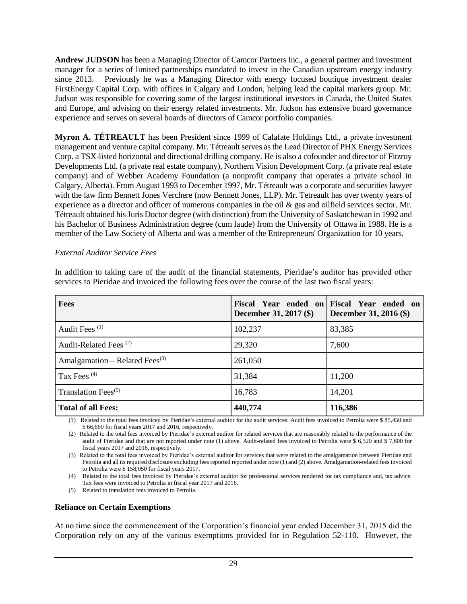**Andrew JUDSON** has been a Managing Director of Camcor Partners Inc., a general partner and investment manager for a series of limited partnerships mandated to invest in the Canadian upstream energy industry since 2013. Previously he was a Managing Director with energy focused boutique investment dealer FirstEnergy Capital Corp. with offices in Calgary and London, helping lead the capital markets group. Mr. Judson was responsible for covering some of the largest institutional investors in Canada, the United States and Europe, and advising on their energy related investments. Mr. Judson has extensive board governance experience and serves on several boards of directors of Camcor portfolio companies.

**Myron A. TÉTREAULT** has been President since 1999 of Calafate Holdings Ltd., a private investment management and venture capital company. Mr. Tétreault serves as the Lead Director of PHX Energy Services Corp. a TSX-listed horizontal and directional drilling company. He is also a cofounder and director of Fitzroy Developments Ltd. (a private real estate company), Northern Vision Development Corp. (a private real estate company) and of Webber Academy Foundation (a nonprofit company that operates a private school in Calgary, Alberta). From August 1993 to December 1997, Mr. Tétreault was a corporate and securities lawyer with the law firm Bennett Jones Verchere (now Bennett Jones, LLP). Mr. Tetreault has over twenty years of experience as a director and officer of numerous companies in the oil & gas and oilfield services sector. Mr. Tétreault obtained his Juris Doctor degree (with distinction) from the University of Saskatchewan in 1992 and his Bachelor of Business Administration degree (cum laude) from the University of Ottawa in 1988. He is a member of the Law Society of Alberta and was a member of the Entrepreneurs' Organization for 10 years.

#### *External Auditor Service Fees*

In addition to taking care of the audit of the financial statements, Pieridae's auditor has provided other services to Pieridae and invoiced the following fees over the course of the last two fiscal years:

| <b>Fees</b>                                | December 31, 2017 (\$) | Fiscal Year ended on Fiscal Year ended on<br>December 31, 2016 (\$) |
|--------------------------------------------|------------------------|---------------------------------------------------------------------|
| Audit Fees <sup>(1)</sup>                  | 102,237                | 83,385                                                              |
| Audit-Related Fees <sup>(2)</sup>          | 29,320                 | 7,600                                                               |
| Amalgamation – Related Fees <sup>(3)</sup> | 261,050                |                                                                     |
| Tax Fees <sup>(4)</sup>                    | 31,384                 | 11,200                                                              |
| Translation Fees $(5)$                     | 16,783                 | 14,201                                                              |
| <b>Total of all Fees:</b>                  | 440,774                | 116,386                                                             |

(1) Related to the total fees invoiced by Pieridae's external auditor for the audit services. Audit fees invoiced to Petrolia were \$ 85,450 and \$ 66,660 for fiscal years 2017 and 2016, respectively.

(2) Related to the total fees invoiced by Pieridae's external auditor for related services that are reasonably related to the performance of the audit of Pieridae and that are not reported under note (1) above. Audit-related fees invoiced to Petrolia were \$ 6,320 and \$ 7,600 for fiscal years 2017 and 2016, respectively.

(3) Related to the total fees invoiced by Pieridae's external auditor for services that were related to the amalgamation between Pieridae and Petrolia and all its required disclosure excluding fees reported reported under note (1) and (2) above. Amalgamation-related fees invoiced to Petrolia were \$ 158,050 for fiscal years 2017.

(4) Related to the total fees invoiced by Pieridae's external auditor for professional services rendered for tax compliance and, tax advice. Tax fees were invoiced to Petrolia in fiscal year 2017 and 2016.

(5) Related to translation fees invoiced to Petrolia.

#### **Reliance on Certain Exemptions**

At no time since the commencement of the Corporation's financial year ended December 31, 2015 did the Corporation rely on any of the various exemptions provided for in Regulation 52-110. However, the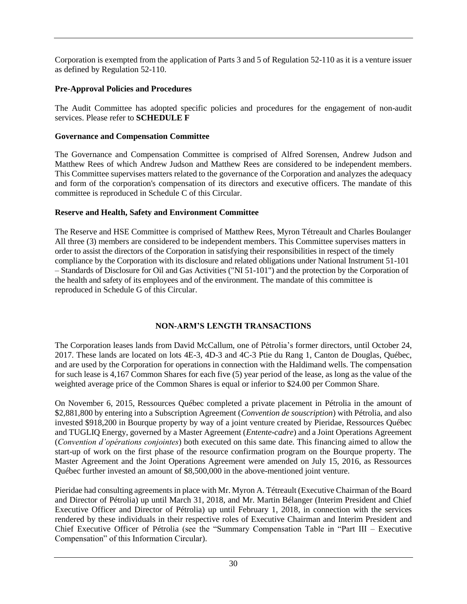Corporation is exempted from the application of Parts 3 and 5 of Regulation 52-110 as it is a venture issuer as defined by Regulation 52-110.

## **Pre-Approval Policies and Procedures**

The Audit Committee has adopted specific policies and procedures for the engagement of non-audit services. Please refer to **SCHEDULE F**

# **Governance and Compensation Committee**

The Governance and Compensation Committee is comprised of Alfred Sorensen, Andrew Judson and Matthew Rees of which Andrew Judson and Matthew Rees are considered to be independent members. This Committee supervises matters related to the governance of the Corporation and analyzes the adequacy and form of the corporation's compensation of its directors and executive officers. The mandate of this committee is reproduced in Schedule C of this Circular.

# **Reserve and Health, Safety and Environment Committee**

The Reserve and HSE Committee is comprised of Matthew Rees, Myron Tétreault and Charles Boulanger All three (3) members are considered to be independent members. This Committee supervises matters in order to assist the directors of the Corporation in satisfying their responsibilities in respect of the timely compliance by the Corporation with its disclosure and related obligations under National Instrument 51-101 – Standards of Disclosure for Oil and Gas Activities ("NI 51-101") and the protection by the Corporation of the health and safety of its employees and of the environment. The mandate of this committee is reproduced in Schedule G of this Circular.

# **NON-ARM'S LENGTH TRANSACTIONS**

The Corporation leases lands from David McCallum, one of Pétrolia's former directors, until October 24, 2017. These lands are located on lots 4E-3, 4D-3 and 4C-3 Ptie du Rang 1, Canton de Douglas, Québec, and are used by the Corporation for operations in connection with the Haldimand wells. The compensation for such lease is 4,167 Common Shares for each five (5) year period of the lease, as long as the value of the weighted average price of the Common Shares is equal or inferior to \$24.00 per Common Share.

On November 6, 2015, Ressources Québec completed a private placement in Pétrolia in the amount of \$2,881,800 by entering into a Subscription Agreement (*Convention de souscription*) with Pétrolia, and also invested \$918,200 in Bourque property by way of a joint venture created by Pieridae, Ressources Québec and TUGLIQ Energy, governed by a Master Agreement (*Entente-cadre*) and a Joint Operations Agreement (*Convention d'opérations conjointes*) both executed on this same date. This financing aimed to allow the start-up of work on the first phase of the resource confirmation program on the Bourque property. The Master Agreement and the Joint Operations Agreement were amended on July 15, 2016, as Ressources Québec further invested an amount of \$8,500,000 in the above-mentioned joint venture.

Pieridae had consulting agreements in place with Mr. Myron A. Tétreault (Executive Chairman of the Board and Director of Pétrolia) up until March 31, 2018, and Mr. Martin Bélanger (Interim President and Chief Executive Officer and Director of Pétrolia) up until February 1, 2018, in connection with the services rendered by these individuals in their respective roles of Executive Chairman and Interim President and Chief Executive Officer of Pétrolia (see the "Summary Compensation Table in "Part III – Executive Compensation" of this Information Circular).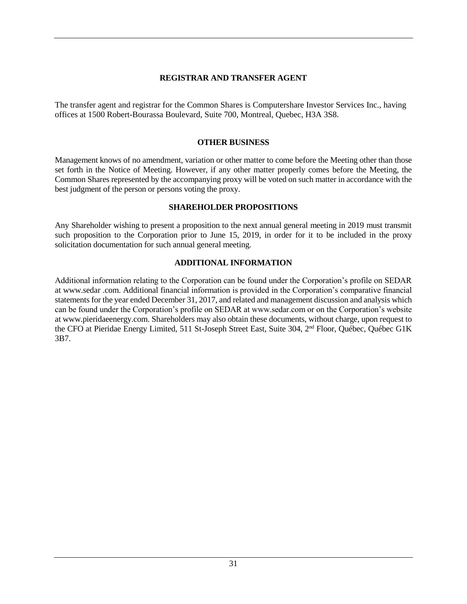## **REGISTRAR AND TRANSFER AGENT**

The transfer agent and registrar for the Common Shares is Computershare Investor Services Inc., having offices at 1500 Robert-Bourassa Boulevard, Suite 700, Montreal, Quebec, H3A 3S8.

#### **OTHER BUSINESS**

Management knows of no amendment, variation or other matter to come before the Meeting other than those set forth in the Notice of Meeting. However, if any other matter properly comes before the Meeting, the Common Shares represented by the accompanying proxy will be voted on such matter in accordance with the best judgment of the person or persons voting the proxy.

#### **SHAREHOLDER PROPOSITIONS**

Any Shareholder wishing to present a proposition to the next annual general meeting in 2019 must transmit such proposition to the Corporation prior to June 15, 2019, in order for it to be included in the proxy solicitation documentation for such annual general meeting.

## **ADDITIONAL INFORMATION**

Additional information relating to the Corporation can be found under the Corporation's profile on SEDAR at www.sedar .com. Additional financial information is provided in the Corporation's comparative financial statements for the year ended December 31, 2017, and related and management discussion and analysis which can be found under the Corporation's profile on SEDAR at www.sedar.com or on the Corporation's website at www.pieridaeenergy.com. Shareholders may also obtain these documents, without charge, upon request to the CFO at Pieridae Energy Limited, 511 St-Joseph Street East, Suite 304, 2<sup>nd</sup> Floor, Québec, Québec G1K 3B7.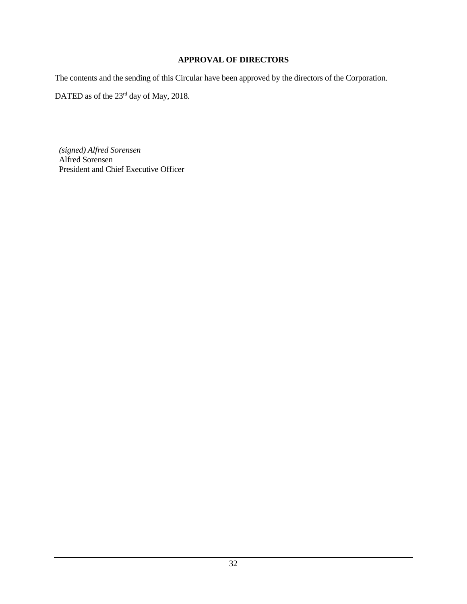## **APPROVAL OF DIRECTORS**

The contents and the sending of this Circular have been approved by the directors of the Corporation.

DATED as of the 23<sup>rd</sup> day of May, 2018.

*(signed) Alfred Sorensen* Alfred Sorensen President and Chief Executive Officer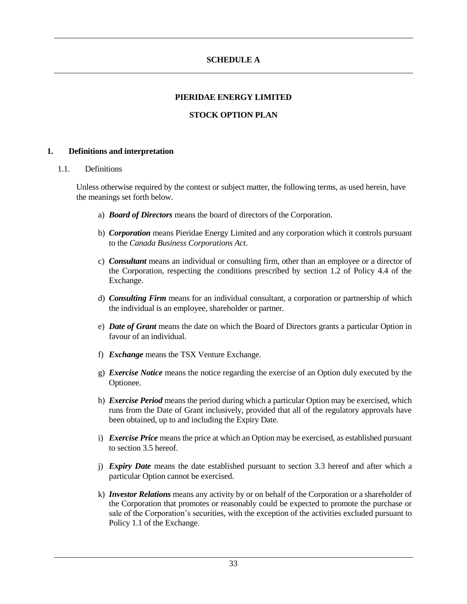## **SCHEDULE A**

#### **PIERIDAE ENERGY LIMITED**

## **STOCK OPTION PLAN**

#### **1. Definitions and interpretation**

#### 1.1. Definitions

Unless otherwise required by the context or subject matter, the following terms, as used herein, have the meanings set forth below.

- a) *Board of Directors* means the board of directors of the Corporation.
- b) *Corporation* means Pieridae Energy Limited and any corporation which it controls pursuant to the *Canada Business Corporations Act*.
- c) *Consultant* means an individual or consulting firm, other than an employee or a director of the Corporation, respecting the conditions prescribed by section 1.2 of Policy 4.4 of the Exchange.
- d) *Consulting Firm* means for an individual consultant, a corporation or partnership of which the individual is an employee, shareholder or partner.
- e) *Date of Grant* means the date on which the Board of Directors grants a particular Option in favour of an individual.
- f) *Exchange* means the TSX Venture Exchange.
- g) *Exercise Notice* means the notice regarding the exercise of an Option duly executed by the Optionee.
- h) *Exercise Period* means the period during which a particular Option may be exercised, which runs from the Date of Grant inclusively, provided that all of the regulatory approvals have been obtained, up to and including the Expiry Date.
- i) *Exercise Price* means the price at which an Option may be exercised, as established pursuant to section 3.5 hereof.
- j) *Expiry Date* means the date established pursuant to section 3.3 hereof and after which a particular Option cannot be exercised.
- k) *Investor Relations* means any activity by or on behalf of the Corporation or a shareholder of the Corporation that promotes or reasonably could be expected to promote the purchase or sale of the Corporation's securities, with the exception of the activities excluded pursuant to Policy 1.1 of the Exchange.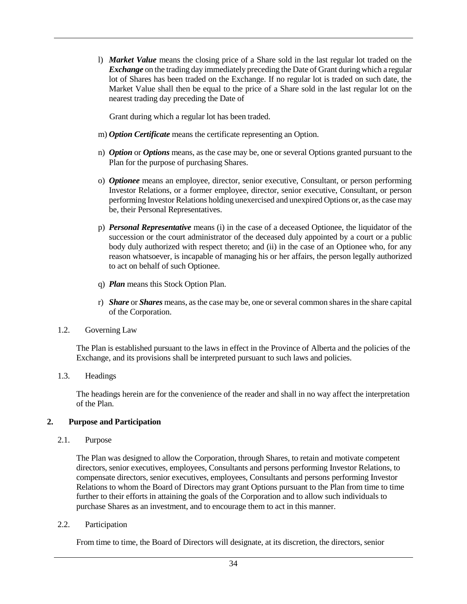l) *Market Value* means the closing price of a Share sold in the last regular lot traded on the *Exchange* on the trading day immediately preceding the Date of Grant during which a regular lot of Shares has been traded on the Exchange. If no regular lot is traded on such date, the Market Value shall then be equal to the price of a Share sold in the last regular lot on the nearest trading day preceding the Date of

Grant during which a regular lot has been traded.

- m) *Option Certificate* means the certificate representing an Option.
- n) *Option* or *Options* means, as the case may be, one or several Options granted pursuant to the Plan for the purpose of purchasing Shares.
- o) *Optionee* means an employee, director, senior executive, Consultant, or person performing Investor Relations, or a former employee, director, senior executive, Consultant, or person performing Investor Relations holding unexercised and unexpired Options or, as the case may be, their Personal Representatives.
- p) *Personal Representative* means (i) in the case of a deceased Optionee, the liquidator of the succession or the court administrator of the deceased duly appointed by a court or a public body duly authorized with respect thereto; and (ii) in the case of an Optionee who, for any reason whatsoever, is incapable of managing his or her affairs, the person legally authorized to act on behalf of such Optionee.
- q) *Plan* means this Stock Option Plan.
- r) *Share* or *Shares* means, as the case may be, one or several common shares in the share capital of the Corporation.
- 1.2. Governing Law

The Plan is established pursuant to the laws in effect in the Province of Alberta and the policies of the Exchange, and its provisions shall be interpreted pursuant to such laws and policies.

1.3. Headings

The headings herein are for the convenience of the reader and shall in no way affect the interpretation of the Plan.

#### **2. Purpose and Participation**

2.1. Purpose

The Plan was designed to allow the Corporation, through Shares, to retain and motivate competent directors, senior executives, employees, Consultants and persons performing Investor Relations, to compensate directors, senior executives, employees, Consultants and persons performing Investor Relations to whom the Board of Directors may grant Options pursuant to the Plan from time to time further to their efforts in attaining the goals of the Corporation and to allow such individuals to purchase Shares as an investment, and to encourage them to act in this manner.

2.2. Participation

From time to time, the Board of Directors will designate, at its discretion, the directors, senior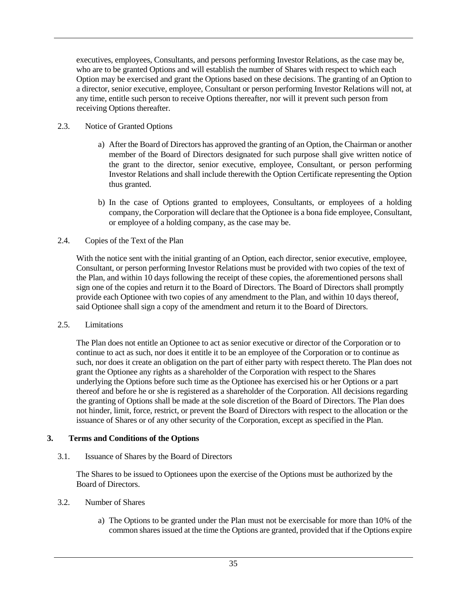executives, employees, Consultants, and persons performing Investor Relations, as the case may be, who are to be granted Options and will establish the number of Shares with respect to which each Option may be exercised and grant the Options based on these decisions. The granting of an Option to a director, senior executive, employee, Consultant or person performing Investor Relations will not, at any time, entitle such person to receive Options thereafter, nor will it prevent such person from receiving Options thereafter.

## 2.3. Notice of Granted Options

- a) After the Board of Directors has approved the granting of an Option, the Chairman or another member of the Board of Directors designated for such purpose shall give written notice of the grant to the director, senior executive, employee, Consultant, or person performing Investor Relations and shall include therewith the Option Certificate representing the Option thus granted.
- b) In the case of Options granted to employees, Consultants, or employees of a holding company, the Corporation will declare that the Optionee is a bona fide employee, Consultant, or employee of a holding company, as the case may be.

#### 2.4. Copies of the Text of the Plan

With the notice sent with the initial granting of an Option, each director, senior executive, employee, Consultant, or person performing Investor Relations must be provided with two copies of the text of the Plan, and within 10 days following the receipt of these copies, the aforementioned persons shall sign one of the copies and return it to the Board of Directors. The Board of Directors shall promptly provide each Optionee with two copies of any amendment to the Plan, and within 10 days thereof, said Optionee shall sign a copy of the amendment and return it to the Board of Directors.

#### 2.5. Limitations

The Plan does not entitle an Optionee to act as senior executive or director of the Corporation or to continue to act as such, nor does it entitle it to be an employee of the Corporation or to continue as such, nor does it create an obligation on the part of either party with respect thereto. The Plan does not grant the Optionee any rights as a shareholder of the Corporation with respect to the Shares underlying the Options before such time as the Optionee has exercised his or her Options or a part thereof and before he or she is registered as a shareholder of the Corporation. All decisions regarding the granting of Options shall be made at the sole discretion of the Board of Directors. The Plan does not hinder, limit, force, restrict, or prevent the Board of Directors with respect to the allocation or the issuance of Shares or of any other security of the Corporation, except as specified in the Plan.

## **3. Terms and Conditions of the Options**

3.1. Issuance of Shares by the Board of Directors

The Shares to be issued to Optionees upon the exercise of the Options must be authorized by the Board of Directors.

#### 3.2. Number of Shares

a) The Options to be granted under the Plan must not be exercisable for more than 10% of the common shares issued at the time the Options are granted, provided that if the Options expire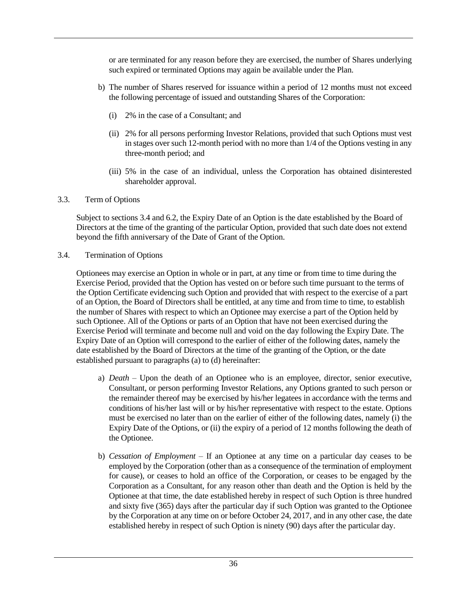or are terminated for any reason before they are exercised, the number of Shares underlying such expired or terminated Options may again be available under the Plan.

- b) The number of Shares reserved for issuance within a period of 12 months must not exceed the following percentage of issued and outstanding Shares of the Corporation:
	- (i) 2% in the case of a Consultant; and
	- (ii) 2% for all persons performing Investor Relations, provided that such Options must vest in stages over such 12-month period with no more than 1/4 of the Options vesting in any three-month period; and
	- (iii) 5% in the case of an individual, unless the Corporation has obtained disinterested shareholder approval.

#### 3.3. Term of Options

Subject to sections 3.4 and 6.2, the Expiry Date of an Option is the date established by the Board of Directors at the time of the granting of the particular Option, provided that such date does not extend beyond the fifth anniversary of the Date of Grant of the Option.

#### 3.4. Termination of Options

Optionees may exercise an Option in whole or in part, at any time or from time to time during the Exercise Period, provided that the Option has vested on or before such time pursuant to the terms of the Option Certificate evidencing such Option and provided that with respect to the exercise of a part of an Option, the Board of Directors shall be entitled, at any time and from time to time, to establish the number of Shares with respect to which an Optionee may exercise a part of the Option held by such Optionee. All of the Options or parts of an Option that have not been exercised during the Exercise Period will terminate and become null and void on the day following the Expiry Date. The Expiry Date of an Option will correspond to the earlier of either of the following dates, namely the date established by the Board of Directors at the time of the granting of the Option, or the date established pursuant to paragraphs (a) to (d) hereinafter:

- a) *Death* Upon the death of an Optionee who is an employee, director, senior executive, Consultant, or person performing Investor Relations, any Options granted to such person or the remainder thereof may be exercised by his/her legatees in accordance with the terms and conditions of his/her last will or by his/her representative with respect to the estate. Options must be exercised no later than on the earlier of either of the following dates, namely (i) the Expiry Date of the Options, or (ii) the expiry of a period of 12 months following the death of the Optionee.
- b) *Cessation of Employment –* If an Optionee at any time on a particular day ceases to be employed by the Corporation (other than as a consequence of the termination of employment for cause), or ceases to hold an office of the Corporation, or ceases to be engaged by the Corporation as a Consultant, for any reason other than death and the Option is held by the Optionee at that time, the date established hereby in respect of such Option is three hundred and sixty five (365) days after the particular day if such Option was granted to the Optionee by the Corporation at any time on or before October 24, 2017, and in any other case, the date established hereby in respect of such Option is ninety (90) days after the particular day.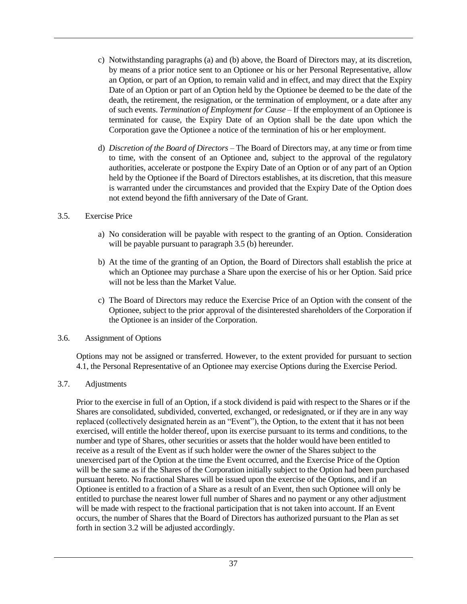- c) Notwithstanding paragraphs (a) and (b) above, the Board of Directors may, at its discretion, by means of a prior notice sent to an Optionee or his or her Personal Representative, allow an Option, or part of an Option, to remain valid and in effect, and may direct that the Expiry Date of an Option or part of an Option held by the Optionee be deemed to be the date of the death, the retirement, the resignation, or the termination of employment, or a date after any of such events. *Termination of Employment for Cause* – If the employment of an Optionee is terminated for cause, the Expiry Date of an Option shall be the date upon which the Corporation gave the Optionee a notice of the termination of his or her employment.
- d) *Discretion of the Board of Directors* The Board of Directors may, at any time or from time to time, with the consent of an Optionee and, subject to the approval of the regulatory authorities, accelerate or postpone the Expiry Date of an Option or of any part of an Option held by the Optionee if the Board of Directors establishes, at its discretion, that this measure is warranted under the circumstances and provided that the Expiry Date of the Option does not extend beyond the fifth anniversary of the Date of Grant.

#### 3.5. Exercise Price

- a) No consideration will be payable with respect to the granting of an Option. Consideration will be payable pursuant to paragraph 3.5 (b) hereunder.
- b) At the time of the granting of an Option, the Board of Directors shall establish the price at which an Optionee may purchase a Share upon the exercise of his or her Option. Said price will not be less than the Market Value.
- c) The Board of Directors may reduce the Exercise Price of an Option with the consent of the Optionee, subject to the prior approval of the disinterested shareholders of the Corporation if the Optionee is an insider of the Corporation.

#### 3.6. Assignment of Options

Options may not be assigned or transferred. However, to the extent provided for pursuant to section 4.1, the Personal Representative of an Optionee may exercise Options during the Exercise Period.

#### 3.7. Adjustments

Prior to the exercise in full of an Option, if a stock dividend is paid with respect to the Shares or if the Shares are consolidated, subdivided, converted, exchanged, or redesignated, or if they are in any way replaced (collectively designated herein as an "Event"), the Option, to the extent that it has not been exercised, will entitle the holder thereof, upon its exercise pursuant to its terms and conditions, to the number and type of Shares, other securities or assets that the holder would have been entitled to receive as a result of the Event as if such holder were the owner of the Shares subject to the unexercised part of the Option at the time the Event occurred, and the Exercise Price of the Option will be the same as if the Shares of the Corporation initially subject to the Option had been purchased pursuant hereto. No fractional Shares will be issued upon the exercise of the Options, and if an Optionee is entitled to a fraction of a Share as a result of an Event, then such Optionee will only be entitled to purchase the nearest lower full number of Shares and no payment or any other adjustment will be made with respect to the fractional participation that is not taken into account. If an Event occurs, the number of Shares that the Board of Directors has authorized pursuant to the Plan as set forth in section 3.2 will be adjusted accordingly.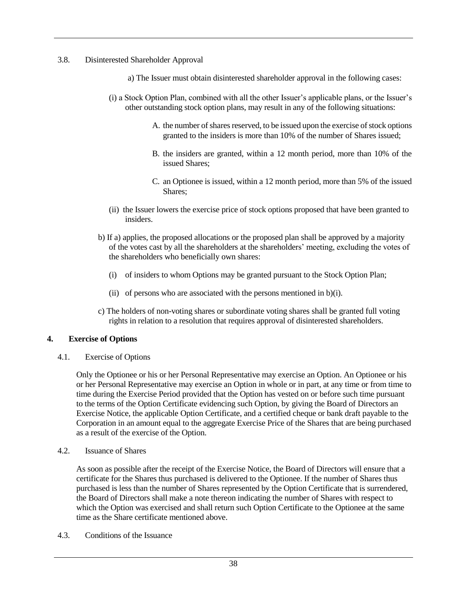### 3.8. Disinterested Shareholder Approval

- a) The Issuer must obtain disinterested shareholder approval in the following cases:
- (i) a Stock Option Plan, combined with all the other Issuer's applicable plans, or the Issuer's other outstanding stock option plans, may result in any of the following situations:
	- A. the number of shares reserved, to be issued upon the exercise of stock options granted to the insiders is more than 10% of the number of Shares issued;
	- B. the insiders are granted, within a 12 month period, more than 10% of the issued Shares;
	- C. an Optionee is issued, within a 12 month period, more than 5% of the issued Shares;
- (ii) the Issuer lowers the exercise price of stock options proposed that have been granted to insiders.
- b) If a) applies, the proposed allocations or the proposed plan shall be approved by a majority of the votes cast by all the shareholders at the shareholders' meeting, excluding the votes of the shareholders who beneficially own shares:
	- (i) of insiders to whom Options may be granted pursuant to the Stock Option Plan;
	- (ii) of persons who are associated with the persons mentioned in b)(i).
- c) The holders of non-voting shares or subordinate voting shares shall be granted full voting rights in relation to a resolution that requires approval of disinterested shareholders.

## **4. Exercise of Options**

4.1. Exercise of Options

Only the Optionee or his or her Personal Representative may exercise an Option. An Optionee or his or her Personal Representative may exercise an Option in whole or in part, at any time or from time to time during the Exercise Period provided that the Option has vested on or before such time pursuant to the terms of the Option Certificate evidencing such Option, by giving the Board of Directors an Exercise Notice, the applicable Option Certificate, and a certified cheque or bank draft payable to the Corporation in an amount equal to the aggregate Exercise Price of the Shares that are being purchased as a result of the exercise of the Option.

### 4.2. Issuance of Shares

As soon as possible after the receipt of the Exercise Notice, the Board of Directors will ensure that a certificate for the Shares thus purchased is delivered to the Optionee. If the number of Shares thus purchased is less than the number of Shares represented by the Option Certificate that is surrendered, the Board of Directors shall make a note thereon indicating the number of Shares with respect to which the Option was exercised and shall return such Option Certificate to the Optionee at the same time as the Share certificate mentioned above.

4.3. Conditions of the Issuance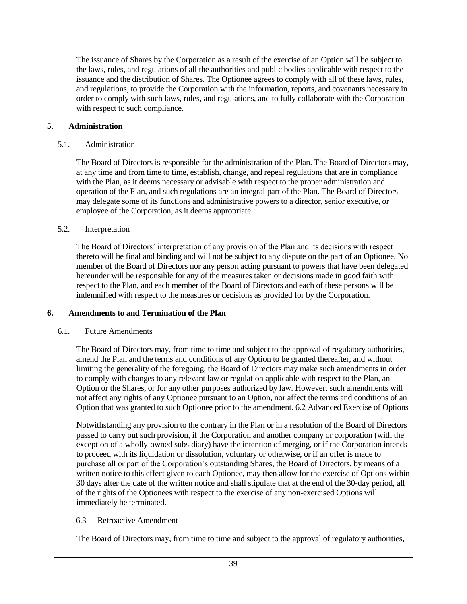The issuance of Shares by the Corporation as a result of the exercise of an Option will be subject to the laws, rules, and regulations of all the authorities and public bodies applicable with respect to the issuance and the distribution of Shares. The Optionee agrees to comply with all of these laws, rules, and regulations, to provide the Corporation with the information, reports, and covenants necessary in order to comply with such laws, rules, and regulations, and to fully collaborate with the Corporation with respect to such compliance.

### **5. Administration**

### 5.1. Administration

The Board of Directors is responsible for the administration of the Plan. The Board of Directors may, at any time and from time to time, establish, change, and repeal regulations that are in compliance with the Plan, as it deems necessary or advisable with respect to the proper administration and operation of the Plan, and such regulations are an integral part of the Plan. The Board of Directors may delegate some of its functions and administrative powers to a director, senior executive, or employee of the Corporation, as it deems appropriate.

### 5.2. Interpretation

The Board of Directors' interpretation of any provision of the Plan and its decisions with respect thereto will be final and binding and will not be subject to any dispute on the part of an Optionee. No member of the Board of Directors nor any person acting pursuant to powers that have been delegated hereunder will be responsible for any of the measures taken or decisions made in good faith with respect to the Plan, and each member of the Board of Directors and each of these persons will be indemnified with respect to the measures or decisions as provided for by the Corporation.

### **6. Amendments to and Termination of the Plan**

## 6.1. Future Amendments

The Board of Directors may, from time to time and subject to the approval of regulatory authorities, amend the Plan and the terms and conditions of any Option to be granted thereafter, and without limiting the generality of the foregoing, the Board of Directors may make such amendments in order to comply with changes to any relevant law or regulation applicable with respect to the Plan, an Option or the Shares, or for any other purposes authorized by law. However, such amendments will not affect any rights of any Optionee pursuant to an Option, nor affect the terms and conditions of an Option that was granted to such Optionee prior to the amendment. 6.2 Advanced Exercise of Options

Notwithstanding any provision to the contrary in the Plan or in a resolution of the Board of Directors passed to carry out such provision, if the Corporation and another company or corporation (with the exception of a wholly-owned subsidiary) have the intention of merging, or if the Corporation intends to proceed with its liquidation or dissolution, voluntary or otherwise, or if an offer is made to purchase all or part of the Corporation's outstanding Shares, the Board of Directors, by means of a written notice to this effect given to each Optionee, may then allow for the exercise of Options within 30 days after the date of the written notice and shall stipulate that at the end of the 30-day period, all of the rights of the Optionees with respect to the exercise of any non-exercised Options will immediately be terminated.

## 6.3 Retroactive Amendment

The Board of Directors may, from time to time and subject to the approval of regulatory authorities,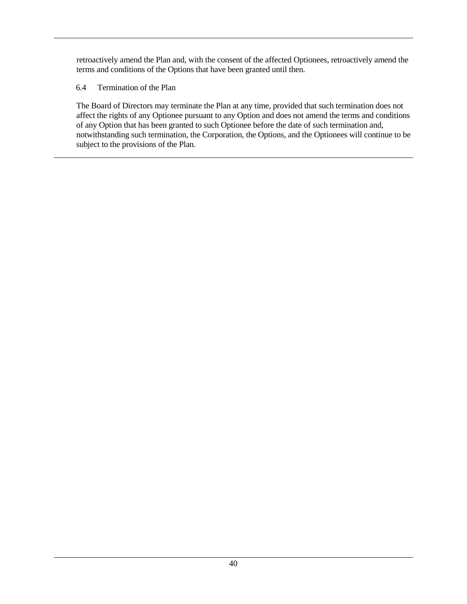retroactively amend the Plan and, with the consent of the affected Optionees, retroactively amend the terms and conditions of the Options that have been granted until then.

## 6.4 Termination of the Plan

The Board of Directors may terminate the Plan at any time, provided that such termination does not affect the rights of any Optionee pursuant to any Option and does not amend the terms and conditions of any Option that has been granted to such Optionee before the date of such termination and, notwithstanding such termination, the Corporation, the Options, and the Optionees will continue to be subject to the provisions of the Plan.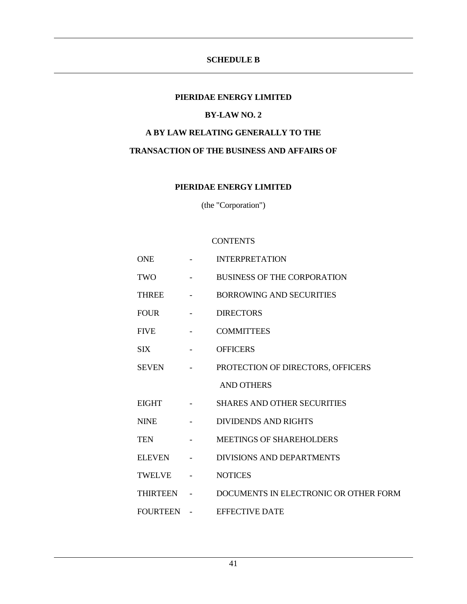## **SCHEDULE B**

#### **PIERIDAE ENERGY LIMITED**

## **BY-LAW NO. 2**

## **A BY LAW RELATING GENERALLY TO THE**

### **TRANSACTION OF THE BUSINESS AND AFFAIRS OF**

#### **PIERIDAE ENERGY LIMITED**

(the "Corporation")

#### **CONTENTS**

| <b>ONE</b>   |                          | <b>INTERPRETATION</b>                 |
|--------------|--------------------------|---------------------------------------|
| TWO          |                          | <b>BUSINESS OF THE CORPORATION</b>    |
| <b>THREE</b> |                          | <b>BORROWING AND SECURITIES</b>       |
| FOUR         |                          | <b>DIRECTORS</b>                      |
| FIVE         |                          | <b>COMMITTEES</b>                     |
| <b>SIX</b>   |                          | <b>OFFICERS</b>                       |
| SEVEN        | <b>Contract Contract</b> | PROTECTION OF DIRECTORS, OFFICERS     |
|              |                          | <b>AND OTHERS</b>                     |
| EIGHT        |                          | <b>SHARES AND OTHER SECURITIES</b>    |
| <b>NINE</b>  |                          | <b>DIVIDENDS AND RIGHTS</b>           |
| TEN          |                          | <b>MEETINGS OF SHAREHOLDERS</b>       |
| ELEVEN       |                          | <b>DIVISIONS AND DEPARTMENTS</b>      |
| TWELVE       |                          | <b>NOTICES</b>                        |
| THIRTEEN -   |                          | DOCUMENTS IN ELECTRONIC OR OTHER FORM |
| FOURTEEN -   |                          | <b>EFFECTIVE DATE</b>                 |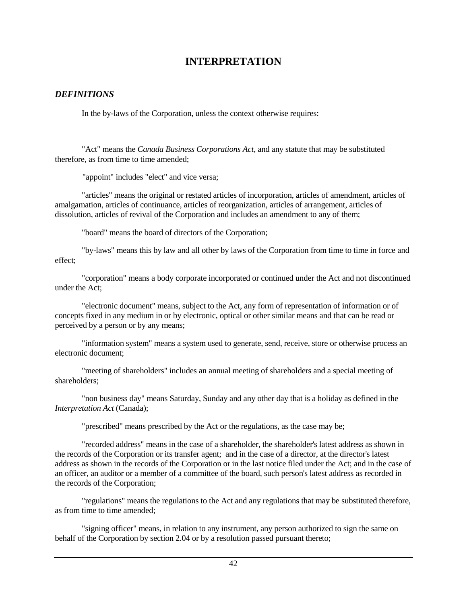# **INTERPRETATION**

## *DEFINITIONS*

In the by-laws of the Corporation, unless the context otherwise requires:

"Act" means the *Canada Business Corporations Act*, and any statute that may be substituted therefore, as from time to time amended;

"appoint" includes "elect" and vice versa;

"articles" means the original or restated articles of incorporation, articles of amendment, articles of amalgamation, articles of continuance, articles of reorganization, articles of arrangement, articles of dissolution, articles of revival of the Corporation and includes an amendment to any of them;

"board" means the board of directors of the Corporation;

"by-laws" means this by law and all other by laws of the Corporation from time to time in force and effect;

"corporation" means a body corporate incorporated or continued under the Act and not discontinued under the Act;

"electronic document" means, subject to the Act, any form of representation of information or of concepts fixed in any medium in or by electronic, optical or other similar means and that can be read or perceived by a person or by any means;

"information system" means a system used to generate, send, receive, store or otherwise process an electronic document;

"meeting of shareholders" includes an annual meeting of shareholders and a special meeting of shareholders;

"non business day" means Saturday, Sunday and any other day that is a holiday as defined in the *Interpretation Act* (Canada);

"prescribed" means prescribed by the Act or the regulations, as the case may be;

"recorded address" means in the case of a shareholder, the shareholder's latest address as shown in the records of the Corporation or its transfer agent; and in the case of a director, at the director's latest address as shown in the records of the Corporation or in the last notice filed under the Act; and in the case of an officer, an auditor or a member of a committee of the board, such person's latest address as recorded in the records of the Corporation;

"regulations" means the regulations to the Act and any regulations that may be substituted therefore, as from time to time amended;

"signing officer" means, in relation to any instrument, any person authorized to sign the same on behalf of the Corporation by section 2.04 or by a resolution passed pursuant thereto;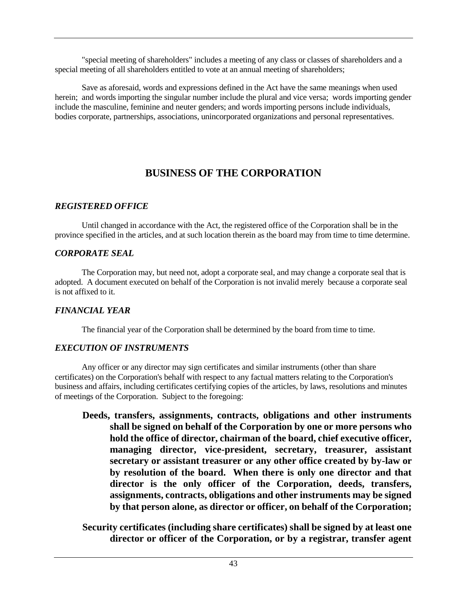"special meeting of shareholders" includes a meeting of any class or classes of shareholders and a special meeting of all shareholders entitled to vote at an annual meeting of shareholders;

Save as aforesaid, words and expressions defined in the Act have the same meanings when used herein; and words importing the singular number include the plural and vice versa; words importing gender include the masculine, feminine and neuter genders; and words importing persons include individuals, bodies corporate, partnerships, associations, unincorporated organizations and personal representatives.

# **BUSINESS OF THE CORPORATION**

## *REGISTERED OFFICE*

Until changed in accordance with the Act, the registered office of the Corporation shall be in the province specified in the articles, and at such location therein as the board may from time to time determine.

## *CORPORATE SEAL*

The Corporation may, but need not, adopt a corporate seal, and may change a corporate seal that is adopted. A document executed on behalf of the Corporation is not invalid merely because a corporate seal is not affixed to it.

## *FINANCIAL YEAR*

The financial year of the Corporation shall be determined by the board from time to time.

## *EXECUTION OF INSTRUMENTS*

Any officer or any director may sign certificates and similar instruments (other than share certificates) on the Corporation's behalf with respect to any factual matters relating to the Corporation's business and affairs, including certificates certifying copies of the articles, by laws, resolutions and minutes of meetings of the Corporation. Subject to the foregoing:

**Deeds, transfers, assignments, contracts, obligations and other instruments shall be signed on behalf of the Corporation by one or more persons who hold the office of director, chairman of the board, chief executive officer, managing director, vice-president, secretary, treasurer, assistant secretary or assistant treasurer or any other office created by by-law or by resolution of the board. When there is only one director and that director is the only officer of the Corporation, deeds, transfers, assignments, contracts, obligations and other instruments may be signed by that person alone, as director or officer, on behalf of the Corporation;**

**Security certificates (including share certificates) shall be signed by at least one director or officer of the Corporation, or by a registrar, transfer agent**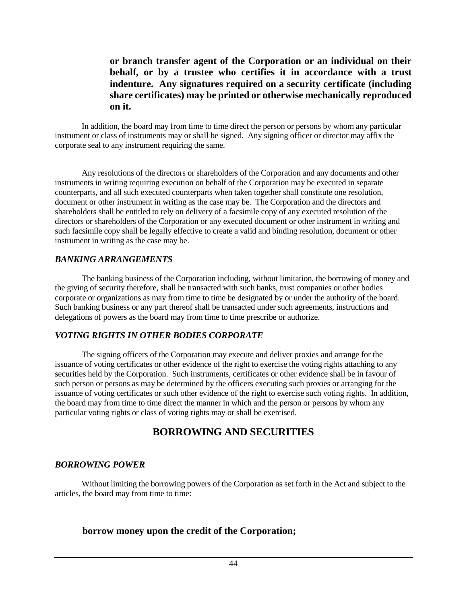## **or branch transfer agent of the Corporation or an individual on their behalf, or by a trustee who certifies it in accordance with a trust indenture. Any signatures required on a security certificate (including share certificates) may be printed or otherwise mechanically reproduced on it.**

In addition, the board may from time to time direct the person or persons by whom any particular instrument or class of instruments may or shall be signed. Any signing officer or director may affix the corporate seal to any instrument requiring the same.

Any resolutions of the directors or shareholders of the Corporation and any documents and other instruments in writing requiring execution on behalf of the Corporation may be executed in separate counterparts, and all such executed counterparts when taken together shall constitute one resolution, document or other instrument in writing as the case may be. The Corporation and the directors and shareholders shall be entitled to rely on delivery of a facsimile copy of any executed resolution of the directors or shareholders of the Corporation or any executed document or other instrument in writing and such facsimile copy shall be legally effective to create a valid and binding resolution, document or other instrument in writing as the case may be.

## *BANKING ARRANGEMENTS*

The banking business of the Corporation including, without limitation, the borrowing of money and the giving of security therefore, shall be transacted with such banks, trust companies or other bodies corporate or organizations as may from time to time be designated by or under the authority of the board. Such banking business or any part thereof shall be transacted under such agreements, instructions and delegations of powers as the board may from time to time prescribe or authorize.

## *VOTING RIGHTS IN OTHER BODIES CORPORATE*

The signing officers of the Corporation may execute and deliver proxies and arrange for the issuance of voting certificates or other evidence of the right to exercise the voting rights attaching to any securities held by the Corporation. Such instruments, certificates or other evidence shall be in favour of such person or persons as may be determined by the officers executing such proxies or arranging for the issuance of voting certificates or such other evidence of the right to exercise such voting rights. In addition, the board may from time to time direct the manner in which and the person or persons by whom any particular voting rights or class of voting rights may or shall be exercised.

# **BORROWING AND SECURITIES**

## *BORROWING POWER*

Without limiting the borrowing powers of the Corporation as set forth in the Act and subject to the articles, the board may from time to time:

## **borrow money upon the credit of the Corporation;**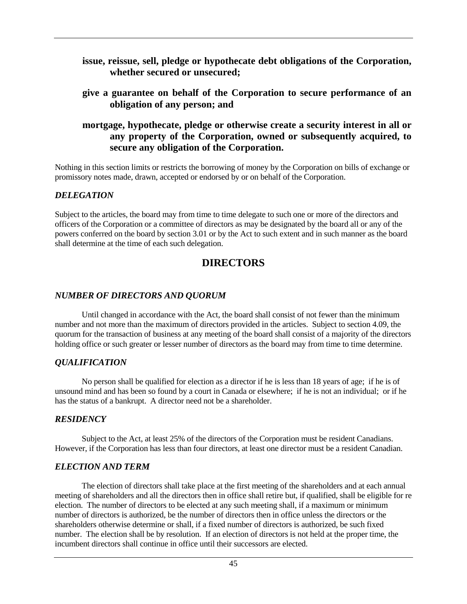## **issue, reissue, sell, pledge or hypothecate debt obligations of the Corporation, whether secured or unsecured;**

**give a guarantee on behalf of the Corporation to secure performance of an obligation of any person; and**

## **mortgage, hypothecate, pledge or otherwise create a security interest in all or any property of the Corporation, owned or subsequently acquired, to secure any obligation of the Corporation.**

Nothing in this section limits or restricts the borrowing of money by the Corporation on bills of exchange or promissory notes made, drawn, accepted or endorsed by or on behalf of the Corporation.

## *DELEGATION*

Subject to the articles, the board may from time to time delegate to such one or more of the directors and officers of the Corporation or a committee of directors as may be designated by the board all or any of the powers conferred on the board by section 3.01 or by the Act to such extent and in such manner as the board shall determine at the time of each such delegation.

## **DIRECTORS**

## *NUMBER OF DIRECTORS AND QUORUM*

Until changed in accordance with the Act, the board shall consist of not fewer than the minimum number and not more than the maximum of directors provided in the articles. Subject to section 4.09, the quorum for the transaction of business at any meeting of the board shall consist of a majority of the directors holding office or such greater or lesser number of directors as the board may from time to time determine.

## *QUALIFICATION*

No person shall be qualified for election as a director if he is less than 18 years of age; if he is of unsound mind and has been so found by a court in Canada or elsewhere; if he is not an individual; or if he has the status of a bankrupt. A director need not be a shareholder.

## *RESIDENCY*

Subject to the Act, at least 25% of the directors of the Corporation must be resident Canadians. However, if the Corporation has less than four directors, at least one director must be a resident Canadian.

## *ELECTION AND TERM*

The election of directors shall take place at the first meeting of the shareholders and at each annual meeting of shareholders and all the directors then in office shall retire but, if qualified, shall be eligible for re election. The number of directors to be elected at any such meeting shall, if a maximum or minimum number of directors is authorized, be the number of directors then in office unless the directors or the shareholders otherwise determine or shall, if a fixed number of directors is authorized, be such fixed number. The election shall be by resolution. If an election of directors is not held at the proper time, the incumbent directors shall continue in office until their successors are elected.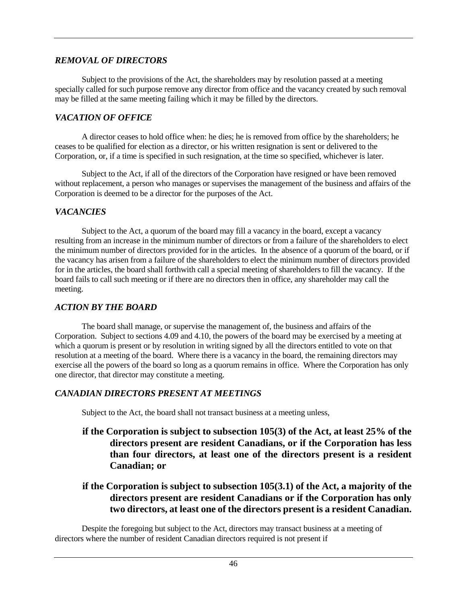## *REMOVAL OF DIRECTORS*

Subject to the provisions of the Act, the shareholders may by resolution passed at a meeting specially called for such purpose remove any director from office and the vacancy created by such removal may be filled at the same meeting failing which it may be filled by the directors.

## *VACATION OF OFFICE*

A director ceases to hold office when: he dies; he is removed from office by the shareholders; he ceases to be qualified for election as a director, or his written resignation is sent or delivered to the Corporation, or, if a time is specified in such resignation, at the time so specified, whichever is later.

Subject to the Act, if all of the directors of the Corporation have resigned or have been removed without replacement, a person who manages or supervises the management of the business and affairs of the Corporation is deemed to be a director for the purposes of the Act.

## *VACANCIES*

Subject to the Act, a quorum of the board may fill a vacancy in the board, except a vacancy resulting from an increase in the minimum number of directors or from a failure of the shareholders to elect the minimum number of directors provided for in the articles. In the absence of a quorum of the board, or if the vacancy has arisen from a failure of the shareholders to elect the minimum number of directors provided for in the articles, the board shall forthwith call a special meeting of shareholders to fill the vacancy. If the board fails to call such meeting or if there are no directors then in office, any shareholder may call the meeting.

## *ACTION BY THE BOARD*

The board shall manage, or supervise the management of, the business and affairs of the Corporation. Subject to sections 4.09 and 4.10, the powers of the board may be exercised by a meeting at which a quorum is present or by resolution in writing signed by all the directors entitled to vote on that resolution at a meeting of the board. Where there is a vacancy in the board, the remaining directors may exercise all the powers of the board so long as a quorum remains in office. Where the Corporation has only one director, that director may constitute a meeting.

## *CANADIAN DIRECTORS PRESENT AT MEETINGS*

Subject to the Act, the board shall not transact business at a meeting unless,

**if the Corporation is subject to subsection 105(3) of the Act, at least 25% of the directors present are resident Canadians, or if the Corporation has less than four directors, at least one of the directors present is a resident Canadian; or**

## **if the Corporation is subject to subsection 105(3.1) of the Act, a majority of the directors present are resident Canadians or if the Corporation has only two directors, at least one of the directors present is a resident Canadian.**

Despite the foregoing but subject to the Act, directors may transact business at a meeting of directors where the number of resident Canadian directors required is not present if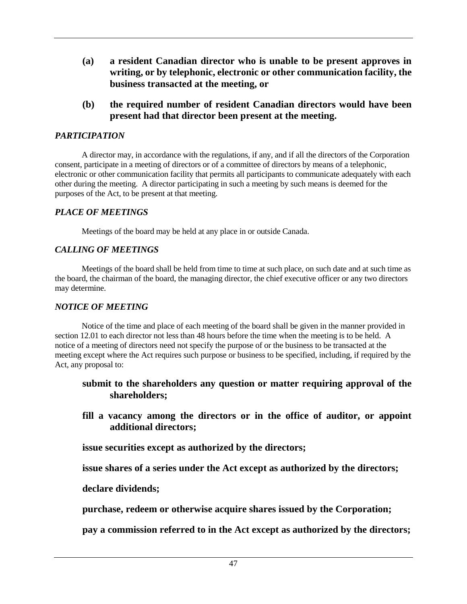- **(a) a resident Canadian director who is unable to be present approves in writing, or by telephonic, electronic or other communication facility, the business transacted at the meeting, or**
- **(b) the required number of resident Canadian directors would have been present had that director been present at the meeting.**

## *PARTICIPATION*

A director may, in accordance with the regulations, if any, and if all the directors of the Corporation consent, participate in a meeting of directors or of a committee of directors by means of a telephonic, electronic or other communication facility that permits all participants to communicate adequately with each other during the meeting. A director participating in such a meeting by such means is deemed for the purposes of the Act, to be present at that meeting.

## *PLACE OF MEETINGS*

Meetings of the board may be held at any place in or outside Canada.

## *CALLING OF MEETINGS*

Meetings of the board shall be held from time to time at such place, on such date and at such time as the board, the chairman of the board, the managing director, the chief executive officer or any two directors may determine.

## *NOTICE OF MEETING*

Notice of the time and place of each meeting of the board shall be given in the manner provided in section 12.01 to each director not less than 48 hours before the time when the meeting is to be held. A notice of a meeting of directors need not specify the purpose of or the business to be transacted at the meeting except where the Act requires such purpose or business to be specified, including, if required by the Act, any proposal to:

## **submit to the shareholders any question or matter requiring approval of the shareholders;**

**fill a vacancy among the directors or in the office of auditor, or appoint additional directors;**

**issue securities except as authorized by the directors;**

**issue shares of a series under the Act except as authorized by the directors;**

## **declare dividends;**

**purchase, redeem or otherwise acquire shares issued by the Corporation;**

**pay a commission referred to in the Act except as authorized by the directors;**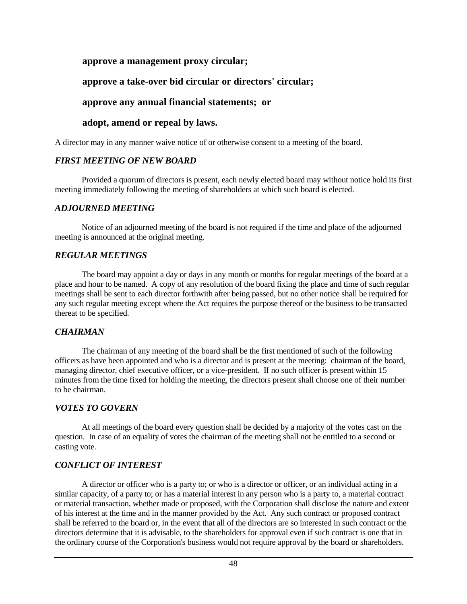## **approve a management proxy circular;**

## **approve a take-over bid circular or directors' circular;**

## **approve any annual financial statements; or**

## **adopt, amend or repeal by laws.**

A director may in any manner waive notice of or otherwise consent to a meeting of the board.

## *FIRST MEETING OF NEW BOARD*

Provided a quorum of directors is present, each newly elected board may without notice hold its first meeting immediately following the meeting of shareholders at which such board is elected.

## *ADJOURNED MEETING*

Notice of an adjourned meeting of the board is not required if the time and place of the adjourned meeting is announced at the original meeting.

## *REGULAR MEETINGS*

The board may appoint a day or days in any month or months for regular meetings of the board at a place and hour to be named. A copy of any resolution of the board fixing the place and time of such regular meetings shall be sent to each director forthwith after being passed, but no other notice shall be required for any such regular meeting except where the Act requires the purpose thereof or the business to be transacted thereat to be specified.

## *CHAIRMAN*

The chairman of any meeting of the board shall be the first mentioned of such of the following officers as have been appointed and who is a director and is present at the meeting: chairman of the board, managing director, chief executive officer, or a vice-president. If no such officer is present within 15 minutes from the time fixed for holding the meeting, the directors present shall choose one of their number to be chairman.

## *VOTES TO GOVERN*

At all meetings of the board every question shall be decided by a majority of the votes cast on the question. In case of an equality of votes the chairman of the meeting shall not be entitled to a second or casting vote.

## *CONFLICT OF INTEREST*

A director or officer who is a party to; or who is a director or officer, or an individual acting in a similar capacity, of a party to; or has a material interest in any person who is a party to, a material contract or material transaction, whether made or proposed, with the Corporation shall disclose the nature and extent of his interest at the time and in the manner provided by the Act. Any such contract or proposed contract shall be referred to the board or, in the event that all of the directors are so interested in such contract or the directors determine that it is advisable, to the shareholders for approval even if such contract is one that in the ordinary course of the Corporation's business would not require approval by the board or shareholders.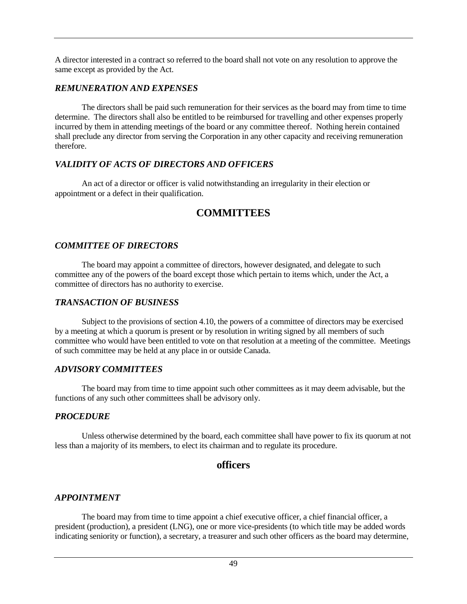A director interested in a contract so referred to the board shall not vote on any resolution to approve the same except as provided by the Act.

## *REMUNERATION AND EXPENSES*

The directors shall be paid such remuneration for their services as the board may from time to time determine. The directors shall also be entitled to be reimbursed for travelling and other expenses properly incurred by them in attending meetings of the board or any committee thereof. Nothing herein contained shall preclude any director from serving the Corporation in any other capacity and receiving remuneration therefore.

## *VALIDITY OF ACTS OF DIRECTORS AND OFFICERS*

An act of a director or officer is valid notwithstanding an irregularity in their election or appointment or a defect in their qualification.

# **COMMITTEES**

## *COMMITTEE OF DIRECTORS*

The board may appoint a committee of directors, however designated, and delegate to such committee any of the powers of the board except those which pertain to items which, under the Act, a committee of directors has no authority to exercise.

## *TRANSACTION OF BUSINESS*

Subject to the provisions of section 4.10, the powers of a committee of directors may be exercised by a meeting at which a quorum is present or by resolution in writing signed by all members of such committee who would have been entitled to vote on that resolution at a meeting of the committee. Meetings of such committee may be held at any place in or outside Canada.

## *ADVISORY COMMITTEES*

The board may from time to time appoint such other committees as it may deem advisable, but the functions of any such other committees shall be advisory only.

## *PROCEDURE*

Unless otherwise determined by the board, each committee shall have power to fix its quorum at not less than a majority of its members, to elect its chairman and to regulate its procedure.

## **officers**

## *APPOINTMENT*

The board may from time to time appoint a chief executive officer, a chief financial officer, a president (production), a president (LNG), one or more vice-presidents (to which title may be added words indicating seniority or function), a secretary, a treasurer and such other officers as the board may determine,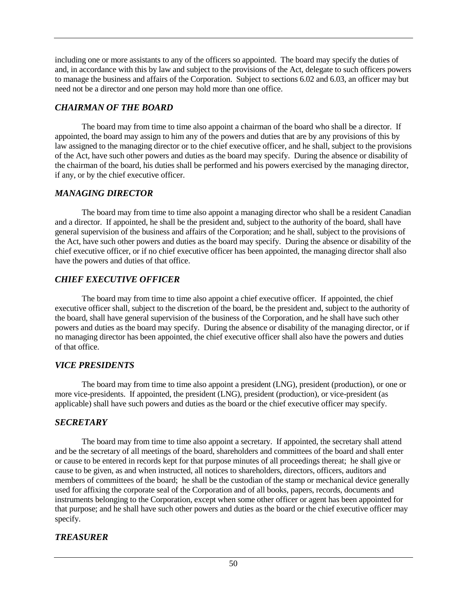including one or more assistants to any of the officers so appointed. The board may specify the duties of and, in accordance with this by law and subject to the provisions of the Act, delegate to such officers powers to manage the business and affairs of the Corporation. Subject to sections 6.02 and 6.03, an officer may but need not be a director and one person may hold more than one office.

## *CHAIRMAN OF THE BOARD*

The board may from time to time also appoint a chairman of the board who shall be a director. If appointed, the board may assign to him any of the powers and duties that are by any provisions of this by law assigned to the managing director or to the chief executive officer, and he shall, subject to the provisions of the Act, have such other powers and duties as the board may specify. During the absence or disability of the chairman of the board, his duties shall be performed and his powers exercised by the managing director, if any, or by the chief executive officer.

## *MANAGING DIRECTOR*

The board may from time to time also appoint a managing director who shall be a resident Canadian and a director. If appointed, he shall be the president and, subject to the authority of the board, shall have general supervision of the business and affairs of the Corporation; and he shall, subject to the provisions of the Act, have such other powers and duties as the board may specify. During the absence or disability of the chief executive officer, or if no chief executive officer has been appointed, the managing director shall also have the powers and duties of that office.

## *CHIEF EXECUTIVE OFFICER*

The board may from time to time also appoint a chief executive officer. If appointed, the chief executive officer shall, subject to the discretion of the board, be the president and, subject to the authority of the board, shall have general supervision of the business of the Corporation, and he shall have such other powers and duties as the board may specify. During the absence or disability of the managing director, or if no managing director has been appointed, the chief executive officer shall also have the powers and duties of that office.

## *VICE PRESIDENTS*

The board may from time to time also appoint a president (LNG), president (production), or one or more vice-presidents. If appointed, the president (LNG), president (production), or vice-president (as applicable) shall have such powers and duties as the board or the chief executive officer may specify.

## *SECRETARY*

The board may from time to time also appoint a secretary. If appointed, the secretary shall attend and be the secretary of all meetings of the board, shareholders and committees of the board and shall enter or cause to be entered in records kept for that purpose minutes of all proceedings thereat; he shall give or cause to be given, as and when instructed, all notices to shareholders, directors, officers, auditors and members of committees of the board; he shall be the custodian of the stamp or mechanical device generally used for affixing the corporate seal of the Corporation and of all books, papers, records, documents and instruments belonging to the Corporation, except when some other officer or agent has been appointed for that purpose; and he shall have such other powers and duties as the board or the chief executive officer may specify.

## *TREASURER*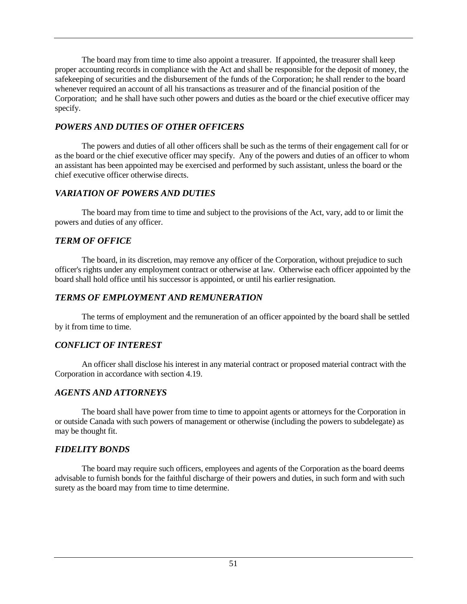The board may from time to time also appoint a treasurer. If appointed, the treasurer shall keep proper accounting records in compliance with the Act and shall be responsible for the deposit of money, the safekeeping of securities and the disbursement of the funds of the Corporation; he shall render to the board whenever required an account of all his transactions as treasurer and of the financial position of the Corporation; and he shall have such other powers and duties as the board or the chief executive officer may specify.

## *POWERS AND DUTIES OF OTHER OFFICERS*

The powers and duties of all other officers shall be such as the terms of their engagement call for or as the board or the chief executive officer may specify. Any of the powers and duties of an officer to whom an assistant has been appointed may be exercised and performed by such assistant, unless the board or the chief executive officer otherwise directs.

## *VARIATION OF POWERS AND DUTIES*

The board may from time to time and subject to the provisions of the Act, vary, add to or limit the powers and duties of any officer.

## *TERM OF OFFICE*

The board, in its discretion, may remove any officer of the Corporation, without prejudice to such officer's rights under any employment contract or otherwise at law. Otherwise each officer appointed by the board shall hold office until his successor is appointed, or until his earlier resignation.

## *TERMS OF EMPLOYMENT AND REMUNERATION*

The terms of employment and the remuneration of an officer appointed by the board shall be settled by it from time to time.

## *CONFLICT OF INTEREST*

An officer shall disclose his interest in any material contract or proposed material contract with the Corporation in accordance with section 4.19.

## *AGENTS AND ATTORNEYS*

The board shall have power from time to time to appoint agents or attorneys for the Corporation in or outside Canada with such powers of management or otherwise (including the powers to subdelegate) as may be thought fit.

## *FIDELITY BONDS*

The board may require such officers, employees and agents of the Corporation as the board deems advisable to furnish bonds for the faithful discharge of their powers and duties, in such form and with such surety as the board may from time to time determine.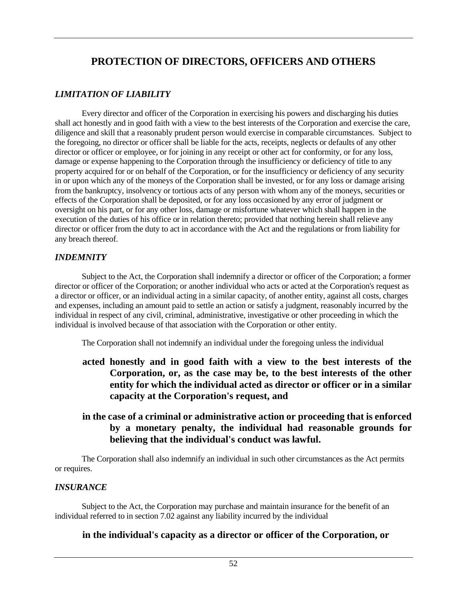# **PROTECTION OF DIRECTORS, OFFICERS AND OTHERS**

## *LIMITATION OF LIABILITY*

Every director and officer of the Corporation in exercising his powers and discharging his duties shall act honestly and in good faith with a view to the best interests of the Corporation and exercise the care, diligence and skill that a reasonably prudent person would exercise in comparable circumstances. Subject to the foregoing, no director or officer shall be liable for the acts, receipts, neglects or defaults of any other director or officer or employee, or for joining in any receipt or other act for conformity, or for any loss, damage or expense happening to the Corporation through the insufficiency or deficiency of title to any property acquired for or on behalf of the Corporation, or for the insufficiency or deficiency of any security in or upon which any of the moneys of the Corporation shall be invested, or for any loss or damage arising from the bankruptcy, insolvency or tortious acts of any person with whom any of the moneys, securities or effects of the Corporation shall be deposited, or for any loss occasioned by any error of judgment or oversight on his part, or for any other loss, damage or misfortune whatever which shall happen in the execution of the duties of his office or in relation thereto; provided that nothing herein shall relieve any director or officer from the duty to act in accordance with the Act and the regulations or from liability for any breach thereof.

## *INDEMNITY*

Subject to the Act, the Corporation shall indemnify a director or officer of the Corporation; a former director or officer of the Corporation; or another individual who acts or acted at the Corporation's request as a director or officer, or an individual acting in a similar capacity, of another entity, against all costs, charges and expenses, including an amount paid to settle an action or satisfy a judgment, reasonably incurred by the individual in respect of any civil, criminal, administrative, investigative or other proceeding in which the individual is involved because of that association with the Corporation or other entity.

The Corporation shall not indemnify an individual under the foregoing unless the individual

- **acted honestly and in good faith with a view to the best interests of the Corporation, or, as the case may be, to the best interests of the other entity for which the individual acted as director or officer or in a similar capacity at the Corporation's request, and**
- **in the case of a criminal or administrative action or proceeding that is enforced by a monetary penalty, the individual had reasonable grounds for believing that the individual's conduct was lawful.**

The Corporation shall also indemnify an individual in such other circumstances as the Act permits or requires.

## *INSURANCE*

Subject to the Act, the Corporation may purchase and maintain insurance for the benefit of an individual referred to in section 7.02 against any liability incurred by the individual

## **in the individual's capacity as a director or officer of the Corporation, or**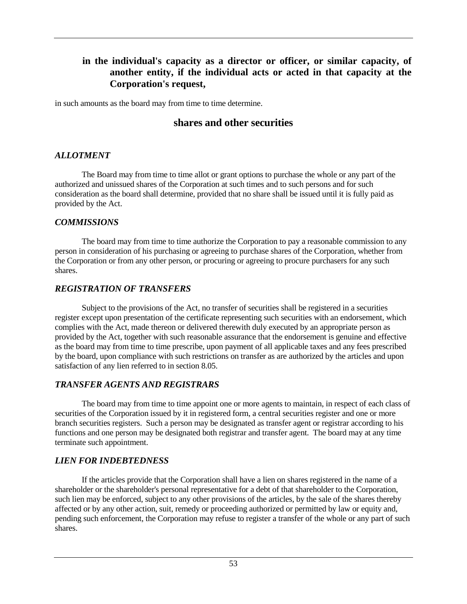## **in the individual's capacity as a director or officer, or similar capacity, of another entity, if the individual acts or acted in that capacity at the Corporation's request,**

in such amounts as the board may from time to time determine.

## **shares and other securities**

## *ALLOTMENT*

The Board may from time to time allot or grant options to purchase the whole or any part of the authorized and unissued shares of the Corporation at such times and to such persons and for such consideration as the board shall determine, provided that no share shall be issued until it is fully paid as provided by the Act.

## *COMMISSIONS*

The board may from time to time authorize the Corporation to pay a reasonable commission to any person in consideration of his purchasing or agreeing to purchase shares of the Corporation, whether from the Corporation or from any other person, or procuring or agreeing to procure purchasers for any such shares.

## *REGISTRATION OF TRANSFERS*

Subject to the provisions of the Act, no transfer of securities shall be registered in a securities register except upon presentation of the certificate representing such securities with an endorsement, which complies with the Act, made thereon or delivered therewith duly executed by an appropriate person as provided by the Act, together with such reasonable assurance that the endorsement is genuine and effective as the board may from time to time prescribe, upon payment of all applicable taxes and any fees prescribed by the board, upon compliance with such restrictions on transfer as are authorized by the articles and upon satisfaction of any lien referred to in section 8.05.

## *TRANSFER AGENTS AND REGISTRARS*

The board may from time to time appoint one or more agents to maintain, in respect of each class of securities of the Corporation issued by it in registered form, a central securities register and one or more branch securities registers. Such a person may be designated as transfer agent or registrar according to his functions and one person may be designated both registrar and transfer agent. The board may at any time terminate such appointment.

## *LIEN FOR INDEBTEDNESS*

If the articles provide that the Corporation shall have a lien on shares registered in the name of a shareholder or the shareholder's personal representative for a debt of that shareholder to the Corporation, such lien may be enforced, subject to any other provisions of the articles, by the sale of the shares thereby affected or by any other action, suit, remedy or proceeding authorized or permitted by law or equity and, pending such enforcement, the Corporation may refuse to register a transfer of the whole or any part of such shares.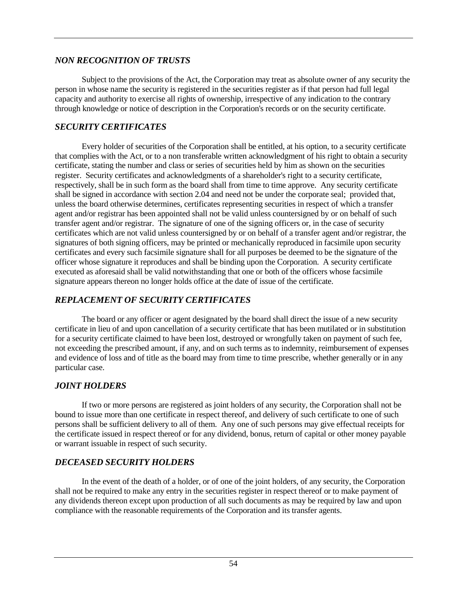## *NON RECOGNITION OF TRUSTS*

Subject to the provisions of the Act, the Corporation may treat as absolute owner of any security the person in whose name the security is registered in the securities register as if that person had full legal capacity and authority to exercise all rights of ownership, irrespective of any indication to the contrary through knowledge or notice of description in the Corporation's records or on the security certificate.

## *SECURITY CERTIFICATES*

Every holder of securities of the Corporation shall be entitled, at his option, to a security certificate that complies with the Act, or to a non transferable written acknowledgment of his right to obtain a security certificate, stating the number and class or series of securities held by him as shown on the securities register. Security certificates and acknowledgments of a shareholder's right to a security certificate, respectively, shall be in such form as the board shall from time to time approve. Any security certificate shall be signed in accordance with section 2.04 and need not be under the corporate seal; provided that, unless the board otherwise determines, certificates representing securities in respect of which a transfer agent and/or registrar has been appointed shall not be valid unless countersigned by or on behalf of such transfer agent and/or registrar. The signature of one of the signing officers or, in the case of security certificates which are not valid unless countersigned by or on behalf of a transfer agent and/or registrar, the signatures of both signing officers, may be printed or mechanically reproduced in facsimile upon security certificates and every such facsimile signature shall for all purposes be deemed to be the signature of the officer whose signature it reproduces and shall be binding upon the Corporation. A security certificate executed as aforesaid shall be valid notwithstanding that one or both of the officers whose facsimile signature appears thereon no longer holds office at the date of issue of the certificate.

## *REPLACEMENT OF SECURITY CERTIFICATES*

The board or any officer or agent designated by the board shall direct the issue of a new security certificate in lieu of and upon cancellation of a security certificate that has been mutilated or in substitution for a security certificate claimed to have been lost, destroyed or wrongfully taken on payment of such fee, not exceeding the prescribed amount, if any, and on such terms as to indemnity, reimbursement of expenses and evidence of loss and of title as the board may from time to time prescribe, whether generally or in any particular case.

## *JOINT HOLDERS*

If two or more persons are registered as joint holders of any security, the Corporation shall not be bound to issue more than one certificate in respect thereof, and delivery of such certificate to one of such persons shall be sufficient delivery to all of them. Any one of such persons may give effectual receipts for the certificate issued in respect thereof or for any dividend, bonus, return of capital or other money payable or warrant issuable in respect of such security.

## *DECEASED SECURITY HOLDERS*

In the event of the death of a holder, or of one of the joint holders, of any security, the Corporation shall not be required to make any entry in the securities register in respect thereof or to make payment of any dividends thereon except upon production of all such documents as may be required by law and upon compliance with the reasonable requirements of the Corporation and its transfer agents.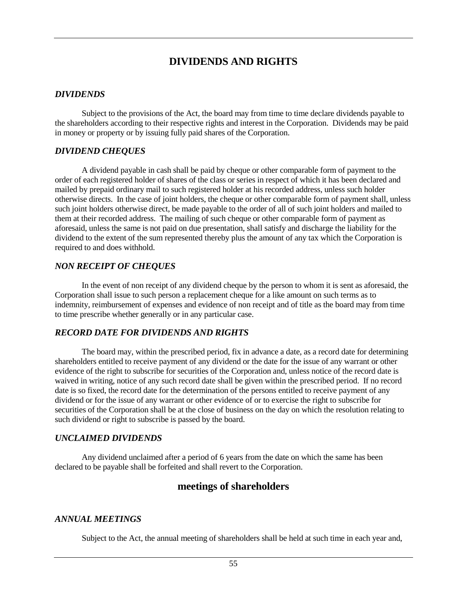# **DIVIDENDS AND RIGHTS**

### *DIVIDENDS*

Subject to the provisions of the Act, the board may from time to time declare dividends payable to the shareholders according to their respective rights and interest in the Corporation. Dividends may be paid in money or property or by issuing fully paid shares of the Corporation.

### *DIVIDEND CHEQUES*

A dividend payable in cash shall be paid by cheque or other comparable form of payment to the order of each registered holder of shares of the class or series in respect of which it has been declared and mailed by prepaid ordinary mail to such registered holder at his recorded address, unless such holder otherwise directs. In the case of joint holders, the cheque or other comparable form of payment shall, unless such joint holders otherwise direct, be made payable to the order of all of such joint holders and mailed to them at their recorded address. The mailing of such cheque or other comparable form of payment as aforesaid, unless the same is not paid on due presentation, shall satisfy and discharge the liability for the dividend to the extent of the sum represented thereby plus the amount of any tax which the Corporation is required to and does withhold.

### *NON RECEIPT OF CHEQUES*

In the event of non receipt of any dividend cheque by the person to whom it is sent as aforesaid, the Corporation shall issue to such person a replacement cheque for a like amount on such terms as to indemnity, reimbursement of expenses and evidence of non receipt and of title as the board may from time to time prescribe whether generally or in any particular case.

## *RECORD DATE FOR DIVIDENDS AND RIGHTS*

The board may, within the prescribed period, fix in advance a date, as a record date for determining shareholders entitled to receive payment of any dividend or the date for the issue of any warrant or other evidence of the right to subscribe for securities of the Corporation and, unless notice of the record date is waived in writing, notice of any such record date shall be given within the prescribed period. If no record date is so fixed, the record date for the determination of the persons entitled to receive payment of any dividend or for the issue of any warrant or other evidence of or to exercise the right to subscribe for securities of the Corporation shall be at the close of business on the day on which the resolution relating to such dividend or right to subscribe is passed by the board.

## *UNCLAIMED DIVIDENDS*

Any dividend unclaimed after a period of 6 years from the date on which the same has been declared to be payable shall be forfeited and shall revert to the Corporation.

## **meetings of shareholders**

## *ANNUAL MEETINGS*

Subject to the Act, the annual meeting of shareholders shall be held at such time in each year and,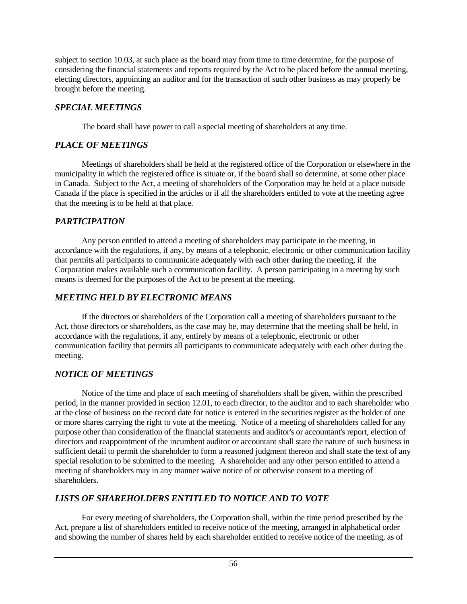subject to section 10.03, at such place as the board may from time to time determine, for the purpose of considering the financial statements and reports required by the Act to be placed before the annual meeting, electing directors, appointing an auditor and for the transaction of such other business as may properly be brought before the meeting.

## *SPECIAL MEETINGS*

The board shall have power to call a special meeting of shareholders at any time.

## *PLACE OF MEETINGS*

Meetings of shareholders shall be held at the registered office of the Corporation or elsewhere in the municipality in which the registered office is situate or, if the board shall so determine, at some other place in Canada. Subject to the Act, a meeting of shareholders of the Corporation may be held at a place outside Canada if the place is specified in the articles or if all the shareholders entitled to vote at the meeting agree that the meeting is to be held at that place.

## *PARTICIPATION*

Any person entitled to attend a meeting of shareholders may participate in the meeting, in accordance with the regulations, if any, by means of a telephonic, electronic or other communication facility that permits all participants to communicate adequately with each other during the meeting, if the Corporation makes available such a communication facility. A person participating in a meeting by such means is deemed for the purposes of the Act to be present at the meeting.

## *MEETING HELD BY ELECTRONIC MEANS*

If the directors or shareholders of the Corporation call a meeting of shareholders pursuant to the Act, those directors or shareholders, as the case may be, may determine that the meeting shall be held, in accordance with the regulations, if any, entirely by means of a telephonic, electronic or other communication facility that permits all participants to communicate adequately with each other during the meeting.

## *NOTICE OF MEETINGS*

Notice of the time and place of each meeting of shareholders shall be given, within the prescribed period, in the manner provided in section 12.01, to each director, to the auditor and to each shareholder who at the close of business on the record date for notice is entered in the securities register as the holder of one or more shares carrying the right to vote at the meeting. Notice of a meeting of shareholders called for any purpose other than consideration of the financial statements and auditor's or accountant's report, election of directors and reappointment of the incumbent auditor or accountant shall state the nature of such business in sufficient detail to permit the shareholder to form a reasoned judgment thereon and shall state the text of any special resolution to be submitted to the meeting. A shareholder and any other person entitled to attend a meeting of shareholders may in any manner waive notice of or otherwise consent to a meeting of shareholders.

## *LISTS OF SHAREHOLDERS ENTITLED TO NOTICE AND TO VOTE*

For every meeting of shareholders, the Corporation shall, within the time period prescribed by the Act, prepare a list of shareholders entitled to receive notice of the meeting, arranged in alphabetical order and showing the number of shares held by each shareholder entitled to receive notice of the meeting, as of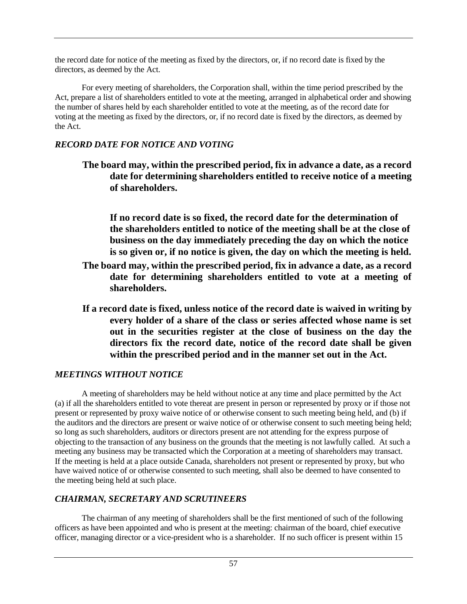the record date for notice of the meeting as fixed by the directors, or, if no record date is fixed by the directors, as deemed by the Act.

For every meeting of shareholders, the Corporation shall, within the time period prescribed by the Act, prepare a list of shareholders entitled to vote at the meeting, arranged in alphabetical order and showing the number of shares held by each shareholder entitled to vote at the meeting, as of the record date for voting at the meeting as fixed by the directors, or, if no record date is fixed by the directors, as deemed by the Act.

## *RECORD DATE FOR NOTICE AND VOTING*

**If no record date is so fixed, the record date for the determination of the shareholders entitled to notice of the meeting shall be at the close of business on the day immediately preceding the day on which the notice is so given or, if no notice is given, the day on which the meeting is held.**

- **The board may, within the prescribed period, fix in advance a date, as a record date for determining shareholders entitled to vote at a meeting of shareholders.**
- **If a record date is fixed, unless notice of the record date is waived in writing by every holder of a share of the class or series affected whose name is set out in the securities register at the close of business on the day the directors fix the record date, notice of the record date shall be given within the prescribed period and in the manner set out in the Act.**

## *MEETINGS WITHOUT NOTICE*

A meeting of shareholders may be held without notice at any time and place permitted by the Act (a) if all the shareholders entitled to vote thereat are present in person or represented by proxy or if those not present or represented by proxy waive notice of or otherwise consent to such meeting being held, and (b) if the auditors and the directors are present or waive notice of or otherwise consent to such meeting being held; so long as such shareholders, auditors or directors present are not attending for the express purpose of objecting to the transaction of any business on the grounds that the meeting is not lawfully called. At such a meeting any business may be transacted which the Corporation at a meeting of shareholders may transact. If the meeting is held at a place outside Canada, shareholders not present or represented by proxy, but who have waived notice of or otherwise consented to such meeting, shall also be deemed to have consented to the meeting being held at such place.

## *CHAIRMAN, SECRETARY AND SCRUTINEERS*

The chairman of any meeting of shareholders shall be the first mentioned of such of the following officers as have been appointed and who is present at the meeting: chairman of the board, chief executive officer, managing director or a vice-president who is a shareholder. If no such officer is present within 15

**The board may, within the prescribed period, fix in advance a date, as a record date for determining shareholders entitled to receive notice of a meeting of shareholders.**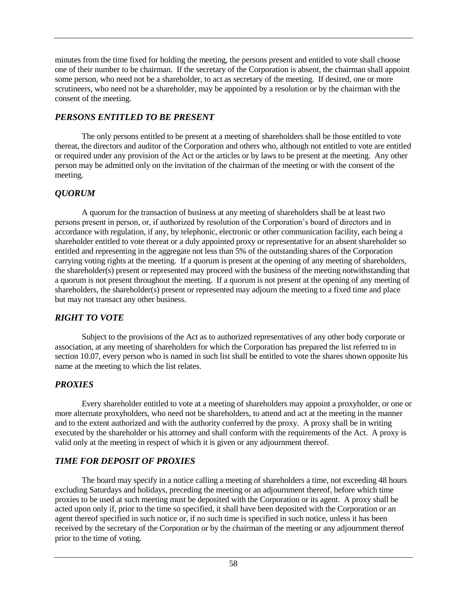minutes from the time fixed for holding the meeting, the persons present and entitled to vote shall choose one of their number to be chairman. If the secretary of the Corporation is absent, the chairman shall appoint some person, who need not be a shareholder, to act as secretary of the meeting. If desired, one or more scrutineers, who need not be a shareholder, may be appointed by a resolution or by the chairman with the consent of the meeting.

## *PERSONS ENTITLED TO BE PRESENT*

The only persons entitled to be present at a meeting of shareholders shall be those entitled to vote thereat, the directors and auditor of the Corporation and others who, although not entitled to vote are entitled or required under any provision of the Act or the articles or by laws to be present at the meeting. Any other person may be admitted only on the invitation of the chairman of the meeting or with the consent of the meeting.

## *QUORUM*

A quorum for the transaction of business at any meeting of shareholders shall be at least two persons present in person, or, if authorized by resolution of the Corporation's board of directors and in accordance with regulation, if any, by telephonic, electronic or other communication facility, each being a shareholder entitled to vote thereat or a duly appointed proxy or representative for an absent shareholder so entitled and representing in the aggregate not less than 5% of the outstanding shares of the Corporation carrying voting rights at the meeting. If a quorum is present at the opening of any meeting of shareholders, the shareholder(s) present or represented may proceed with the business of the meeting notwithstanding that a quorum is not present throughout the meeting. If a quorum is not present at the opening of any meeting of shareholders, the shareholder(s) present or represented may adjourn the meeting to a fixed time and place but may not transact any other business.

## *RIGHT TO VOTE*

Subject to the provisions of the Act as to authorized representatives of any other body corporate or association, at any meeting of shareholders for which the Corporation has prepared the list referred to in section 10.07, every person who is named in such list shall be entitled to vote the shares shown opposite his name at the meeting to which the list relates.

## *PROXIES*

Every shareholder entitled to vote at a meeting of shareholders may appoint a proxyholder, or one or more alternate proxyholders, who need not be shareholders, to attend and act at the meeting in the manner and to the extent authorized and with the authority conferred by the proxy. A proxy shall be in writing executed by the shareholder or his attorney and shall conform with the requirements of the Act. A proxy is valid only at the meeting in respect of which it is given or any adjournment thereof.

## *TIME FOR DEPOSIT OF PROXIES*

The board may specify in a notice calling a meeting of shareholders a time, not exceeding 48 hours excluding Saturdays and holidays, preceding the meeting or an adjournment thereof, before which time proxies to be used at such meeting must be deposited with the Corporation or its agent. A proxy shall be acted upon only if, prior to the time so specified, it shall have been deposited with the Corporation or an agent thereof specified in such notice or, if no such time is specified in such notice, unless it has been received by the secretary of the Corporation or by the chairman of the meeting or any adjournment thereof prior to the time of voting.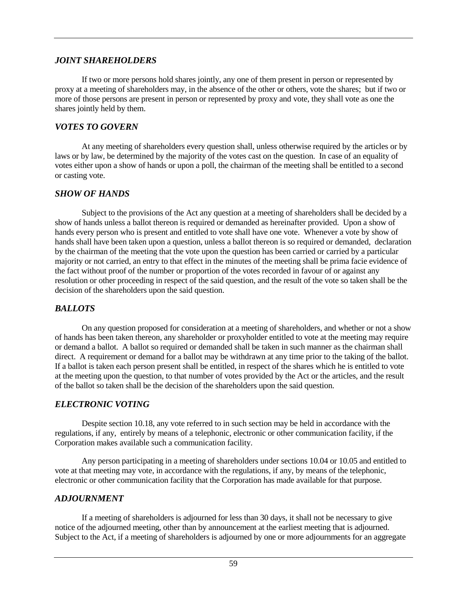## *JOINT SHAREHOLDERS*

If two or more persons hold shares jointly, any one of them present in person or represented by proxy at a meeting of shareholders may, in the absence of the other or others, vote the shares; but if two or more of those persons are present in person or represented by proxy and vote, they shall vote as one the shares jointly held by them.

## *VOTES TO GOVERN*

At any meeting of shareholders every question shall, unless otherwise required by the articles or by laws or by law, be determined by the majority of the votes cast on the question. In case of an equality of votes either upon a show of hands or upon a poll, the chairman of the meeting shall be entitled to a second or casting vote.

## *SHOW OF HANDS*

Subject to the provisions of the Act any question at a meeting of shareholders shall be decided by a show of hands unless a ballot thereon is required or demanded as hereinafter provided. Upon a show of hands every person who is present and entitled to vote shall have one vote. Whenever a vote by show of hands shall have been taken upon a question, unless a ballot thereon is so required or demanded, declaration by the chairman of the meeting that the vote upon the question has been carried or carried by a particular majority or not carried, an entry to that effect in the minutes of the meeting shall be prima facie evidence of the fact without proof of the number or proportion of the votes recorded in favour of or against any resolution or other proceeding in respect of the said question, and the result of the vote so taken shall be the decision of the shareholders upon the said question.

## *BALLOTS*

On any question proposed for consideration at a meeting of shareholders, and whether or not a show of hands has been taken thereon, any shareholder or proxyholder entitled to vote at the meeting may require or demand a ballot. A ballot so required or demanded shall be taken in such manner as the chairman shall direct. A requirement or demand for a ballot may be withdrawn at any time prior to the taking of the ballot. If a ballot is taken each person present shall be entitled, in respect of the shares which he is entitled to vote at the meeting upon the question, to that number of votes provided by the Act or the articles, and the result of the ballot so taken shall be the decision of the shareholders upon the said question.

## *ELECTRONIC VOTING*

Despite section 10.18, any vote referred to in such section may be held in accordance with the regulations, if any, entirely by means of a telephonic, electronic or other communication facility, if the Corporation makes available such a communication facility.

Any person participating in a meeting of shareholders under sections 10.04 or 10.05 and entitled to vote at that meeting may vote, in accordance with the regulations, if any, by means of the telephonic, electronic or other communication facility that the Corporation has made available for that purpose.

## *ADJOURNMENT*

If a meeting of shareholders is adjourned for less than 30 days, it shall not be necessary to give notice of the adjourned meeting, other than by announcement at the earliest meeting that is adjourned. Subject to the Act, if a meeting of shareholders is adjourned by one or more adjournments for an aggregate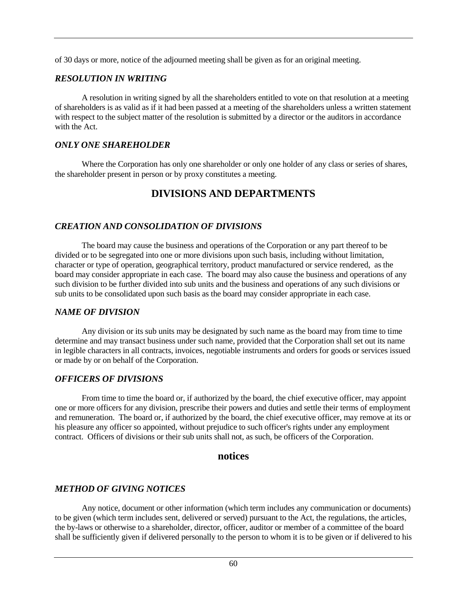of 30 days or more, notice of the adjourned meeting shall be given as for an original meeting.

## *RESOLUTION IN WRITING*

A resolution in writing signed by all the shareholders entitled to vote on that resolution at a meeting of shareholders is as valid as if it had been passed at a meeting of the shareholders unless a written statement with respect to the subject matter of the resolution is submitted by a director or the auditors in accordance with the Act.

## *ONLY ONE SHAREHOLDER*

Where the Corporation has only one shareholder or only one holder of any class or series of shares, the shareholder present in person or by proxy constitutes a meeting.

# **DIVISIONS AND DEPARTMENTS**

## *CREATION AND CONSOLIDATION OF DIVISIONS*

The board may cause the business and operations of the Corporation or any part thereof to be divided or to be segregated into one or more divisions upon such basis, including without limitation, character or type of operation, geographical territory, product manufactured or service rendered, as the board may consider appropriate in each case. The board may also cause the business and operations of any such division to be further divided into sub units and the business and operations of any such divisions or sub units to be consolidated upon such basis as the board may consider appropriate in each case.

## *NAME OF DIVISION*

Any division or its sub units may be designated by such name as the board may from time to time determine and may transact business under such name, provided that the Corporation shall set out its name in legible characters in all contracts, invoices, negotiable instruments and orders for goods or services issued or made by or on behalf of the Corporation.

## *OFFICERS OF DIVISIONS*

From time to time the board or, if authorized by the board, the chief executive officer, may appoint one or more officers for any division, prescribe their powers and duties and settle their terms of employment and remuneration. The board or, if authorized by the board, the chief executive officer, may remove at its or his pleasure any officer so appointed, without prejudice to such officer's rights under any employment contract. Officers of divisions or their sub units shall not, as such, be officers of the Corporation.

## **notices**

## *METHOD OF GIVING NOTICES*

Any notice, document or other information (which term includes any communication or documents) to be given (which term includes sent, delivered or served) pursuant to the Act, the regulations, the articles, the by-laws or otherwise to a shareholder, director, officer, auditor or member of a committee of the board shall be sufficiently given if delivered personally to the person to whom it is to be given or if delivered to his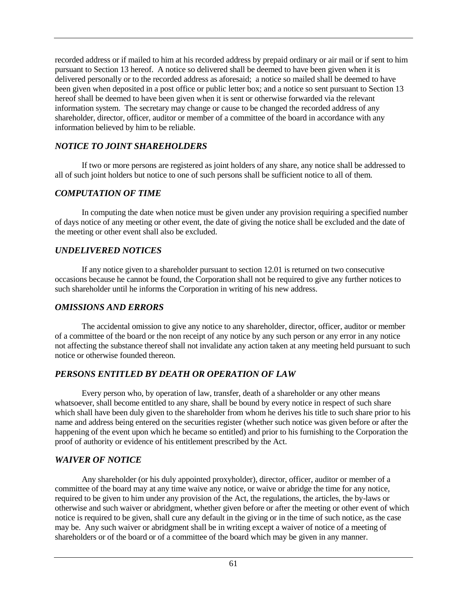recorded address or if mailed to him at his recorded address by prepaid ordinary or air mail or if sent to him pursuant to Section 13 hereof. A notice so delivered shall be deemed to have been given when it is delivered personally or to the recorded address as aforesaid; a notice so mailed shall be deemed to have been given when deposited in a post office or public letter box; and a notice so sent pursuant to Section 13 hereof shall be deemed to have been given when it is sent or otherwise forwarded via the relevant information system. The secretary may change or cause to be changed the recorded address of any shareholder, director, officer, auditor or member of a committee of the board in accordance with any information believed by him to be reliable.

## *NOTICE TO JOINT SHAREHOLDERS*

If two or more persons are registered as joint holders of any share, any notice shall be addressed to all of such joint holders but notice to one of such persons shall be sufficient notice to all of them.

## *COMPUTATION OF TIME*

In computing the date when notice must be given under any provision requiring a specified number of days notice of any meeting or other event, the date of giving the notice shall be excluded and the date of the meeting or other event shall also be excluded.

## *UNDELIVERED NOTICES*

If any notice given to a shareholder pursuant to section 12.01 is returned on two consecutive occasions because he cannot be found, the Corporation shall not be required to give any further notices to such shareholder until he informs the Corporation in writing of his new address.

## *OMISSIONS AND ERRORS*

The accidental omission to give any notice to any shareholder, director, officer, auditor or member of a committee of the board or the non receipt of any notice by any such person or any error in any notice not affecting the substance thereof shall not invalidate any action taken at any meeting held pursuant to such notice or otherwise founded thereon.

## *PERSONS ENTITLED BY DEATH OR OPERATION OF LAW*

Every person who, by operation of law, transfer, death of a shareholder or any other means whatsoever, shall become entitled to any share, shall be bound by every notice in respect of such share which shall have been duly given to the shareholder from whom he derives his title to such share prior to his name and address being entered on the securities register (whether such notice was given before or after the happening of the event upon which he became so entitled) and prior to his furnishing to the Corporation the proof of authority or evidence of his entitlement prescribed by the Act.

## *WAIVER OF NOTICE*

Any shareholder (or his duly appointed proxyholder), director, officer, auditor or member of a committee of the board may at any time waive any notice, or waive or abridge the time for any notice, required to be given to him under any provision of the Act, the regulations, the articles, the by-laws or otherwise and such waiver or abridgment, whether given before or after the meeting or other event of which notice is required to be given, shall cure any default in the giving or in the time of such notice, as the case may be. Any such waiver or abridgment shall be in writing except a waiver of notice of a meeting of shareholders or of the board or of a committee of the board which may be given in any manner.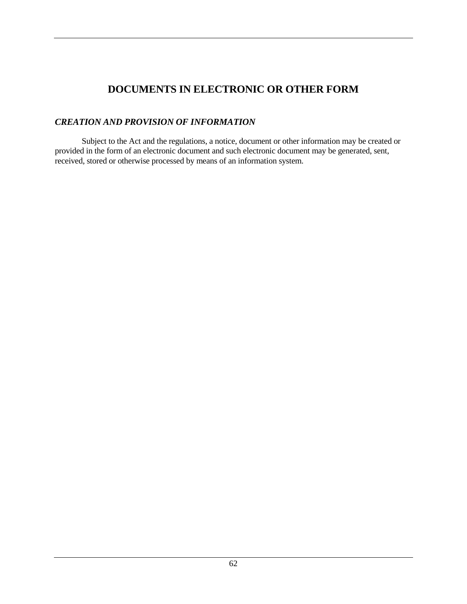# **DOCUMENTS IN ELECTRONIC OR OTHER FORM**

## *CREATION AND PROVISION OF INFORMATION*

Subject to the Act and the regulations, a notice, document or other information may be created or provided in the form of an electronic document and such electronic document may be generated, sent, received, stored or otherwise processed by means of an information system.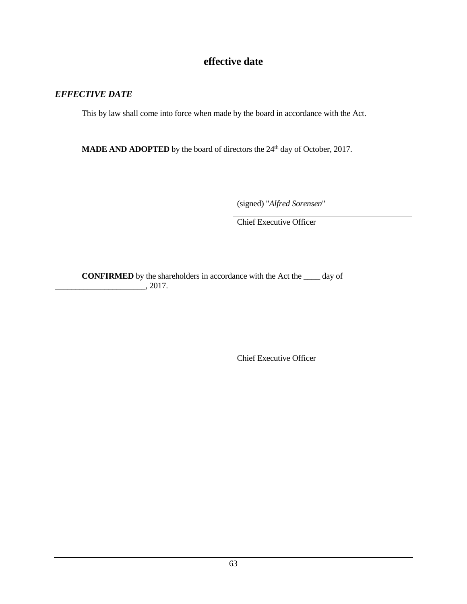# **effective date**

## *EFFECTIVE DATE*

This by law shall come into force when made by the board in accordance with the Act.

**MADE AND ADOPTED** by the board of directors the 24<sup>th</sup> day of October, 2017.

(signed) "*Alfred Sorensen*"

Chief Executive Officer

**CONFIRMED** by the shareholders in accordance with the Act the \_\_\_\_ day of  $\frac{1}{2017}$ .

Chief Executive Officer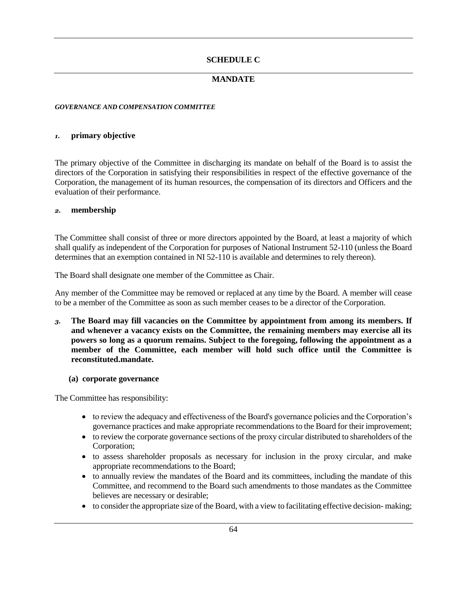#### **SCHEDULE C**

#### **MANDATE**

#### *GOVERNANCE AND COMPENSATION COMMITTEE*

#### *1.* **primary objective**

The primary objective of the Committee in discharging its mandate on behalf of the Board is to assist the directors of the Corporation in satisfying their responsibilities in respect of the effective governance of the Corporation, the management of its human resources, the compensation of its directors and Officers and the evaluation of their performance.

#### *2.* **membership**

The Committee shall consist of three or more directors appointed by the Board, at least a majority of which shall qualify as independent of the Corporation for purposes of National Instrument 52-110 (unless the Board determines that an exemption contained in NI 52-110 is available and determines to rely thereon).

The Board shall designate one member of the Committee as Chair.

Any member of the Committee may be removed or replaced at any time by the Board. A member will cease to be a member of the Committee as soon as such member ceases to be a director of the Corporation.

*3.* **The Board may fill vacancies on the Committee by appointment from among its members. If and whenever a vacancy exists on the Committee, the remaining members may exercise all its powers so long as a quorum remains. Subject to the foregoing, following the appointment as a member of the Committee, each member will hold such office until the Committee is reconstituted.mandate.**

#### **(a) corporate governance**

The Committee has responsibility:

- to review the adequacy and effectiveness of the Board's governance policies and the Corporation's governance practices and make appropriate recommendations to the Board for their improvement;
- to review the corporate governance sections of the proxy circular distributed to shareholders of the Corporation;
- to assess shareholder proposals as necessary for inclusion in the proxy circular, and make appropriate recommendations to the Board;
- to annually review the mandates of the Board and its committees, including the mandate of this Committee, and recommend to the Board such amendments to those mandates as the Committee believes are necessary or desirable;
- to consider the appropriate size of the Board, with a view to facilitating effective decision- making;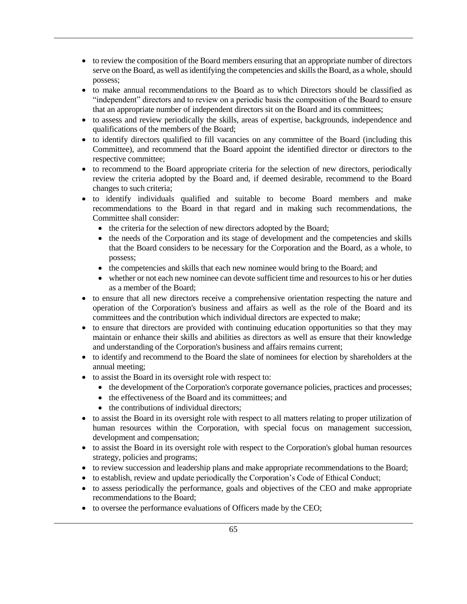- to review the composition of the Board members ensuring that an appropriate number of directors serve on the Board, as well as identifying the competencies and skills the Board, as a whole, should possess;
- to make annual recommendations to the Board as to which Directors should be classified as "independent" directors and to review on a periodic basis the composition of the Board to ensure that an appropriate number of independent directors sit on the Board and its committees;
- to assess and review periodically the skills, areas of expertise, backgrounds, independence and qualifications of the members of the Board;
- to identify directors qualified to fill vacancies on any committee of the Board (including this Committee), and recommend that the Board appoint the identified director or directors to the respective committee;
- to recommend to the Board appropriate criteria for the selection of new directors, periodically review the criteria adopted by the Board and, if deemed desirable, recommend to the Board changes to such criteria;
- to identify individuals qualified and suitable to become Board members and make recommendations to the Board in that regard and in making such recommendations, the Committee shall consider:
	- the criteria for the selection of new directors adopted by the Board;
	- the needs of the Corporation and its stage of development and the competencies and skills that the Board considers to be necessary for the Corporation and the Board, as a whole, to possess;
	- the competencies and skills that each new nominee would bring to the Board; and
	- whether or not each new nominee can devote sufficient time and resources to his or her duties as a member of the Board;
- to ensure that all new directors receive a comprehensive orientation respecting the nature and operation of the Corporation's business and affairs as well as the role of the Board and its committees and the contribution which individual directors are expected to make;
- to ensure that directors are provided with continuing education opportunities so that they may maintain or enhance their skills and abilities as directors as well as ensure that their knowledge and understanding of the Corporation's business and affairs remains current;
- to identify and recommend to the Board the slate of nominees for election by shareholders at the annual meeting;
- to assist the Board in its oversight role with respect to:
	- the development of the Corporation's corporate governance policies, practices and processes;
	- the effectiveness of the Board and its committees; and
	- the contributions of individual directors:
- to assist the Board in its oversight role with respect to all matters relating to proper utilization of human resources within the Corporation, with special focus on management succession, development and compensation;
- to assist the Board in its oversight role with respect to the Corporation's global human resources strategy, policies and programs;
- to review succession and leadership plans and make appropriate recommendations to the Board;
- to establish, review and update periodically the Corporation's Code of Ethical Conduct;
- to assess periodically the performance, goals and objectives of the CEO and make appropriate recommendations to the Board;
- to oversee the performance evaluations of Officers made by the CEO;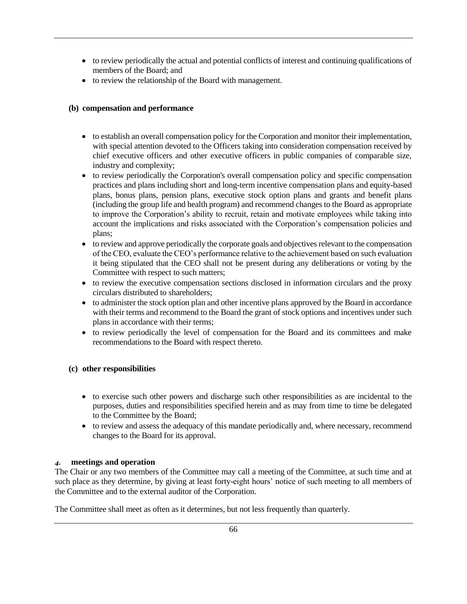- to review periodically the actual and potential conflicts of interest and continuing qualifications of members of the Board; and
- to review the relationship of the Board with management.

#### **(b) compensation and performance**

- to establish an overall compensation policy for the Corporation and monitor their implementation, with special attention devoted to the Officers taking into consideration compensation received by chief executive officers and other executive officers in public companies of comparable size, industry and complexity;
- to review periodically the Corporation's overall compensation policy and specific compensation practices and plans including short and long-term incentive compensation plans and equity-based plans, bonus plans, pension plans, executive stock option plans and grants and benefit plans (including the group life and health program) and recommend changes to the Board as appropriate to improve the Corporation's ability to recruit, retain and motivate employees while taking into account the implications and risks associated with the Corporation's compensation policies and plans;
- to review and approve periodically the corporate goals and objectives relevant to the compensation of the CEO, evaluate the CEO's performance relative to the achievement based on such evaluation it being stipulated that the CEO shall not be present during any deliberations or voting by the Committee with respect to such matters;
- to review the executive compensation sections disclosed in information circulars and the proxy circulars distributed to shareholders;
- to administer the stock option plan and other incentive plans approved by the Board in accordance with their terms and recommend to the Board the grant of stock options and incentives under such plans in accordance with their terms;
- to review periodically the level of compensation for the Board and its committees and make recommendations to the Board with respect thereto.

#### **(c) other responsibilities**

- to exercise such other powers and discharge such other responsibilities as are incidental to the purposes, duties and responsibilities specified herein and as may from time to time be delegated to the Committee by the Board;
- to review and assess the adequacy of this mandate periodically and, where necessary, recommend changes to the Board for its approval.

#### *4.* **meetings and operation**

The Chair or any two members of the Committee may call a meeting of the Committee, at such time and at such place as they determine, by giving at least forty-eight hours' notice of such meeting to all members of the Committee and to the external auditor of the Corporation.

The Committee shall meet as often as it determines, but not less frequently than quarterly.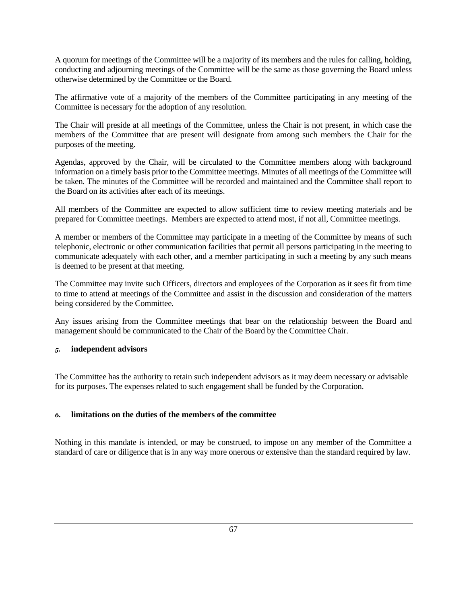A quorum for meetings of the Committee will be a majority of its members and the rules for calling, holding, conducting and adjourning meetings of the Committee will be the same as those governing the Board unless otherwise determined by the Committee or the Board.

The affirmative vote of a majority of the members of the Committee participating in any meeting of the Committee is necessary for the adoption of any resolution.

The Chair will preside at all meetings of the Committee, unless the Chair is not present, in which case the members of the Committee that are present will designate from among such members the Chair for the purposes of the meeting.

Agendas, approved by the Chair, will be circulated to the Committee members along with background information on a timely basis prior to the Committee meetings. Minutes of all meetings of the Committee will be taken. The minutes of the Committee will be recorded and maintained and the Committee shall report to the Board on its activities after each of its meetings.

All members of the Committee are expected to allow sufficient time to review meeting materials and be prepared for Committee meetings. Members are expected to attend most, if not all, Committee meetings.

A member or members of the Committee may participate in a meeting of the Committee by means of such telephonic, electronic or other communication facilities that permit all persons participating in the meeting to communicate adequately with each other, and a member participating in such a meeting by any such means is deemed to be present at that meeting.

The Committee may invite such Officers, directors and employees of the Corporation as it sees fit from time to time to attend at meetings of the Committee and assist in the discussion and consideration of the matters being considered by the Committee.

Any issues arising from the Committee meetings that bear on the relationship between the Board and management should be communicated to the Chair of the Board by the Committee Chair.

#### *5.* **independent advisors**

The Committee has the authority to retain such independent advisors as it may deem necessary or advisable for its purposes. The expenses related to such engagement shall be funded by the Corporation.

#### *6.* **limitations on the duties of the members of the committee**

Nothing in this mandate is intended, or may be construed, to impose on any member of the Committee a standard of care or diligence that is in any way more onerous or extensive than the standard required by law.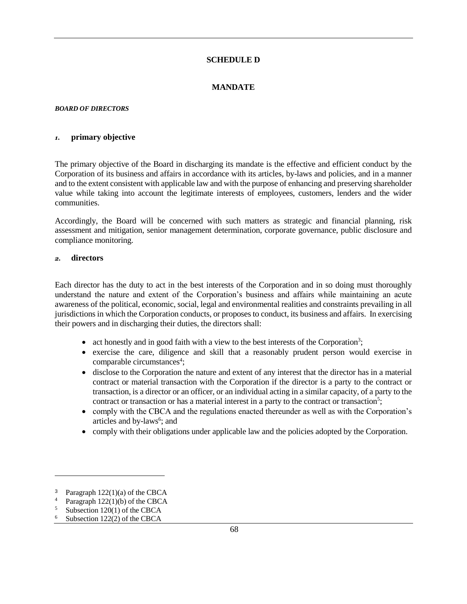#### **SCHEDULE D**

#### **MANDATE**

#### *BOARD OF DIRECTORS*

#### *1.* **primary objective**

The primary objective of the Board in discharging its mandate is the effective and efficient conduct by the Corporation of its business and affairs in accordance with its articles, by-laws and policies, and in a manner and to the extent consistent with applicable law and with the purpose of enhancing and preserving shareholder value while taking into account the legitimate interests of employees, customers, lenders and the wider communities.

Accordingly, the Board will be concerned with such matters as strategic and financial planning, risk assessment and mitigation, senior management determination, corporate governance, public disclosure and compliance monitoring.

#### *2.* **directors**

Each director has the duty to act in the best interests of the Corporation and in so doing must thoroughly understand the nature and extent of the Corporation's business and affairs while maintaining an acute awareness of the political, economic, social, legal and environmental realities and constraints prevailing in all jurisdictions in which the Corporation conducts, or proposes to conduct, its business and affairs. In exercising their powers and in discharging their duties, the directors shall:

- act honestly and in good faith with a view to the best interests of the Corporation<sup>3</sup>;
- exercise the care, diligence and skill that a reasonably prudent person would exercise in comparable circumstances<sup>4</sup>;
- disclose to the Corporation the nature and extent of any interest that the director has in a material contract or material transaction with the Corporation if the director is a party to the contract or transaction, is a director or an officer, or an individual acting in a similar capacity, of a party to the contract or transaction or has a material interest in a party to the contract or transaction<sup>5</sup>;
- comply with the CBCA and the regulations enacted thereunder as well as with the Corporation's articles and by-laws<sup>6</sup>; and
- comply with their obligations under applicable law and the policies adopted by the Corporation.

<sup>&</sup>lt;sup>3</sup> Paragraph 122(1)(a) of the CBCA<br><sup>4</sup> Paragraph 122(1)(b) of the CBCA

Paragraph  $122(1)(b)$  of the CBCA

Subsection 120(1) of the CBCA

Subsection 122(2) of the CBCA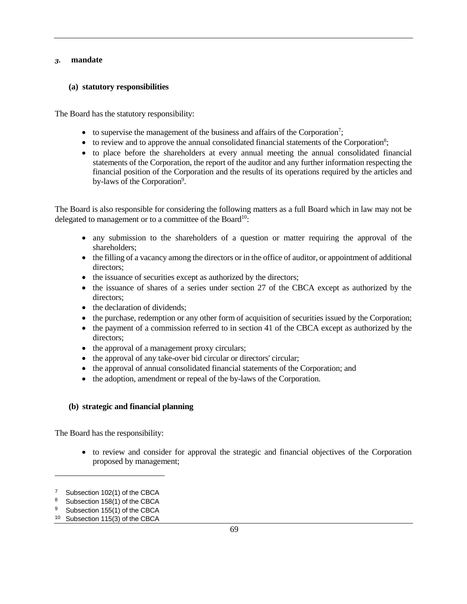#### *3.* **mandate**

#### **(a) statutory responsibilities**

The Board has the statutory responsibility:

- to supervise the management of the business and affairs of the Corporation<sup>7</sup>;
- $\bullet$  to review and to approve the annual consolidated financial statements of the Corporation<sup>8</sup>;
- to place before the shareholders at every annual meeting the annual consolidated financial statements of the Corporation, the report of the auditor and any further information respecting the financial position of the Corporation and the results of its operations required by the articles and by-laws of the Corporation<sup>9</sup>.

The Board is also responsible for considering the following matters as a full Board which in law may not be delegated to management or to a committee of the Board<sup>10</sup>:

- any submission to the shareholders of a question or matter requiring the approval of the shareholders;
- the filling of a vacancy among the directors or in the office of auditor, or appointment of additional directors;
- the issuance of securities except as authorized by the directors;
- the issuance of shares of a series under section 27 of the CBCA except as authorized by the directors;
- the declaration of dividends;
- the purchase, redemption or any other form of acquisition of securities issued by the Corporation;
- the payment of a commission referred to in section 41 of the CBCA except as authorized by the directors;
- the approval of a management proxy circulars;
- the approval of any take-over bid circular or directors' circular;
- the approval of annual consolidated financial statements of the Corporation; and
- the adoption, amendment or repeal of the by-laws of the Corporation.

#### **(b) strategic and financial planning**

The Board has the responsibility:

• to review and consider for approval the strategic and financial objectives of the Corporation proposed by management;

<sup>&</sup>lt;sup>7</sup> Subsection 102(1) of the CBCA

<sup>&</sup>lt;sup>8</sup> Subsection 158(1) of the CBCA

<sup>&</sup>lt;sup>9</sup> Subsection 155(1) of the CBCA

<sup>10</sup> Subsection 115(3) of the CBCA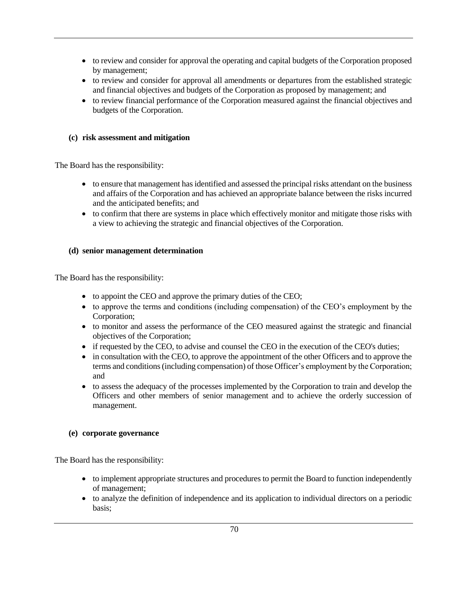- to review and consider for approval the operating and capital budgets of the Corporation proposed by management;
- to review and consider for approval all amendments or departures from the established strategic and financial objectives and budgets of the Corporation as proposed by management; and
- to review financial performance of the Corporation measured against the financial objectives and budgets of the Corporation.

#### **(c) risk assessment and mitigation**

The Board has the responsibility:

- to ensure that management has identified and assessed the principal risks attendant on the business and affairs of the Corporation and has achieved an appropriate balance between the risks incurred and the anticipated benefits; and
- to confirm that there are systems in place which effectively monitor and mitigate those risks with a view to achieving the strategic and financial objectives of the Corporation.

#### **(d) senior management determination**

The Board has the responsibility:

- to appoint the CEO and approve the primary duties of the CEO;
- to approve the terms and conditions (including compensation) of the CEO's employment by the Corporation;
- to monitor and assess the performance of the CEO measured against the strategic and financial objectives of the Corporation;
- if requested by the CEO, to advise and counsel the CEO in the execution of the CEO's duties;
- in consultation with the CEO, to approve the appointment of the other Officers and to approve the terms and conditions (including compensation) of those Officer's employment by the Corporation; and
- to assess the adequacy of the processes implemented by the Corporation to train and develop the Officers and other members of senior management and to achieve the orderly succession of management.

#### **(e) corporate governance**

The Board has the responsibility:

- to implement appropriate structures and procedures to permit the Board to function independently of management;
- to analyze the definition of independence and its application to individual directors on a periodic basis;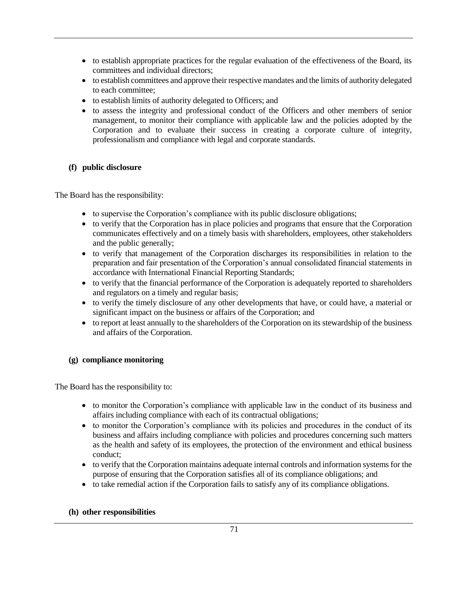- to establish appropriate practices for the regular evaluation of the effectiveness of the Board, its committees and individual directors;
- to establish committees and approve their respective mandates and the limits of authority delegated to each committee;
- to establish limits of authority delegated to Officers; and
- to assess the integrity and professional conduct of the Officers and other members of senior management, to monitor their compliance with applicable law and the policies adopted by the Corporation and to evaluate their success in creating a corporate culture of integrity, professionalism and compliance with legal and corporate standards.

#### **(f) public disclosure**

The Board has the responsibility:

- to supervise the Corporation's compliance with its public disclosure obligations;
- to verify that the Corporation has in place policies and programs that ensure that the Corporation communicates effectively and on a timely basis with shareholders, employees, other stakeholders and the public generally;
- to verify that management of the Corporation discharges its responsibilities in relation to the preparation and fair presentation of the Corporation's annual consolidated financial statements in accordance with International Financial Reporting Standards;
- to verify that the financial performance of the Corporation is adequately reported to shareholders and regulators on a timely and regular basis;
- to verify the timely disclosure of any other developments that have, or could have, a material or significant impact on the business or affairs of the Corporation; and
- to report at least annually to the shareholders of the Corporation on its stewardship of the business and affairs of the Corporation.

### **(g) compliance monitoring**

The Board has the responsibility to:

- to monitor the Corporation's compliance with applicable law in the conduct of its business and affairs including compliance with each of its contractual obligations;
- to monitor the Corporation's compliance with its policies and procedures in the conduct of its business and affairs including compliance with policies and procedures concerning such matters as the health and safety of its employees, the protection of the environment and ethical business conduct;
- to verify that the Corporation maintains adequate internal controls and information systems for the purpose of ensuring that the Corporation satisfies all of its compliance obligations; and
- to take remedial action if the Corporation fails to satisfy any of its compliance obligations.

#### **(h) other responsibilities**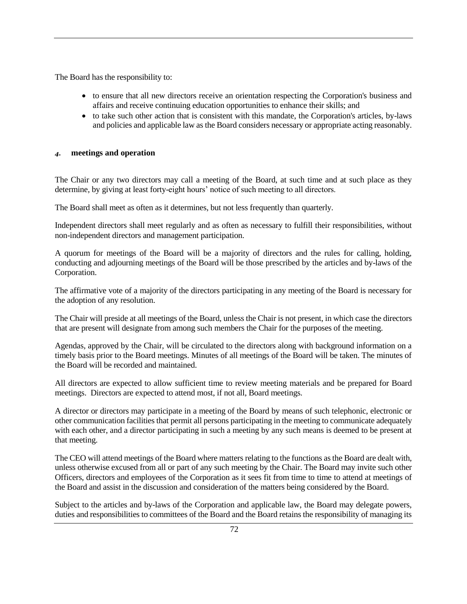The Board has the responsibility to:

- to ensure that all new directors receive an orientation respecting the Corporation's business and affairs and receive continuing education opportunities to enhance their skills; and
- to take such other action that is consistent with this mandate, the Corporation's articles, by-laws and policies and applicable law as the Board considers necessary or appropriate acting reasonably.

#### *4.* **meetings and operation**

The Chair or any two directors may call a meeting of the Board, at such time and at such place as they determine, by giving at least forty-eight hours' notice of such meeting to all directors.

The Board shall meet as often as it determines, but not less frequently than quarterly.

Independent directors shall meet regularly and as often as necessary to fulfill their responsibilities, without non-independent directors and management participation.

A quorum for meetings of the Board will be a majority of directors and the rules for calling, holding, conducting and adjourning meetings of the Board will be those prescribed by the articles and by-laws of the Corporation.

The affirmative vote of a majority of the directors participating in any meeting of the Board is necessary for the adoption of any resolution.

The Chair will preside at all meetings of the Board, unless the Chair is not present, in which case the directors that are present will designate from among such members the Chair for the purposes of the meeting.

Agendas, approved by the Chair, will be circulated to the directors along with background information on a timely basis prior to the Board meetings. Minutes of all meetings of the Board will be taken. The minutes of the Board will be recorded and maintained.

All directors are expected to allow sufficient time to review meeting materials and be prepared for Board meetings. Directors are expected to attend most, if not all, Board meetings.

A director or directors may participate in a meeting of the Board by means of such telephonic, electronic or other communication facilities that permit all persons participating in the meeting to communicate adequately with each other, and a director participating in such a meeting by any such means is deemed to be present at that meeting.

The CEO will attend meetings of the Board where matters relating to the functions as the Board are dealt with, unless otherwise excused from all or part of any such meeting by the Chair. The Board may invite such other Officers, directors and employees of the Corporation as it sees fit from time to time to attend at meetings of the Board and assist in the discussion and consideration of the matters being considered by the Board.

Subject to the articles and by-laws of the Corporation and applicable law, the Board may delegate powers, duties and responsibilities to committees of the Board and the Board retains the responsibility of managing its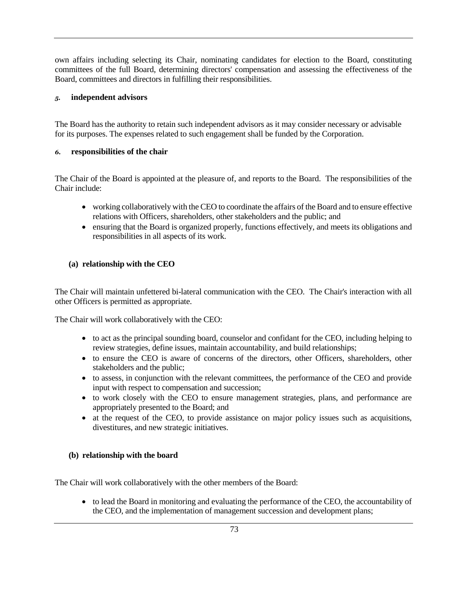own affairs including selecting its Chair, nominating candidates for election to the Board, constituting committees of the full Board, determining directors' compensation and assessing the effectiveness of the Board, committees and directors in fulfilling their responsibilities.

#### *5.* **independent advisors**

The Board has the authority to retain such independent advisors as it may consider necessary or advisable for its purposes. The expenses related to such engagement shall be funded by the Corporation.

#### *6.* **responsibilities of the chair**

The Chair of the Board is appointed at the pleasure of, and reports to the Board. The responsibilities of the Chair include:

- working collaboratively with the CEO to coordinate the affairs of the Board and to ensure effective relations with Officers, shareholders, other stakeholders and the public; and
- ensuring that the Board is organized properly, functions effectively, and meets its obligations and responsibilities in all aspects of its work.

### **(a) relationship with the CEO**

The Chair will maintain unfettered bi-lateral communication with the CEO. The Chair's interaction with all other Officers is permitted as appropriate.

The Chair will work collaboratively with the CEO:

- to act as the principal sounding board, counselor and confidant for the CEO, including helping to review strategies, define issues, maintain accountability, and build relationships;
- to ensure the CEO is aware of concerns of the directors, other Officers, shareholders, other stakeholders and the public;
- to assess, in conjunction with the relevant committees, the performance of the CEO and provide input with respect to compensation and succession;
- to work closely with the CEO to ensure management strategies, plans, and performance are appropriately presented to the Board; and
- at the request of the CEO, to provide assistance on major policy issues such as acquisitions, divestitures, and new strategic initiatives.

#### **(b) relationship with the board**

The Chair will work collaboratively with the other members of the Board:

• to lead the Board in monitoring and evaluating the performance of the CEO, the accountability of the CEO, and the implementation of management succession and development plans;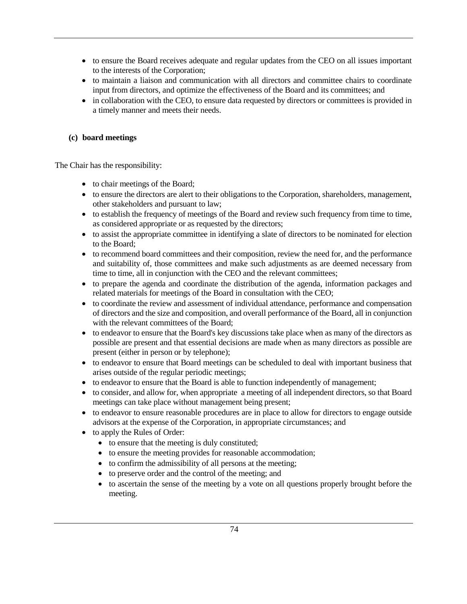- to ensure the Board receives adequate and regular updates from the CEO on all issues important to the interests of the Corporation;
- to maintain a liaison and communication with all directors and committee chairs to coordinate input from directors, and optimize the effectiveness of the Board and its committees; and
- in collaboration with the CEO, to ensure data requested by directors or committees is provided in a timely manner and meets their needs.

#### **(c) board meetings**

The Chair has the responsibility:

- to chair meetings of the Board;
- to ensure the directors are alert to their obligations to the Corporation, shareholders, management, other stakeholders and pursuant to law;
- to establish the frequency of meetings of the Board and review such frequency from time to time, as considered appropriate or as requested by the directors;
- to assist the appropriate committee in identifying a slate of directors to be nominated for election to the Board;
- to recommend board committees and their composition, review the need for, and the performance and suitability of, those committees and make such adjustments as are deemed necessary from time to time, all in conjunction with the CEO and the relevant committees;
- to prepare the agenda and coordinate the distribution of the agenda, information packages and related materials for meetings of the Board in consultation with the CEO;
- to coordinate the review and assessment of individual attendance, performance and compensation of directors and the size and composition, and overall performance of the Board, all in conjunction with the relevant committees of the Board;
- to endeavor to ensure that the Board's key discussions take place when as many of the directors as possible are present and that essential decisions are made when as many directors as possible are present (either in person or by telephone);
- to endeavor to ensure that Board meetings can be scheduled to deal with important business that arises outside of the regular periodic meetings;
- to endeavor to ensure that the Board is able to function independently of management;
- to consider, and allow for, when appropriate a meeting of all independent directors, so that Board meetings can take place without management being present;
- to endeavor to ensure reasonable procedures are in place to allow for directors to engage outside advisors at the expense of the Corporation, in appropriate circumstances; and
- to apply the Rules of Order:
	- to ensure that the meeting is duly constituted;
	- to ensure the meeting provides for reasonable accommodation;
	- to confirm the admissibility of all persons at the meeting;
	- to preserve order and the control of the meeting; and
	- to ascertain the sense of the meeting by a vote on all questions properly brought before the meeting.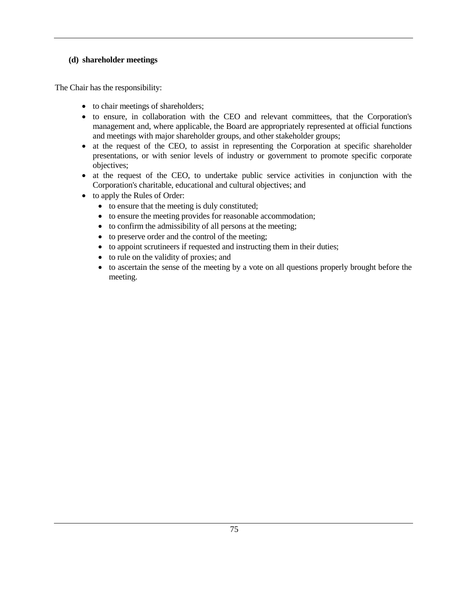#### **(d) shareholder meetings**

The Chair has the responsibility:

- to chair meetings of shareholders;
- to ensure, in collaboration with the CEO and relevant committees, that the Corporation's management and, where applicable, the Board are appropriately represented at official functions and meetings with major shareholder groups, and other stakeholder groups;
- at the request of the CEO, to assist in representing the Corporation at specific shareholder presentations, or with senior levels of industry or government to promote specific corporate objectives;
- at the request of the CEO, to undertake public service activities in conjunction with the Corporation's charitable, educational and cultural objectives; and
- to apply the Rules of Order:
	- to ensure that the meeting is duly constituted;
	- to ensure the meeting provides for reasonable accommodation;
	- to confirm the admissibility of all persons at the meeting;
	- to preserve order and the control of the meeting;
	- to appoint scrutineers if requested and instructing them in their duties;
	- to rule on the validity of proxies; and
	- to ascertain the sense of the meeting by a vote on all questions properly brought before the meeting.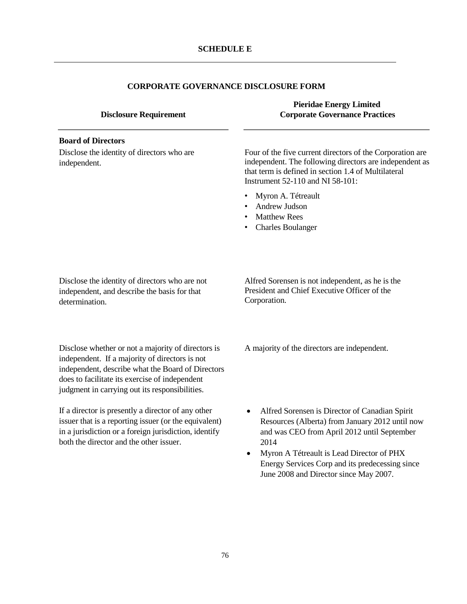# **CORPORATE GOVERNANCE DISCLOSURE FORM**

| <b>Disclosure Requirement</b>                                                                                                                                                                                                                                 | <b>Pieridae Energy Limited</b><br><b>Corporate Governance Practices</b>                                                                                                                                                                                                                            |
|---------------------------------------------------------------------------------------------------------------------------------------------------------------------------------------------------------------------------------------------------------------|----------------------------------------------------------------------------------------------------------------------------------------------------------------------------------------------------------------------------------------------------------------------------------------------------|
| <b>Board of Directors</b>                                                                                                                                                                                                                                     |                                                                                                                                                                                                                                                                                                    |
| Disclose the identity of directors who are<br>independent.                                                                                                                                                                                                    | Four of the five current directors of the Corporation are<br>independent. The following directors are independent as<br>that term is defined in section 1.4 of Multilateral<br>Instrument 52-110 and NI 58-101:                                                                                    |
|                                                                                                                                                                                                                                                               | Myron A. Tétreault<br>٠<br>Andrew Judson<br><b>Matthew Rees</b><br><b>Charles Boulanger</b><br>٠                                                                                                                                                                                                   |
| Disclose the identity of directors who are not<br>independent, and describe the basis for that<br>determination.                                                                                                                                              | Alfred Sorensen is not independent, as he is the<br>President and Chief Executive Officer of the<br>Corporation.                                                                                                                                                                                   |
| Disclose whether or not a majority of directors is<br>independent. If a majority of directors is not<br>independent, describe what the Board of Directors<br>does to facilitate its exercise of independent<br>judgment in carrying out its responsibilities. | A majority of the directors are independent.                                                                                                                                                                                                                                                       |
| If a director is presently a director of any other<br>issuer that is a reporting issuer (or the equivalent)<br>in a jurisdiction or a foreign jurisdiction, identify<br>both the director and the other issuer.                                               | Alfred Sorensen is Director of Canadian Spirit<br>Resources (Alberta) from January 2012 until now<br>and was CEO from April 2012 until September<br>2014<br>Myron A Tétreault is Lead Director of PHX<br>Energy Services Corp and its predecessing since<br>June 2008 and Director since May 2007. |
|                                                                                                                                                                                                                                                               |                                                                                                                                                                                                                                                                                                    |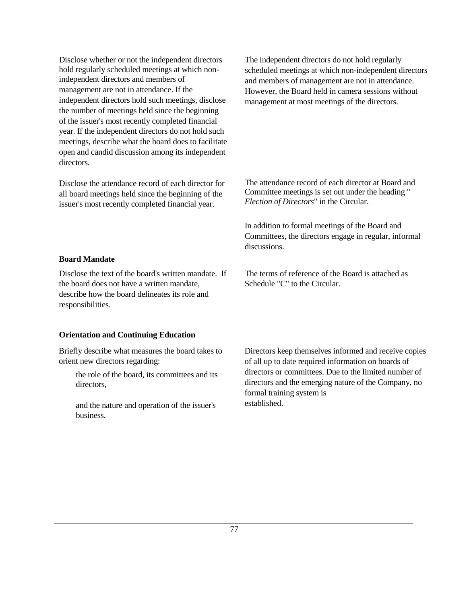Disclose whether or not the independent directors hold regularly scheduled meetings at which nonindependent directors and members of management are not in attendance. If the independent directors hold such meetings, disclose the number of meetings held since the beginning of the issuer's most recently completed financial year. If the independent directors do not hold such meetings, describe what the board does to facilitate open and candid discussion among its independent directors.

Disclose the attendance record of each director for all board meetings held since the beginning of the issuer's most recently completed financial year.

The independent directors do not hold regularly scheduled meetings at which non-independent directors and members of management are not in attendance. However, the Board held in camera sessions without management at most meetings of the directors.

The attendance record of each director at Board and Committee meetings is set out under the heading " *Election of Directors*" in the Circular.

In addition to formal meetings of the Board and Committees, the directors engage in regular, informal discussions.

#### **Board Mandate**

Disclose the text of the board's written mandate. If the board does not have a written mandate, describe how the board delineates its role and responsibilities.

#### **Orientation and Continuing Education**

Briefly describe what measures the board takes to orient new directors regarding:

> the role of the board, its committees and its directors,

and the nature and operation of the issuer's business.

The terms of reference of the Board is attached as Schedule "C" to the Circular.

Directors keep themselves informed and receive copies of all up to date required information on boards of directors or committees. Due to the limited number of directors and the emerging nature of the Company, no formal training system is established.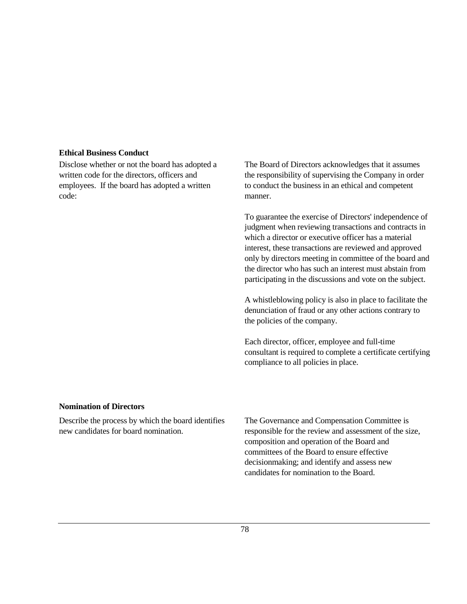#### **Ethical Business Conduct**

Disclose whether or not the board has adopted a written code for the directors, officers and employees. If the board has adopted a written code:

The Board of Directors acknowledges that it assumes the responsibility of supervising the Company in order to conduct the business in an ethical and competent manner.

To guarantee the exercise of Directors' independence of judgment when reviewing transactions and contracts in which a director or executive officer has a material interest, these transactions are reviewed and approved only by directors meeting in committee of the board and the director who has such an interest must abstain from participating in the discussions and vote on the subject.

A whistleblowing policy is also in place to facilitate the denunciation of fraud or any other actions contrary to the policies of the company.

Each director, officer, employee and full-time consultant is required to complete a certificate certifying compliance to all policies in place.

#### **Nomination of Directors**

Describe the process by which the board identifies new candidates for board nomination.

The Governance and Compensation Committee is responsible for the review and assessment of the size, composition and operation of the Board and committees of the Board to ensure effective decisionmaking; and identify and assess new candidates for nomination to the Board.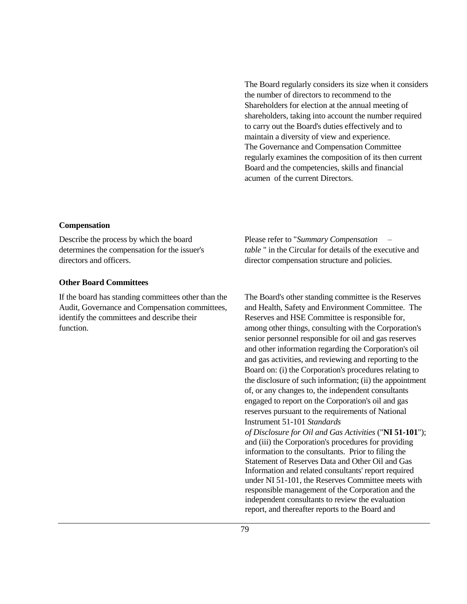The Board regularly considers its size when it considers the number of directors to recommend to the Shareholders for election at the annual meeting of shareholders, taking into account the number required to carry out the Board's duties effectively and to maintain a diversity of view and experience. The Governance and Compensation Committee regularly examines the composition of its then current Board and the competencies, skills and financial acumen of the current Directors.

#### **Compensation**

Describe the process by which the board determines the compensation for the issuer's directors and officers.

#### **Other Board Committees**

If the board has standing committees other than the Audit, Governance and Compensation committees, identify the committees and describe their function.

Please refer to "*Summary Compensation – table* " in the Circular for details of the executive and director compensation structure and policies.

The Board's other standing committee is the Reserves and Health, Safety and Environment Committee. The Reserves and HSE Committee is responsible for, among other things, consulting with the Corporation's senior personnel responsible for oil and gas reserves and other information regarding the Corporation's oil and gas activities, and reviewing and reporting to the Board on: (i) the Corporation's procedures relating to the disclosure of such information; (ii) the appointment of, or any changes to, the independent consultants engaged to report on the Corporation's oil and gas reserves pursuant to the requirements of National Instrument 51-101 *Standards* 

*of Disclosure for Oil and Gas Activities* ("**NI 51-101**"); and (iii) the Corporation's procedures for providing information to the consultants. Prior to filing the Statement of Reserves Data and Other Oil and Gas Information and related consultants' report required under NI 51-101, the Reserves Committee meets with responsible management of the Corporation and the independent consultants to review the evaluation report, and thereafter reports to the Board and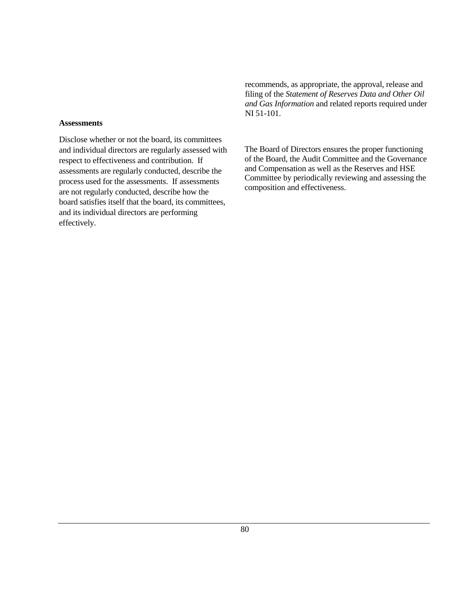**Assessments** 

Disclose whether or not the board, its committees and individual directors are regularly assessed with respect to effectiveness and contribution. If assessments are regularly conducted, describe the process used for the assessments. If assessments are not regularly conducted, describe how the board satisfies itself that the board, its committees, and its individual directors are performing effectively.

recommends, as appropriate, the approval, release and filing of the *Statement of Reserves Data and Other Oil and Gas Information* and related reports required under NI 51-101.

The Board of Directors ensures the proper functioning of the Board, the Audit Committee and the Governance and Compensation as well as the Reserves and HSE Committee by periodically reviewing and assessing the composition and effectiveness.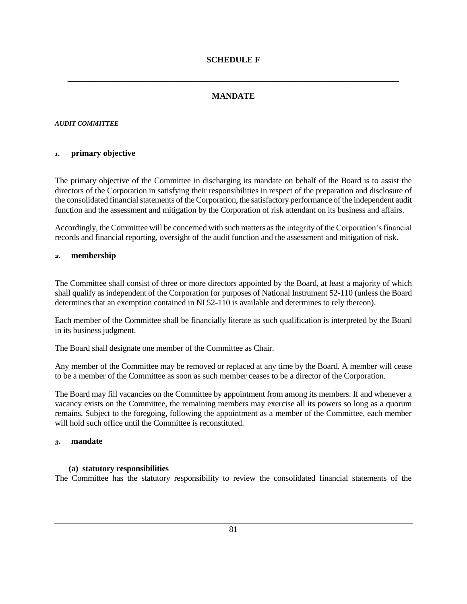# **MANDATE**

**\_\_\_\_\_\_\_\_\_\_\_\_\_\_\_\_\_\_\_\_\_\_\_\_\_\_\_\_\_\_\_\_\_\_\_\_\_\_\_\_\_\_\_\_\_\_\_\_\_\_\_\_\_\_\_\_\_\_\_\_\_\_\_\_\_\_\_\_\_\_\_\_\_\_\_\_\_\_\_**

# *AUDIT COMMITTEE*

# *1.* **primary objective**

The primary objective of the Committee in discharging its mandate on behalf of the Board is to assist the directors of the Corporation in satisfying their responsibilities in respect of the preparation and disclosure of the consolidated financial statements of the Corporation, the satisfactory performance of the independent audit function and the assessment and mitigation by the Corporation of risk attendant on its business and affairs.

Accordingly, the Committee will be concerned with such matters as the integrity of the Corporation's financial records and financial reporting, oversight of the audit function and the assessment and mitigation of risk.

## *2.* **membership**

The Committee shall consist of three or more directors appointed by the Board, at least a majority of which shall qualify as independent of the Corporation for purposes of National Instrument 52-110 (unless the Board determines that an exemption contained in NI 52-110 is available and determines to rely thereon).

Each member of the Committee shall be financially literate as such qualification is interpreted by the Board in its business judgment.

The Board shall designate one member of the Committee as Chair.

Any member of the Committee may be removed or replaced at any time by the Board. A member will cease to be a member of the Committee as soon as such member ceases to be a director of the Corporation.

The Board may fill vacancies on the Committee by appointment from among its members. If and whenever a vacancy exists on the Committee, the remaining members may exercise all its powers so long as a quorum remains. Subject to the foregoing, following the appointment as a member of the Committee, each member will hold such office until the Committee is reconstituted.

#### *3.* **mandate**

## **(a) statutory responsibilities**

The Committee has the statutory responsibility to review the consolidated financial statements of the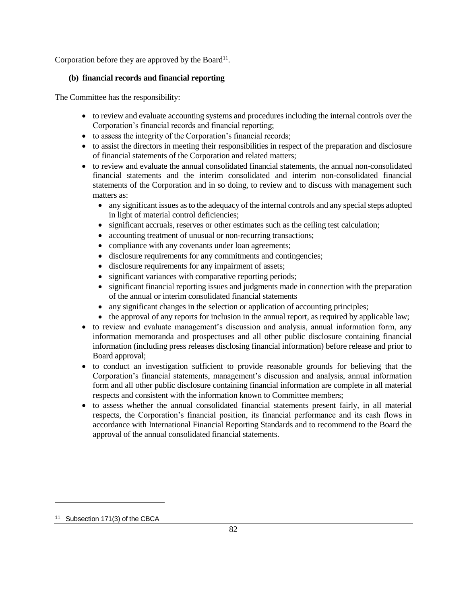Corporation before they are approved by the Board<sup>11</sup>.

# **(b) financial records and financial reporting**

The Committee has the responsibility:

- to review and evaluate accounting systems and procedures including the internal controls over the Corporation's financial records and financial reporting;
- to assess the integrity of the Corporation's financial records;
- to assist the directors in meeting their responsibilities in respect of the preparation and disclosure of financial statements of the Corporation and related matters;
- to review and evaluate the annual consolidated financial statements, the annual non-consolidated financial statements and the interim consolidated and interim non-consolidated financial statements of the Corporation and in so doing, to review and to discuss with management such matters as:
	- any significant issues as to the adequacy of the internal controls and any special steps adopted in light of material control deficiencies;
	- significant accruals, reserves or other estimates such as the ceiling test calculation;
	- accounting treatment of unusual or non-recurring transactions;
	- compliance with any covenants under loan agreements;
	- disclosure requirements for any commitments and contingencies;
	- disclosure requirements for any impairment of assets;
	- significant variances with comparative reporting periods;
	- significant financial reporting issues and judgments made in connection with the preparation of the annual or interim consolidated financial statements
	- any significant changes in the selection or application of accounting principles;
	- the approval of any reports for inclusion in the annual report, as required by applicable law;
- to review and evaluate management's discussion and analysis, annual information form, any information memoranda and prospectuses and all other public disclosure containing financial information (including press releases disclosing financial information) before release and prior to Board approval;
- to conduct an investigation sufficient to provide reasonable grounds for believing that the Corporation's financial statements, management's discussion and analysis, annual information form and all other public disclosure containing financial information are complete in all material respects and consistent with the information known to Committee members;
- to assess whether the annual consolidated financial statements present fairly, in all material respects, the Corporation's financial position, its financial performance and its cash flows in accordance with International Financial Reporting Standards and to recommend to the Board the approval of the annual consolidated financial statements.

<sup>11</sup> Subsection 171(3) of the CBCA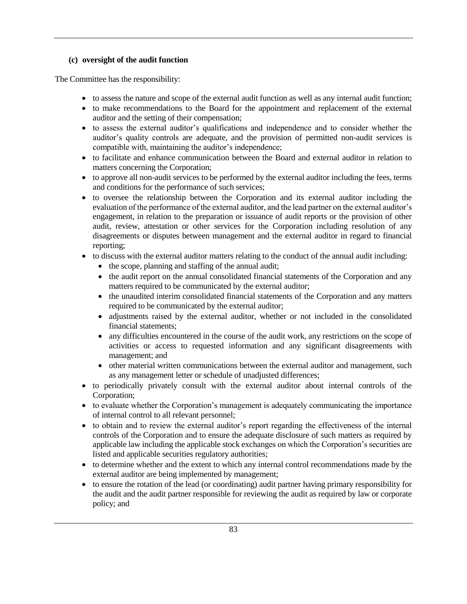#### **(c) oversight of the audit function**

The Committee has the responsibility:

- to assess the nature and scope of the external audit function as well as any internal audit function;
- to make recommendations to the Board for the appointment and replacement of the external auditor and the setting of their compensation;
- to assess the external auditor's qualifications and independence and to consider whether the auditor's quality controls are adequate, and the provision of permitted non-audit services is compatible with, maintaining the auditor's independence;
- to facilitate and enhance communication between the Board and external auditor in relation to matters concerning the Corporation;
- to approve all non-audit services to be performed by the external auditor including the fees, terms and conditions for the performance of such services;
- to oversee the relationship between the Corporation and its external auditor including the evaluation of the performance of the external auditor, and the lead partner on the external auditor's engagement, in relation to the preparation or issuance of audit reports or the provision of other audit, review, attestation or other services for the Corporation including resolution of any disagreements or disputes between management and the external auditor in regard to financial reporting;
- to discuss with the external auditor matters relating to the conduct of the annual audit including:
	- the scope, planning and staffing of the annual audit;
	- the audit report on the annual consolidated financial statements of the Corporation and any matters required to be communicated by the external auditor;
	- the unaudited interim consolidated financial statements of the Corporation and any matters required to be communicated by the external auditor;
	- adjustments raised by the external auditor, whether or not included in the consolidated financial statements;
	- any difficulties encountered in the course of the audit work, any restrictions on the scope of activities or access to requested information and any significant disagreements with management; and
	- other material written communications between the external auditor and management, such as any management letter or schedule of unadjusted differences;
- to periodically privately consult with the external auditor about internal controls of the Corporation;
- to evaluate whether the Corporation's management is adequately communicating the importance of internal control to all relevant personnel;
- to obtain and to review the external auditor's report regarding the effectiveness of the internal controls of the Corporation and to ensure the adequate disclosure of such matters as required by applicable law including the applicable stock exchanges on which the Corporation's securities are listed and applicable securities regulatory authorities;
- to determine whether and the extent to which any internal control recommendations made by the external auditor are being implemented by management;
- to ensure the rotation of the lead (or coordinating) audit partner having primary responsibility for the audit and the audit partner responsible for reviewing the audit as required by law or corporate policy; and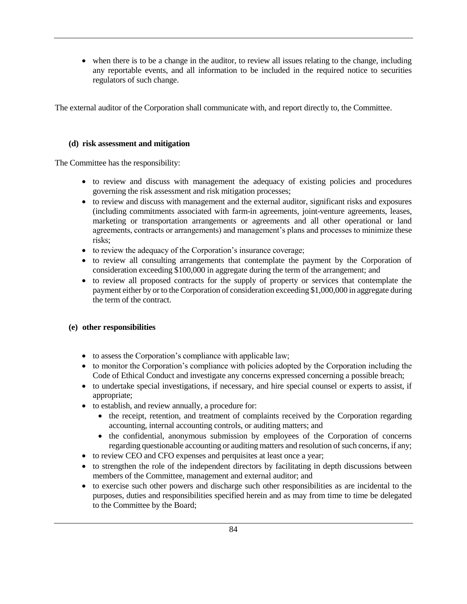• when there is to be a change in the auditor, to review all issues relating to the change, including any reportable events, and all information to be included in the required notice to securities regulators of such change.

The external auditor of the Corporation shall communicate with, and report directly to, the Committee.

#### **(d) risk assessment and mitigation**

The Committee has the responsibility:

- to review and discuss with management the adequacy of existing policies and procedures governing the risk assessment and risk mitigation processes;
- to review and discuss with management and the external auditor, significant risks and exposures (including commitments associated with farm-in agreements, joint-venture agreements, leases, marketing or transportation arrangements or agreements and all other operational or land agreements, contracts or arrangements) and management's plans and processes to minimize these risks;
- to review the adequacy of the Corporation's insurance coverage;
- to review all consulting arrangements that contemplate the payment by the Corporation of consideration exceeding \$100,000 in aggregate during the term of the arrangement; and
- to review all proposed contracts for the supply of property or services that contemplate the payment either by or to the Corporation of consideration exceeding \$1,000,000 in aggregate during the term of the contract.

# **(e) other responsibilities**

- to assess the Corporation's compliance with applicable law;
- to monitor the Corporation's compliance with policies adopted by the Corporation including the Code of Ethical Conduct and investigate any concerns expressed concerning a possible breach;
- to undertake special investigations, if necessary, and hire special counsel or experts to assist, if appropriate;
- to establish, and review annually, a procedure for:
	- the receipt, retention, and treatment of complaints received by the Corporation regarding accounting, internal accounting controls, or auditing matters; and
	- the confidential, anonymous submission by employees of the Corporation of concerns regarding questionable accounting or auditing matters and resolution of such concerns, if any;
- to review CEO and CFO expenses and perquisites at least once a year;
- to strengthen the role of the independent directors by facilitating in depth discussions between members of the Committee, management and external auditor; and
- to exercise such other powers and discharge such other responsibilities as are incidental to the purposes, duties and responsibilities specified herein and as may from time to time be delegated to the Committee by the Board;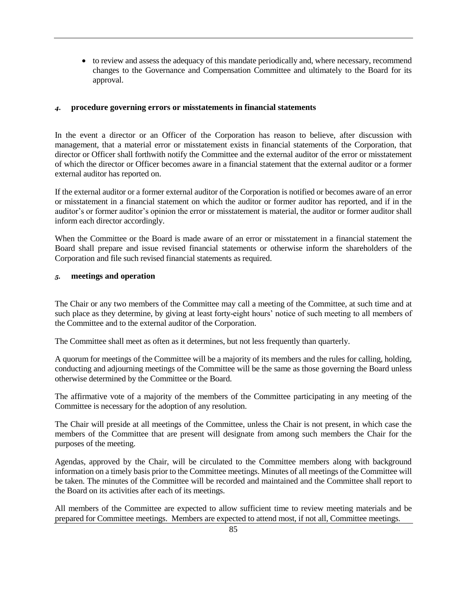• to review and assess the adequacy of this mandate periodically and, where necessary, recommend changes to the Governance and Compensation Committee and ultimately to the Board for its approval.

#### *4.* **procedure governing errors or misstatements in financial statements**

In the event a director or an Officer of the Corporation has reason to believe, after discussion with management, that a material error or misstatement exists in financial statements of the Corporation, that director or Officer shall forthwith notify the Committee and the external auditor of the error or misstatement of which the director or Officer becomes aware in a financial statement that the external auditor or a former external auditor has reported on.

If the external auditor or a former external auditor of the Corporation is notified or becomes aware of an error or misstatement in a financial statement on which the auditor or former auditor has reported, and if in the auditor's or former auditor's opinion the error or misstatement is material, the auditor or former auditor shall inform each director accordingly.

When the Committee or the Board is made aware of an error or misstatement in a financial statement the Board shall prepare and issue revised financial statements or otherwise inform the shareholders of the Corporation and file such revised financial statements as required.

#### *5.* **meetings and operation**

The Chair or any two members of the Committee may call a meeting of the Committee, at such time and at such place as they determine, by giving at least forty-eight hours' notice of such meeting to all members of the Committee and to the external auditor of the Corporation.

The Committee shall meet as often as it determines, but not less frequently than quarterly.

A quorum for meetings of the Committee will be a majority of its members and the rules for calling, holding, conducting and adjourning meetings of the Committee will be the same as those governing the Board unless otherwise determined by the Committee or the Board.

The affirmative vote of a majority of the members of the Committee participating in any meeting of the Committee is necessary for the adoption of any resolution.

The Chair will preside at all meetings of the Committee, unless the Chair is not present, in which case the members of the Committee that are present will designate from among such members the Chair for the purposes of the meeting.

Agendas, approved by the Chair, will be circulated to the Committee members along with background information on a timely basis prior to the Committee meetings. Minutes of all meetings of the Committee will be taken. The minutes of the Committee will be recorded and maintained and the Committee shall report to the Board on its activities after each of its meetings.

All members of the Committee are expected to allow sufficient time to review meeting materials and be prepared for Committee meetings. Members are expected to attend most, if not all, Committee meetings.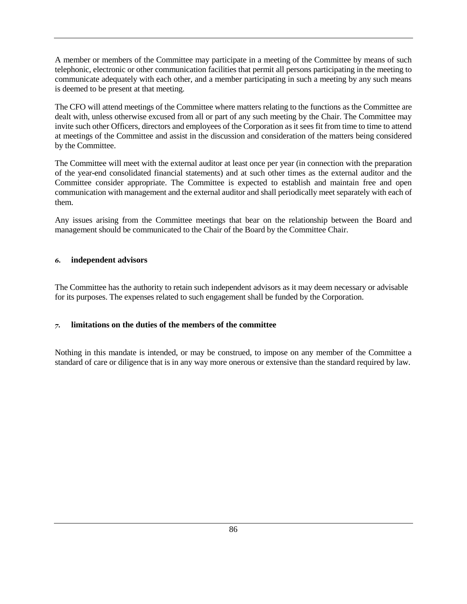A member or members of the Committee may participate in a meeting of the Committee by means of such telephonic, electronic or other communication facilities that permit all persons participating in the meeting to communicate adequately with each other, and a member participating in such a meeting by any such means is deemed to be present at that meeting.

The CFO will attend meetings of the Committee where matters relating to the functions as the Committee are dealt with, unless otherwise excused from all or part of any such meeting by the Chair. The Committee may invite such other Officers, directors and employees of the Corporation as it sees fit from time to time to attend at meetings of the Committee and assist in the discussion and consideration of the matters being considered by the Committee.

The Committee will meet with the external auditor at least once per year (in connection with the preparation of the year-end consolidated financial statements) and at such other times as the external auditor and the Committee consider appropriate. The Committee is expected to establish and maintain free and open communication with management and the external auditor and shall periodically meet separately with each of them.

Any issues arising from the Committee meetings that bear on the relationship between the Board and management should be communicated to the Chair of the Board by the Committee Chair.

## *6.* **independent advisors**

The Committee has the authority to retain such independent advisors as it may deem necessary or advisable for its purposes. The expenses related to such engagement shall be funded by the Corporation.

## *7.* **limitations on the duties of the members of the committee**

Nothing in this mandate is intended, or may be construed, to impose on any member of the Committee a standard of care or diligence that is in any way more onerous or extensive than the standard required by law.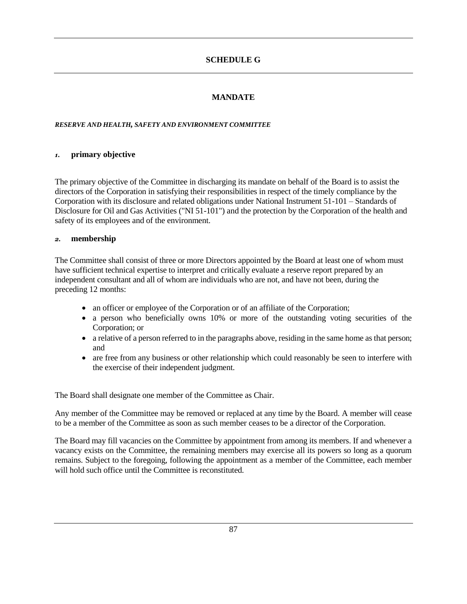# **MANDATE**

#### *RESERVE AND HEALTH, SAFETY AND ENVIRONMENT COMMITTEE*

### *1.* **primary objective**

The primary objective of the Committee in discharging its mandate on behalf of the Board is to assist the directors of the Corporation in satisfying their responsibilities in respect of the timely compliance by the Corporation with its disclosure and related obligations under National Instrument 51-101 – Standards of Disclosure for Oil and Gas Activities ("NI 51-101") and the protection by the Corporation of the health and safety of its employees and of the environment.

## *2.* **membership**

The Committee shall consist of three or more Directors appointed by the Board at least one of whom must have sufficient technical expertise to interpret and critically evaluate a reserve report prepared by an independent consultant and all of whom are individuals who are not, and have not been, during the preceding 12 months:

- an officer or employee of the Corporation or of an affiliate of the Corporation;
- a person who beneficially owns 10% or more of the outstanding voting securities of the Corporation; or
- a relative of a person referred to in the paragraphs above, residing in the same home as that person; and
- are free from any business or other relationship which could reasonably be seen to interfere with the exercise of their independent judgment.

The Board shall designate one member of the Committee as Chair.

Any member of the Committee may be removed or replaced at any time by the Board. A member will cease to be a member of the Committee as soon as such member ceases to be a director of the Corporation.

The Board may fill vacancies on the Committee by appointment from among its members. If and whenever a vacancy exists on the Committee, the remaining members may exercise all its powers so long as a quorum remains. Subject to the foregoing, following the appointment as a member of the Committee, each member will hold such office until the Committee is reconstituted.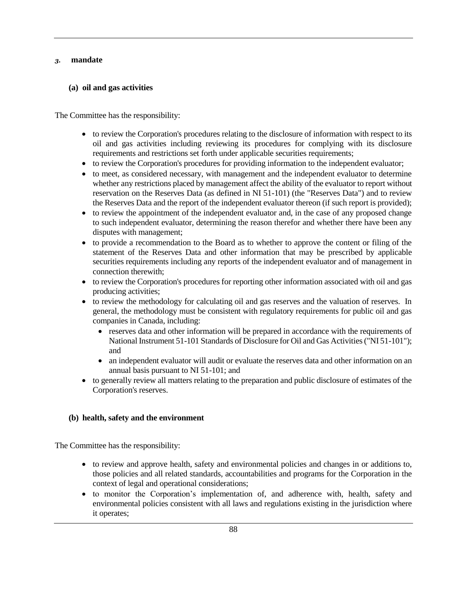#### *3.* **mandate**

# **(a) oil and gas activities**

The Committee has the responsibility:

- to review the Corporation's procedures relating to the disclosure of information with respect to its oil and gas activities including reviewing its procedures for complying with its disclosure requirements and restrictions set forth under applicable securities requirements;
- to review the Corporation's procedures for providing information to the independent evaluator;
- to meet, as considered necessary, with management and the independent evaluator to determine whether any restrictions placed by management affect the ability of the evaluator to report without reservation on the Reserves Data (as defined in NI 51-101) (the "Reserves Data") and to review the Reserves Data and the report of the independent evaluator thereon (if such report is provided);
- to review the appointment of the independent evaluator and, in the case of any proposed change to such independent evaluator, determining the reason therefor and whether there have been any disputes with management;
- to provide a recommendation to the Board as to whether to approve the content or filing of the statement of the Reserves Data and other information that may be prescribed by applicable securities requirements including any reports of the independent evaluator and of management in connection therewith;
- to review the Corporation's procedures for reporting other information associated with oil and gas producing activities;
- to review the methodology for calculating oil and gas reserves and the valuation of reserves. In general, the methodology must be consistent with regulatory requirements for public oil and gas companies in Canada, including:
	- reserves data and other information will be prepared in accordance with the requirements of National Instrument 51-101 Standards of Disclosure for Oil and Gas Activities ("NI 51-101"); and
	- an independent evaluator will audit or evaluate the reserves data and other information on an annual basis pursuant to NI 51-101; and
- to generally review all matters relating to the preparation and public disclosure of estimates of the Corporation's reserves.

## **(b) health, safety and the environment**

The Committee has the responsibility:

- to review and approve health, safety and environmental policies and changes in or additions to, those policies and all related standards, accountabilities and programs for the Corporation in the context of legal and operational considerations;
- to monitor the Corporation's implementation of, and adherence with, health, safety and environmental policies consistent with all laws and regulations existing in the jurisdiction where it operates;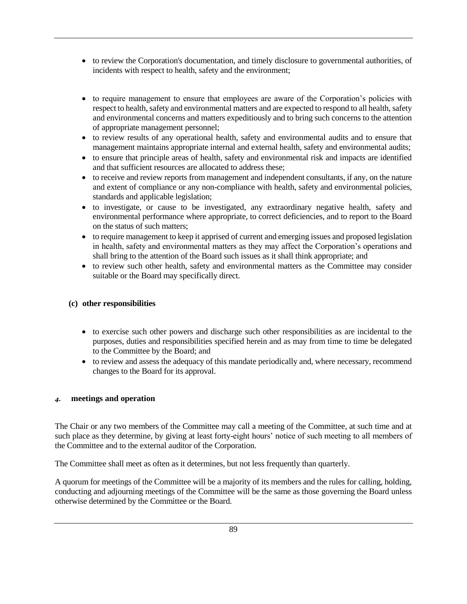- to review the Corporation's documentation, and timely disclosure to governmental authorities, of incidents with respect to health, safety and the environment;
- to require management to ensure that employees are aware of the Corporation's policies with respect to health, safety and environmental matters and are expected to respond to all health, safety and environmental concerns and matters expeditiously and to bring such concerns to the attention of appropriate management personnel;
- to review results of any operational health, safety and environmental audits and to ensure that management maintains appropriate internal and external health, safety and environmental audits;
- to ensure that principle areas of health, safety and environmental risk and impacts are identified and that sufficient resources are allocated to address these;
- to receive and review reports from management and independent consultants, if any, on the nature and extent of compliance or any non-compliance with health, safety and environmental policies, standards and applicable legislation;
- to investigate, or cause to be investigated, any extraordinary negative health, safety and environmental performance where appropriate, to correct deficiencies, and to report to the Board on the status of such matters;
- to require management to keep it apprised of current and emerging issues and proposed legislation in health, safety and environmental matters as they may affect the Corporation's operations and shall bring to the attention of the Board such issues as it shall think appropriate; and
- to review such other health, safety and environmental matters as the Committee may consider suitable or the Board may specifically direct.

## **(c) other responsibilities**

- to exercise such other powers and discharge such other responsibilities as are incidental to the purposes, duties and responsibilities specified herein and as may from time to time be delegated to the Committee by the Board; and
- to review and assess the adequacy of this mandate periodically and, where necessary, recommend changes to the Board for its approval.

## *4.* **meetings and operation**

The Chair or any two members of the Committee may call a meeting of the Committee, at such time and at such place as they determine, by giving at least forty-eight hours' notice of such meeting to all members of the Committee and to the external auditor of the Corporation.

The Committee shall meet as often as it determines, but not less frequently than quarterly.

A quorum for meetings of the Committee will be a majority of its members and the rules for calling, holding, conducting and adjourning meetings of the Committee will be the same as those governing the Board unless otherwise determined by the Committee or the Board.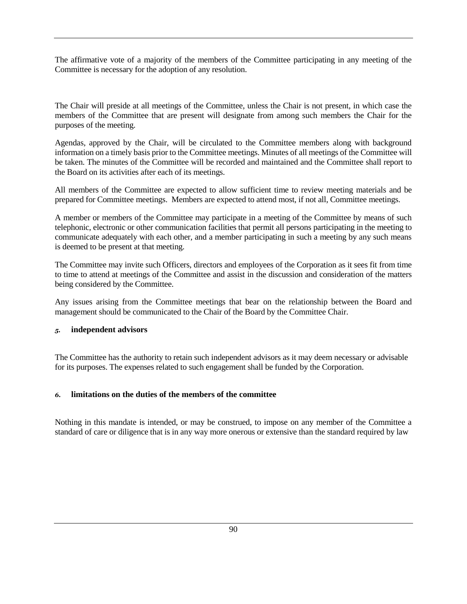The affirmative vote of a majority of the members of the Committee participating in any meeting of the Committee is necessary for the adoption of any resolution.

The Chair will preside at all meetings of the Committee, unless the Chair is not present, in which case the members of the Committee that are present will designate from among such members the Chair for the purposes of the meeting.

Agendas, approved by the Chair, will be circulated to the Committee members along with background information on a timely basis prior to the Committee meetings. Minutes of all meetings of the Committee will be taken. The minutes of the Committee will be recorded and maintained and the Committee shall report to the Board on its activities after each of its meetings.

All members of the Committee are expected to allow sufficient time to review meeting materials and be prepared for Committee meetings. Members are expected to attend most, if not all, Committee meetings.

A member or members of the Committee may participate in a meeting of the Committee by means of such telephonic, electronic or other communication facilities that permit all persons participating in the meeting to communicate adequately with each other, and a member participating in such a meeting by any such means is deemed to be present at that meeting.

The Committee may invite such Officers, directors and employees of the Corporation as it sees fit from time to time to attend at meetings of the Committee and assist in the discussion and consideration of the matters being considered by the Committee.

Any issues arising from the Committee meetings that bear on the relationship between the Board and management should be communicated to the Chair of the Board by the Committee Chair.

## *5.* **independent advisors**

The Committee has the authority to retain such independent advisors as it may deem necessary or advisable for its purposes. The expenses related to such engagement shall be funded by the Corporation.

# *6.* **limitations on the duties of the members of the committee**

Nothing in this mandate is intended, or may be construed, to impose on any member of the Committee a standard of care or diligence that is in any way more onerous or extensive than the standard required by law